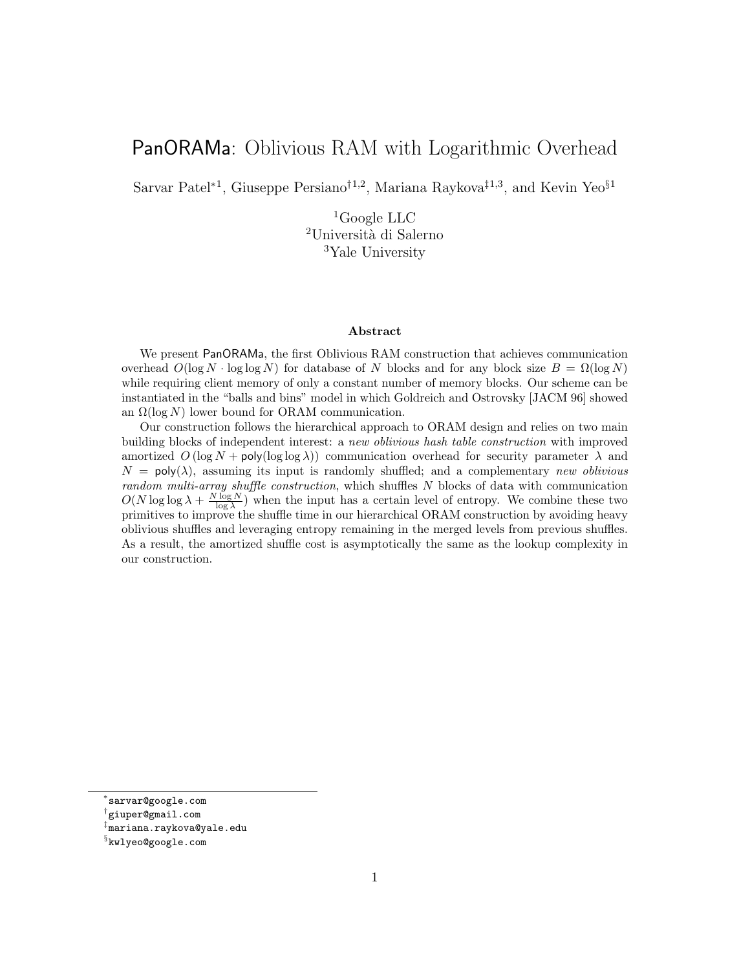# PanORAMa: Oblivious RAM with Logarithmic Overhead

Sarvar Patel<sup>∗1</sup>, Giuseppe Persiano<sup>†1,2</sup>, Mariana Raykova<sup>‡1,3</sup>, and Kevin Yeo<sup>§1</sup>

 ${}^{1}$ Google LLC <sup>2</sup>Università di Salerno <sup>3</sup>Yale University

#### Abstract

We present PanORAMa, the first Oblivious RAM construction that achieves communication overhead  $O(\log N \cdot \log \log N)$  for database of N blocks and for any block size  $B = \Omega(\log N)$ while requiring client memory of only a constant number of memory blocks. Our scheme can be instantiated in the "balls and bins" model in which Goldreich and Ostrovsky [JACM 96] showed an  $\Omega(\log N)$  lower bound for ORAM communication.

Our construction follows the hierarchical approach to ORAM design and relies on two main building blocks of independent interest: a new oblivious hash table construction with improved amortized  $O(\log N + \text{poly}(\log \log \lambda))$  communication overhead for security parameter  $\lambda$  and  $N = \text{poly}(\lambda)$ , assuming its input is randomly shuffled; and a complementary new oblivious random multi-array shuffle construction, which shuffles N blocks of data with communication  $O(N \log \log \lambda + \frac{N \log N}{\log \lambda})$  when the input has a certain level of entropy. We combine these two primitives to improve the shuffle time in our hierarchical ORAM construction by avoiding heavy oblivious shuffles and leveraging entropy remaining in the merged levels from previous shuffles. As a result, the amortized shuffle cost is asymptotically the same as the lookup complexity in our construction.

<sup>∗</sup> sarvar@google.com

<sup>†</sup> giuper@gmail.com

<sup>‡</sup> mariana.raykova@yale.edu

 $\S$ kwlyeo@google.com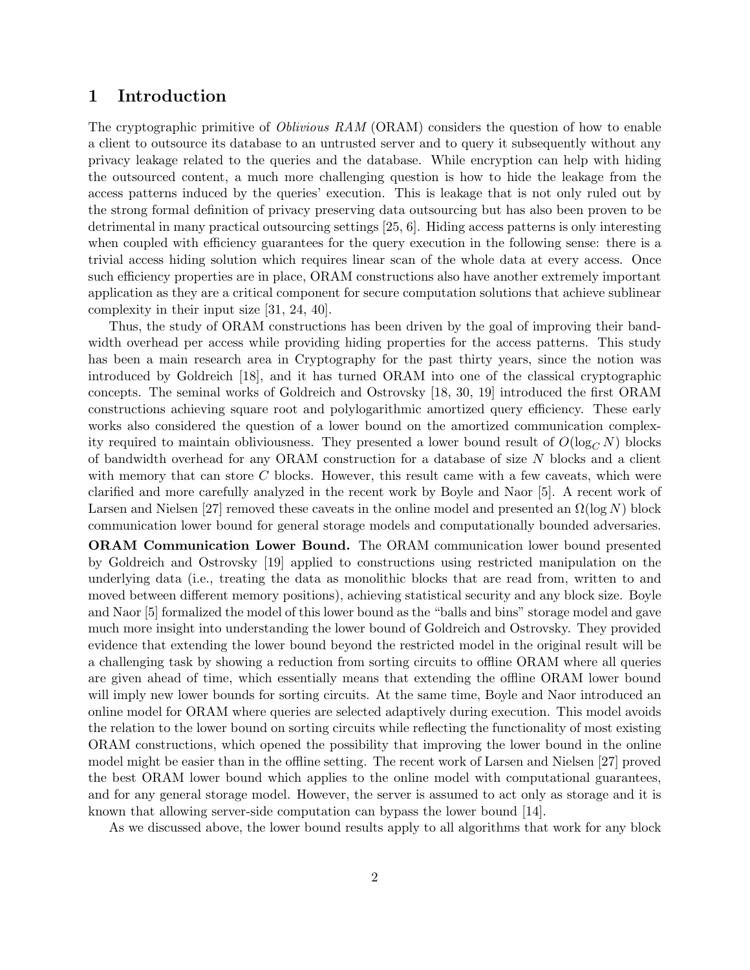# 1 Introduction

The cryptographic primitive of *Oblivious RAM* (ORAM) considers the question of how to enable a client to outsource its database to an untrusted server and to query it subsequently without any privacy leakage related to the queries and the database. While encryption can help with hiding the outsourced content, a much more challenging question is how to hide the leakage from the access patterns induced by the queries' execution. This is leakage that is not only ruled out by the strong formal definition of privacy preserving data outsourcing but has also been proven to be detrimental in many practical outsourcing settings [25, 6]. Hiding access patterns is only interesting when coupled with efficiency guarantees for the query execution in the following sense: there is a trivial access hiding solution which requires linear scan of the whole data at every access. Once such efficiency properties are in place, ORAM constructions also have another extremely important application as they are a critical component for secure computation solutions that achieve sublinear complexity in their input size [31, 24, 40].

Thus, the study of ORAM constructions has been driven by the goal of improving their bandwidth overhead per access while providing hiding properties for the access patterns. This study has been a main research area in Cryptography for the past thirty years, since the notion was introduced by Goldreich [18], and it has turned ORAM into one of the classical cryptographic concepts. The seminal works of Goldreich and Ostrovsky [18, 30, 19] introduced the first ORAM constructions achieving square root and polylogarithmic amortized query efficiency. These early works also considered the question of a lower bound on the amortized communication complexity required to maintain obliviousness. They presented a lower bound result of  $O(\log_C N)$  blocks of bandwidth overhead for any ORAM construction for a database of size N blocks and a client with memory that can store  $C$  blocks. However, this result came with a few caveats, which were clarified and more carefully analyzed in the recent work by Boyle and Naor [5]. A recent work of Larsen and Nielsen [27] removed these caveats in the online model and presented an  $\Omega(\log N)$  block communication lower bound for general storage models and computationally bounded adversaries.

ORAM Communication Lower Bound. The ORAM communication lower bound presented by Goldreich and Ostrovsky [19] applied to constructions using restricted manipulation on the underlying data (i.e., treating the data as monolithic blocks that are read from, written to and moved between different memory positions), achieving statistical security and any block size. Boyle and Naor [5] formalized the model of this lower bound as the "balls and bins" storage model and gave much more insight into understanding the lower bound of Goldreich and Ostrovsky. They provided evidence that extending the lower bound beyond the restricted model in the original result will be a challenging task by showing a reduction from sorting circuits to offline ORAM where all queries are given ahead of time, which essentially means that extending the offline ORAM lower bound will imply new lower bounds for sorting circuits. At the same time, Boyle and Naor introduced an online model for ORAM where queries are selected adaptively during execution. This model avoids the relation to the lower bound on sorting circuits while reflecting the functionality of most existing ORAM constructions, which opened the possibility that improving the lower bound in the online model might be easier than in the offline setting. The recent work of Larsen and Nielsen [27] proved the best ORAM lower bound which applies to the online model with computational guarantees, and for any general storage model. However, the server is assumed to act only as storage and it is known that allowing server-side computation can bypass the lower bound [14].

As we discussed above, the lower bound results apply to all algorithms that work for any block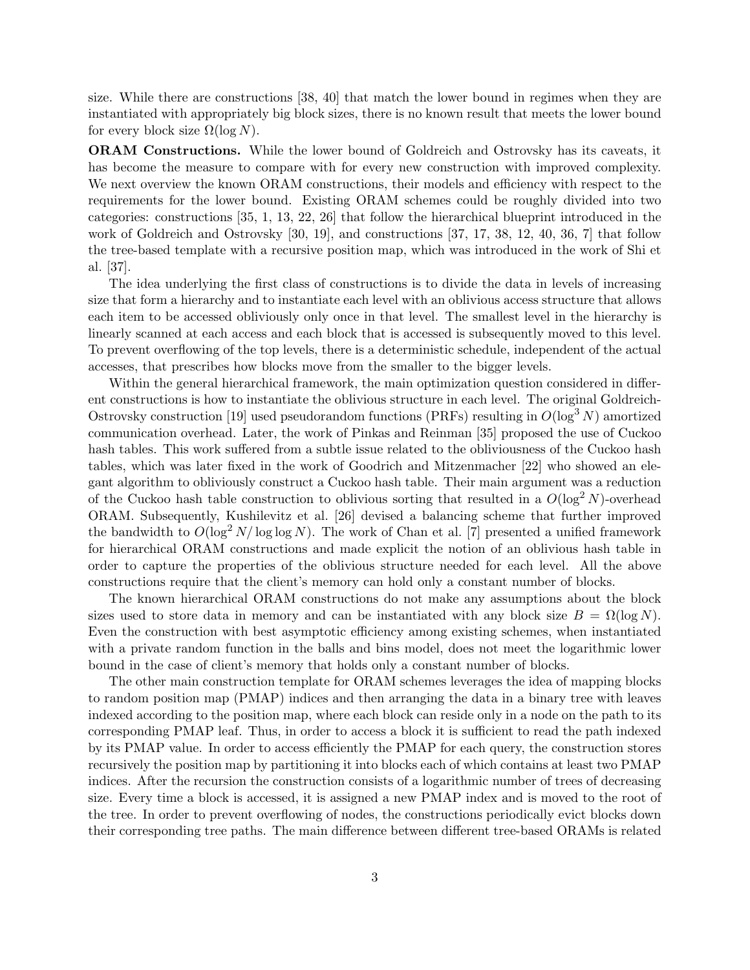size. While there are constructions [38, 40] that match the lower bound in regimes when they are instantiated with appropriately big block sizes, there is no known result that meets the lower bound for every block size  $\Omega(\log N)$ .

ORAM Constructions. While the lower bound of Goldreich and Ostrovsky has its caveats, it has become the measure to compare with for every new construction with improved complexity. We next overview the known ORAM constructions, their models and efficiency with respect to the requirements for the lower bound. Existing ORAM schemes could be roughly divided into two categories: constructions [35, 1, 13, 22, 26] that follow the hierarchical blueprint introduced in the work of Goldreich and Ostrovsky [30, 19], and constructions [37, 17, 38, 12, 40, 36, 7] that follow the tree-based template with a recursive position map, which was introduced in the work of Shi et al. [37].

The idea underlying the first class of constructions is to divide the data in levels of increasing size that form a hierarchy and to instantiate each level with an oblivious access structure that allows each item to be accessed obliviously only once in that level. The smallest level in the hierarchy is linearly scanned at each access and each block that is accessed is subsequently moved to this level. To prevent overflowing of the top levels, there is a deterministic schedule, independent of the actual accesses, that prescribes how blocks move from the smaller to the bigger levels.

Within the general hierarchical framework, the main optimization question considered in different constructions is how to instantiate the oblivious structure in each level. The original Goldreich-Ostrovsky construction [19] used pseudorandom functions (PRFs) resulting in  $O(\log^3 N)$  amortized communication overhead. Later, the work of Pinkas and Reinman [35] proposed the use of Cuckoo hash tables. This work suffered from a subtle issue related to the obliviousness of the Cuckoo hash tables, which was later fixed in the work of Goodrich and Mitzenmacher [22] who showed an elegant algorithm to obliviously construct a Cuckoo hash table. Their main argument was a reduction of the Cuckoo hash table construction to oblivious sorting that resulted in a  $O(\log^2 N)$ -overhead ORAM. Subsequently, Kushilevitz et al. [26] devised a balancing scheme that further improved the bandwidth to  $O(\log^2 N/\log \log N)$ . The work of Chan et al. [7] presented a unified framework for hierarchical ORAM constructions and made explicit the notion of an oblivious hash table in order to capture the properties of the oblivious structure needed for each level. All the above constructions require that the client's memory can hold only a constant number of blocks.

The known hierarchical ORAM constructions do not make any assumptions about the block sizes used to store data in memory and can be instantiated with any block size  $B = \Omega(\log N)$ . Even the construction with best asymptotic efficiency among existing schemes, when instantiated with a private random function in the balls and bins model, does not meet the logarithmic lower bound in the case of client's memory that holds only a constant number of blocks.

The other main construction template for ORAM schemes leverages the idea of mapping blocks to random position map (PMAP) indices and then arranging the data in a binary tree with leaves indexed according to the position map, where each block can reside only in a node on the path to its corresponding PMAP leaf. Thus, in order to access a block it is sufficient to read the path indexed by its PMAP value. In order to access efficiently the PMAP for each query, the construction stores recursively the position map by partitioning it into blocks each of which contains at least two PMAP indices. After the recursion the construction consists of a logarithmic number of trees of decreasing size. Every time a block is accessed, it is assigned a new PMAP index and is moved to the root of the tree. In order to prevent overflowing of nodes, the constructions periodically evict blocks down their corresponding tree paths. The main difference between different tree-based ORAMs is related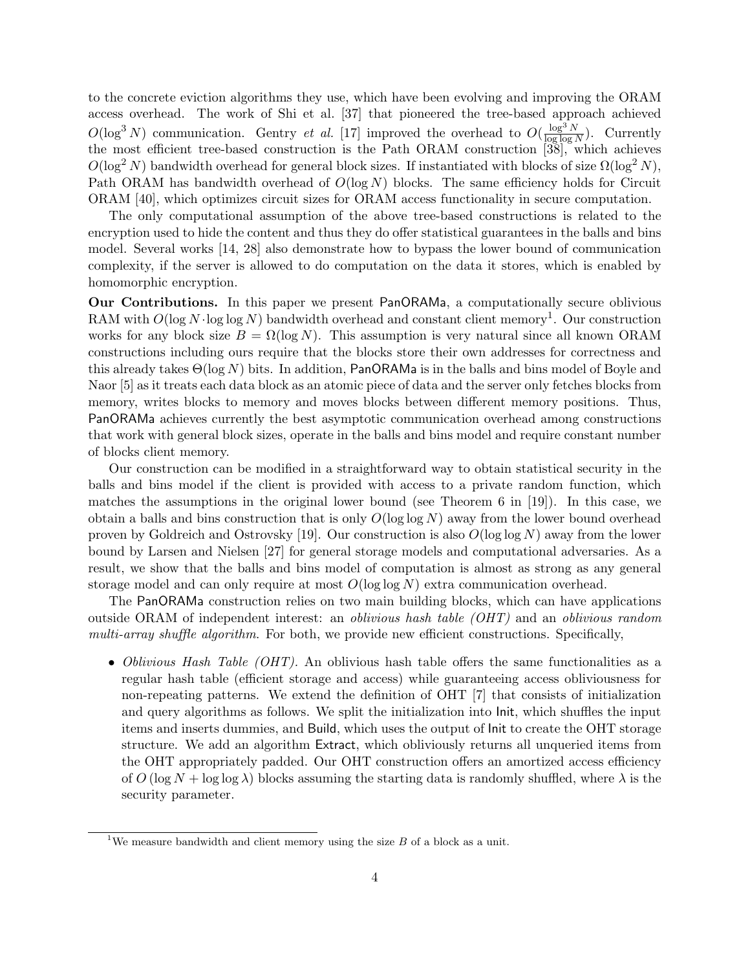to the concrete eviction algorithms they use, which have been evolving and improving the ORAM access overhead. The work of Shi et al. [37] that pioneered the tree-based approach achieved  $O(\log^3 N)$  communication. Gentry *et al.* [17] improved the overhead to  $O(\frac{\log^3 N}{\log \log N})$  $\frac{\log^{\infty} N}{\log \log N}$ . Currently the most efficient tree-based construction is the Path ORAM construction [38], which achieves  $O(\log^2 N)$  bandwidth overhead for general block sizes. If instantiated with blocks of size  $\Omega(\log^2 N)$ , Path ORAM has bandwidth overhead of  $O(\log N)$  blocks. The same efficiency holds for Circuit ORAM [40], which optimizes circuit sizes for ORAM access functionality in secure computation.

The only computational assumption of the above tree-based constructions is related to the encryption used to hide the content and thus they do offer statistical guarantees in the balls and bins model. Several works [14, 28] also demonstrate how to bypass the lower bound of communication complexity, if the server is allowed to do computation on the data it stores, which is enabled by homomorphic encryption.

Our Contributions. In this paper we present PanORAMa, a computationally secure oblivious RAM with  $O(\log N \cdot \log \log N)$  bandwidth overhead and constant client memory<sup>1</sup>. Our construction works for any block size  $B = \Omega(\log N)$ . This assumption is very natural since all known ORAM constructions including ours require that the blocks store their own addresses for correctness and this already takes  $\Theta(\log N)$  bits. In addition, PanORAMa is in the balls and bins model of Boyle and Naor [5] as it treats each data block as an atomic piece of data and the server only fetches blocks from memory, writes blocks to memory and moves blocks between different memory positions. Thus, PanORAMa achieves currently the best asymptotic communication overhead among constructions that work with general block sizes, operate in the balls and bins model and require constant number of blocks client memory.

Our construction can be modified in a straightforward way to obtain statistical security in the balls and bins model if the client is provided with access to a private random function, which matches the assumptions in the original lower bound (see Theorem 6 in [19]). In this case, we obtain a balls and bins construction that is only  $O(\log \log N)$  away from the lower bound overhead proven by Goldreich and Ostrovsky [19]. Our construction is also  $O(\log \log N)$  away from the lower bound by Larsen and Nielsen [27] for general storage models and computational adversaries. As a result, we show that the balls and bins model of computation is almost as strong as any general storage model and can only require at most  $O(\log \log N)$  extra communication overhead.

The PanORAMa construction relies on two main building blocks, which can have applications outside ORAM of independent interest: an oblivious hash table (OHT) and an oblivious random multi-array shuffle algorithm. For both, we provide new efficient constructions. Specifically,

• Oblivious Hash Table (OHT). An oblivious hash table offers the same functionalities as a regular hash table (efficient storage and access) while guaranteeing access obliviousness for non-repeating patterns. We extend the definition of OHT [7] that consists of initialization and query algorithms as follows. We split the initialization into Init, which shuffles the input items and inserts dummies, and Build, which uses the output of Init to create the OHT storage structure. We add an algorithm Extract, which obliviously returns all unqueried items from the OHT appropriately padded. Our OHT construction offers an amortized access efficiency of  $O(\log N + \log \log \lambda)$  blocks assuming the starting data is randomly shuffled, where  $\lambda$  is the security parameter.

<sup>&</sup>lt;sup>1</sup>We measure bandwidth and client memory using the size  $B$  of a block as a unit.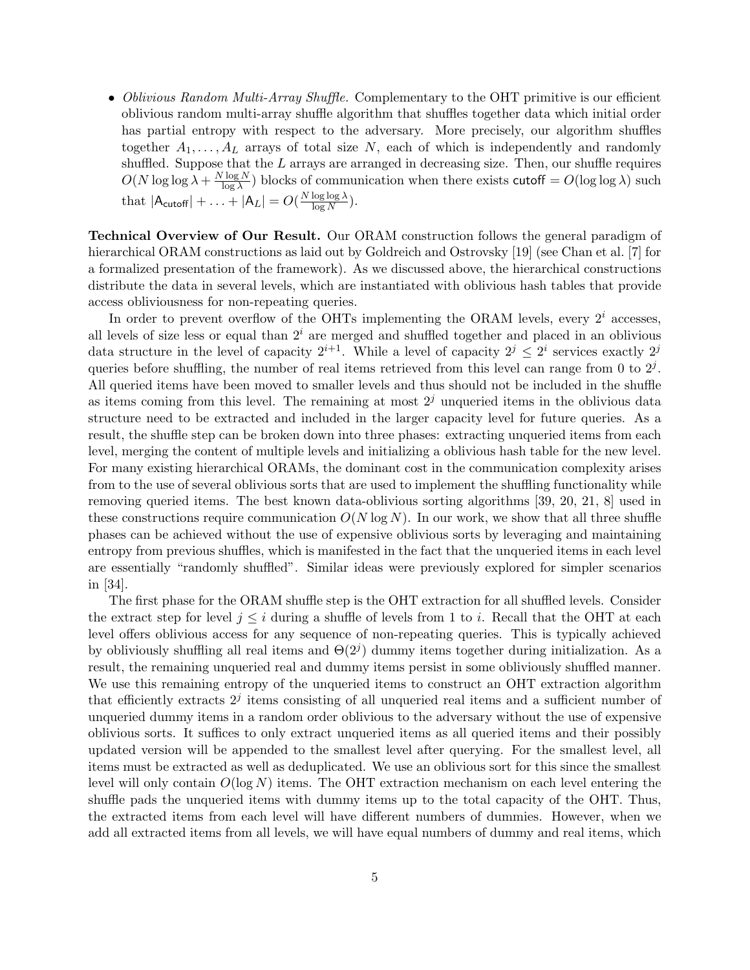• Oblivious Random Multi-Array Shuffle. Complementary to the OHT primitive is our efficient oblivious random multi-array shuffle algorithm that shuffles together data which initial order has partial entropy with respect to the adversary. More precisely, our algorithm shuffles together  $A_1, \ldots, A_L$  arrays of total size N, each of which is independently and randomly shuffled. Suppose that the  $L$  arrays are arranged in decreasing size. Then, our shuffle requires  $O(N \log \log \lambda + \frac{N \log N}{\log \lambda})$  $\frac{\log N}{\log \lambda}$ ) blocks of communication when there exists cutoff =  $O(\log \log \lambda)$  such that  $|\mathsf{A}_{\mathsf{cutoff}}| + \ldots + |\mathsf{A}_{L}| = O(\frac{N \log \log \lambda}{\log N})$  $\frac{\log \log \lambda}{\log N}\Big).$ 

Technical Overview of Our Result. Our ORAM construction follows the general paradigm of hierarchical ORAM constructions as laid out by Goldreich and Ostrovsky [19] (see Chan et al. [7] for a formalized presentation of the framework). As we discussed above, the hierarchical constructions distribute the data in several levels, which are instantiated with oblivious hash tables that provide access obliviousness for non-repeating queries.

In order to prevent overflow of the OHTs implementing the ORAM levels, every  $2<sup>i</sup>$  accesses, all levels of size less or equal than  $2<sup>i</sup>$  are merged and shuffled together and placed in an oblivious data structure in the level of capacity  $2^{i+1}$ . While a level of capacity  $2^j \leq 2^i$  services exactly  $2^j$ queries before shuffling, the number of real items retrieved from this level can range from 0 to  $2<sup>j</sup>$ . All queried items have been moved to smaller levels and thus should not be included in the shuffle as items coming from this level. The remaining at most  $2<sup>j</sup>$  unqueried items in the oblivious data structure need to be extracted and included in the larger capacity level for future queries. As a result, the shuffle step can be broken down into three phases: extracting unqueried items from each level, merging the content of multiple levels and initializing a oblivious hash table for the new level. For many existing hierarchical ORAMs, the dominant cost in the communication complexity arises from to the use of several oblivious sorts that are used to implement the shuffling functionality while removing queried items. The best known data-oblivious sorting algorithms [39, 20, 21, 8] used in these constructions require communication  $O(N \log N)$ . In our work, we show that all three shuffle phases can be achieved without the use of expensive oblivious sorts by leveraging and maintaining entropy from previous shuffles, which is manifested in the fact that the unqueried items in each level are essentially "randomly shuffled". Similar ideas were previously explored for simpler scenarios in [34].

The first phase for the ORAM shuffle step is the OHT extraction for all shuffled levels. Consider the extract step for level  $j \leq i$  during a shuffle of levels from 1 to i. Recall that the OHT at each level offers oblivious access for any sequence of non-repeating queries. This is typically achieved by obliviously shuffling all real items and  $\Theta(2^j)$  dummy items together during initialization. As a result, the remaining unqueried real and dummy items persist in some obliviously shuffled manner. We use this remaining entropy of the unqueried items to construct an OHT extraction algorithm that efficiently extracts  $2<sup>j</sup>$  items consisting of all unqueried real items and a sufficient number of unqueried dummy items in a random order oblivious to the adversary without the use of expensive oblivious sorts. It suffices to only extract unqueried items as all queried items and their possibly updated version will be appended to the smallest level after querying. For the smallest level, all items must be extracted as well as deduplicated. We use an oblivious sort for this since the smallest level will only contain  $O(\log N)$  items. The OHT extraction mechanism on each level entering the shuffle pads the unqueried items with dummy items up to the total capacity of the OHT. Thus, the extracted items from each level will have different numbers of dummies. However, when we add all extracted items from all levels, we will have equal numbers of dummy and real items, which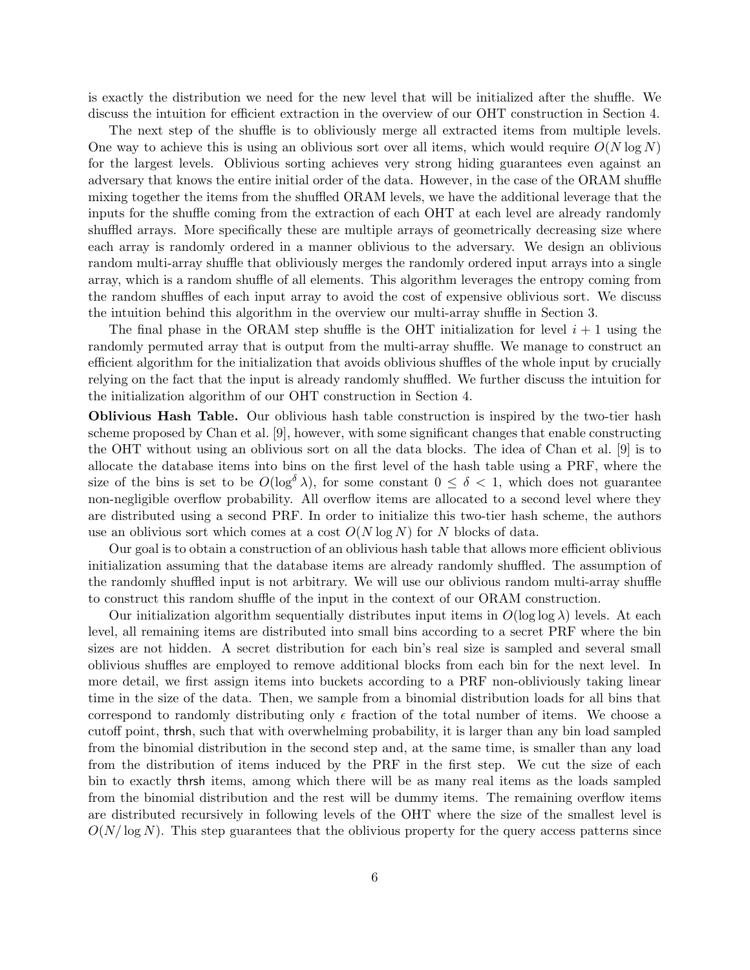is exactly the distribution we need for the new level that will be initialized after the shuffle. We discuss the intuition for efficient extraction in the overview of our OHT construction in Section 4.

The next step of the shuffle is to obliviously merge all extracted items from multiple levels. One way to achieve this is using an oblivious sort over all items, which would require  $O(N \log N)$ for the largest levels. Oblivious sorting achieves very strong hiding guarantees even against an adversary that knows the entire initial order of the data. However, in the case of the ORAM shuffle mixing together the items from the shuffled ORAM levels, we have the additional leverage that the inputs for the shuffle coming from the extraction of each OHT at each level are already randomly shuffled arrays. More specifically these are multiple arrays of geometrically decreasing size where each array is randomly ordered in a manner oblivious to the adversary. We design an oblivious random multi-array shuffle that obliviously merges the randomly ordered input arrays into a single array, which is a random shuffle of all elements. This algorithm leverages the entropy coming from the random shuffles of each input array to avoid the cost of expensive oblivious sort. We discuss the intuition behind this algorithm in the overview our multi-array shuffle in Section 3.

The final phase in the ORAM step shuffle is the OHT initialization for level  $i + 1$  using the randomly permuted array that is output from the multi-array shuffle. We manage to construct an efficient algorithm for the initialization that avoids oblivious shuffles of the whole input by crucially relying on the fact that the input is already randomly shuffled. We further discuss the intuition for the initialization algorithm of our OHT construction in Section 4.

Oblivious Hash Table. Our oblivious hash table construction is inspired by the two-tier hash scheme proposed by Chan et al. [9], however, with some significant changes that enable constructing the OHT without using an oblivious sort on all the data blocks. The idea of Chan et al. [9] is to allocate the database items into bins on the first level of the hash table using a PRF, where the size of the bins is set to be  $O(\log^{\delta} \lambda)$ , for some constant  $0 \leq \delta < 1$ , which does not guarantee non-negligible overflow probability. All overflow items are allocated to a second level where they are distributed using a second PRF. In order to initialize this two-tier hash scheme, the authors use an oblivious sort which comes at a cost  $O(N \log N)$  for N blocks of data.

Our goal is to obtain a construction of an oblivious hash table that allows more efficient oblivious initialization assuming that the database items are already randomly shuffled. The assumption of the randomly shuffled input is not arbitrary. We will use our oblivious random multi-array shuffle to construct this random shuffle of the input in the context of our ORAM construction.

Our initialization algorithm sequentially distributes input items in  $O(\log \log \lambda)$  levels. At each level, all remaining items are distributed into small bins according to a secret PRF where the bin sizes are not hidden. A secret distribution for each bin's real size is sampled and several small oblivious shuffles are employed to remove additional blocks from each bin for the next level. In more detail, we first assign items into buckets according to a PRF non-obliviously taking linear time in the size of the data. Then, we sample from a binomial distribution loads for all bins that correspond to randomly distributing only  $\epsilon$  fraction of the total number of items. We choose a cutoff point, thrsh, such that with overwhelming probability, it is larger than any bin load sampled from the binomial distribution in the second step and, at the same time, is smaller than any load from the distribution of items induced by the PRF in the first step. We cut the size of each bin to exactly thrsh items, among which there will be as many real items as the loads sampled from the binomial distribution and the rest will be dummy items. The remaining overflow items are distributed recursively in following levels of the OHT where the size of the smallest level is  $O(N/\log N)$ . This step guarantees that the oblivious property for the query access patterns since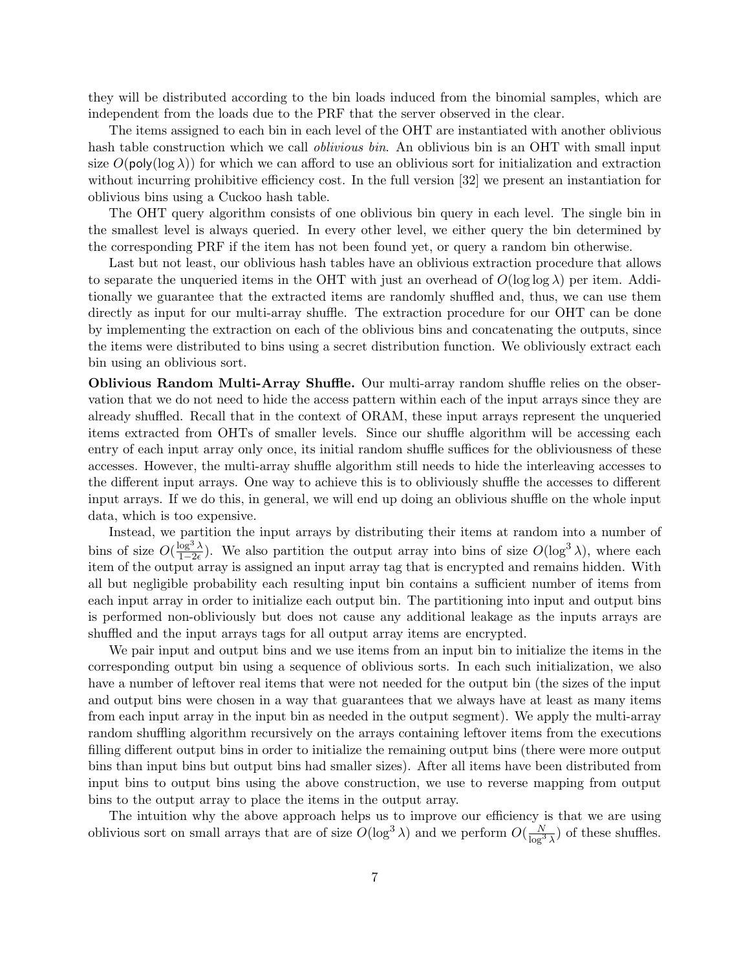they will be distributed according to the bin loads induced from the binomial samples, which are independent from the loads due to the PRF that the server observed in the clear.

The items assigned to each bin in each level of the OHT are instantiated with another oblivious hash table construction which we call *oblivious bin*. An oblivious bin is an OHT with small input size  $O(poly(\log \lambda))$  for which we can afford to use an oblivious sort for initialization and extraction without incurring prohibitive efficiency cost. In the full version [32] we present an instantiation for oblivious bins using a Cuckoo hash table.

The OHT query algorithm consists of one oblivious bin query in each level. The single bin in the smallest level is always queried. In every other level, we either query the bin determined by the corresponding PRF if the item has not been found yet, or query a random bin otherwise.

Last but not least, our oblivious hash tables have an oblivious extraction procedure that allows to separate the unqueried items in the OHT with just an overhead of  $O(\log \log \lambda)$  per item. Additionally we guarantee that the extracted items are randomly shuffled and, thus, we can use them directly as input for our multi-array shuffle. The extraction procedure for our OHT can be done by implementing the extraction on each of the oblivious bins and concatenating the outputs, since the items were distributed to bins using a secret distribution function. We obliviously extract each bin using an oblivious sort.

Oblivious Random Multi-Array Shuffle. Our multi-array random shuffle relies on the observation that we do not need to hide the access pattern within each of the input arrays since they are already shuffled. Recall that in the context of ORAM, these input arrays represent the unqueried items extracted from OHTs of smaller levels. Since our shuffle algorithm will be accessing each entry of each input array only once, its initial random shuffle suffices for the obliviousness of these accesses. However, the multi-array shuffle algorithm still needs to hide the interleaving accesses to the different input arrays. One way to achieve this is to obliviously shuffle the accesses to different input arrays. If we do this, in general, we will end up doing an oblivious shuffle on the whole input data, which is too expensive.

Instead, we partition the input arrays by distributing their items at random into a number of bins of size  $O(\frac{\log^3 \lambda}{1-\frac{2\epsilon}{\epsilon}})$  $\frac{\log^3 \lambda}{1-2\epsilon}$ ). We also partition the output array into bins of size  $O(\log^3 \lambda)$ , where each item of the output array is assigned an input array tag that is encrypted and remains hidden. With all but negligible probability each resulting input bin contains a sufficient number of items from each input array in order to initialize each output bin. The partitioning into input and output bins is performed non-obliviously but does not cause any additional leakage as the inputs arrays are shuffled and the input arrays tags for all output array items are encrypted.

We pair input and output bins and we use items from an input bin to initialize the items in the corresponding output bin using a sequence of oblivious sorts. In each such initialization, we also have a number of leftover real items that were not needed for the output bin (the sizes of the input and output bins were chosen in a way that guarantees that we always have at least as many items from each input array in the input bin as needed in the output segment). We apply the multi-array random shuffling algorithm recursively on the arrays containing leftover items from the executions filling different output bins in order to initialize the remaining output bins (there were more output bins than input bins but output bins had smaller sizes). After all items have been distributed from input bins to output bins using the above construction, we use to reverse mapping from output bins to the output array to place the items in the output array.

The intuition why the above approach helps us to improve our efficiency is that we are using oblivious sort on small arrays that are of size  $O(\log^3 \lambda)$  and we perform  $O(\frac{N}{\log^3 \lambda})$  of these shuffles.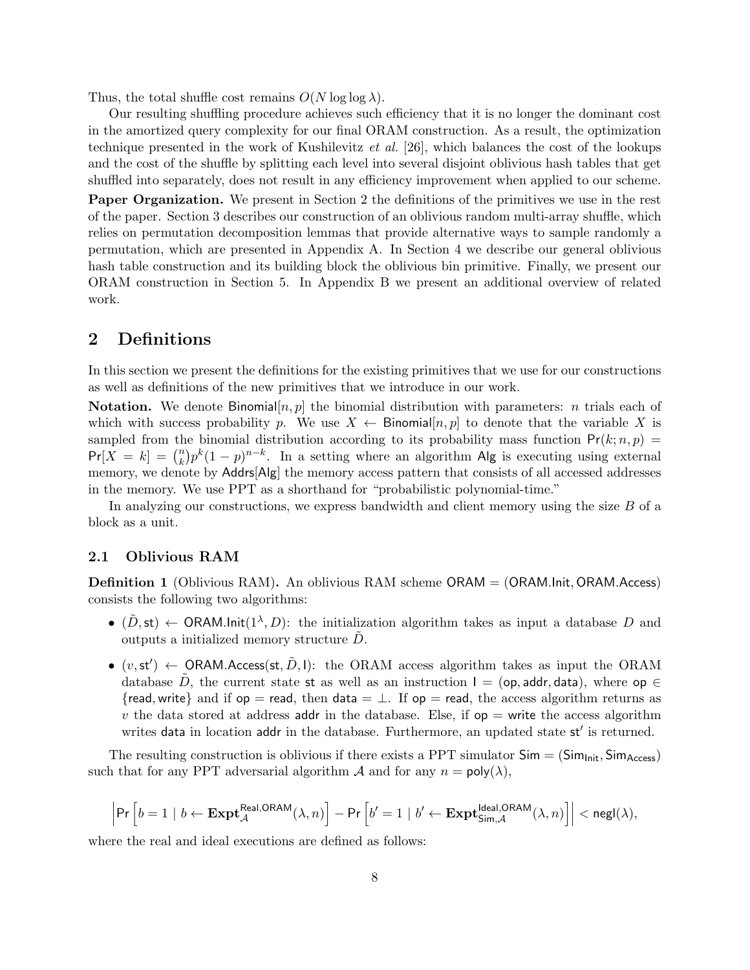Thus, the total shuffle cost remains  $O(N \log \log \lambda)$ .

Our resulting shuffling procedure achieves such efficiency that it is no longer the dominant cost in the amortized query complexity for our final ORAM construction. As a result, the optimization technique presented in the work of Kushilevitz et al. [26], which balances the cost of the lookups and the cost of the shuffle by splitting each level into several disjoint oblivious hash tables that get shuffled into separately, does not result in any efficiency improvement when applied to our scheme.

Paper Organization. We present in Section 2 the definitions of the primitives we use in the rest of the paper. Section 3 describes our construction of an oblivious random multi-array shuffle, which relies on permutation decomposition lemmas that provide alternative ways to sample randomly a permutation, which are presented in Appendix A. In Section 4 we describe our general oblivious hash table construction and its building block the oblivious bin primitive. Finally, we present our ORAM construction in Section 5. In Appendix B we present an additional overview of related work.

## 2 Definitions

In this section we present the definitions for the existing primitives that we use for our constructions as well as definitions of the new primitives that we introduce in our work.

**Notation.** We denote Binomial $[n, p]$  the binomial distribution with parameters: *n* trials each of which with success probability p. We use  $X \leftarrow \text{Binomial}[n, p]$  to denote that the variable X is sampled from the binomial distribution according to its probability mass function  $Pr(k; n, p)$  =  $Pr[X = k] = {n \choose k}$  $\binom{n}{k} p^k (1-p)^{n-k}$ . In a setting where an algorithm Alg is executing using external memory, we denote by Addrs[Alg] the memory access pattern that consists of all accessed addresses in the memory. We use PPT as a shorthand for "probabilistic polynomial-time."

In analyzing our constructions, we express bandwidth and client memory using the size B of a block as a unit.

#### 2.1 Oblivious RAM

**Definition 1** (Oblivious RAM). An oblivious RAM scheme ORAM = (ORAM.Init, ORAM.Access) consists the following two algorithms:

- $(\tilde{D}, \mathsf{st}) \leftarrow \mathsf{ORAM}.\mathsf{Init}(1^\lambda, D)$ : the initialization algorithm takes as input a database D and outputs a initialized memory structure  $\ddot{D}$ .
- $(v, st') \leftarrow \text{ORAM}.\text{Access}(\text{st}, \tilde{D}, I):$  the ORAM access algorithm takes as input the ORAM database D, the current state st as well as an instruction  $I = (op, addr, data),$  where  $op \in$ {read, write} and if  $op =$  read, then data  $= \perp$ . If  $op =$  read, the access algorithm returns as v the data stored at address addr in the database. Else, if  $op =$  write the access algorithm writes data in location addr in the database. Furthermore, an updated state st' is returned.

The resulting construction is oblivious if there exists a PPT simulator  $Sim = (Sim_{Init}, Sim_{Access})$ such that for any PPT adversarial algorithm  $\mathcal A$  and for any  $n = \text{poly}(\lambda)$ ,

$$
\left|\Pr\left[b=1 \mid b \leftarrow \textbf{Expt}_{\mathcal{A}}^{\text{Real,ORAM}}(\lambda,n)\right] - \Pr\left[b'=1 \mid b' \leftarrow \textbf{Expt}_{\text{Sim},\mathcal{A}}^{\text{Ideal,ORAM}}(\lambda,n)\right]\right| < \text{negl}(\lambda),
$$

where the real and ideal executions are defined as follows: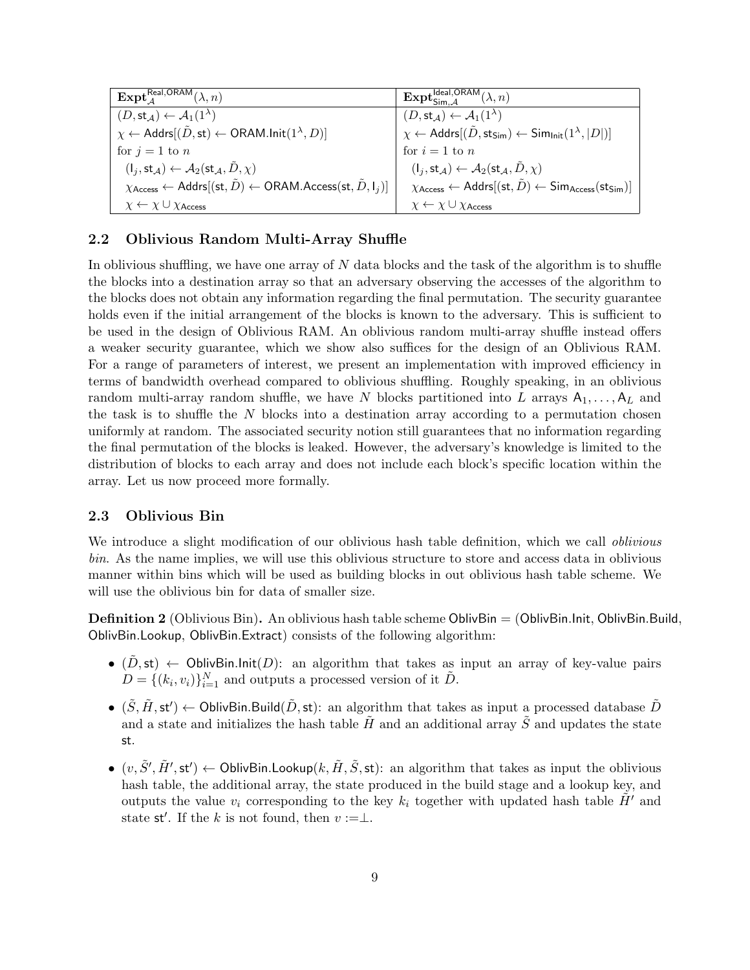| $\mathbf{Expt}_A^{\mathsf{Real},\mathsf{ORAM}}(\lambda,n)$                                                                                           | $\mathbf{Expl}^{\mathsf{Ideal},\mathsf{OR}\overline{\mathsf{AM}}}_{\mathsf{Sim}.\mathcal{A}}(\lambda,n)$                                     |
|------------------------------------------------------------------------------------------------------------------------------------------------------|----------------------------------------------------------------------------------------------------------------------------------------------|
| $(D, \text{st}_{\mathcal{A}}) \leftarrow \mathcal{A}_1(1^{\lambda})$                                                                                 | $(D, \mathsf{st}_{\mathcal{A}}) \leftarrow \mathcal{A}_1(1^{\lambda})$                                                                       |
| $\chi \leftarrow$ Addrs $[(\tilde{D}, \text{st}) \leftarrow \text{ORAM-Init}(1^{\lambda}, D)]$                                                       | $\chi \leftarrow$ Addrs $[(\tilde{D},\mathsf{sts}_{\mathsf{im}}) \leftarrow$ Sim <sub>Init</sub> $(1^{\lambda}, D )]$                        |
| for $j = 1$ to n                                                                                                                                     | for $i=1$ to n                                                                                                                               |
| $(I_j,\mathsf{st}_{\mathcal{A}}) \leftarrow \mathcal{A}_2(\mathsf{st}_{\mathcal{A}}, \tilde{D}, \chi)$                                               | $(I_i, \text{st}_{\mathcal{A}}) \leftarrow \mathcal{A}_2(\text{st}_{\mathcal{A}}, \tilde{D}, \chi)$                                          |
| $\chi_{\text{Access}} \leftarrow \text{Address}(\textsf{st}, \tilde{D}) \leftarrow \text{ORAM}.\text{Access}(\textsf{st}, \tilde{D}, \mathsf{I}_i) $ | $\chi_{\text{Access}} \leftarrow \text{Address}(\text{st}, \tilde{D}) \leftarrow \text{Sim}_{\text{Access}}(\text{sts}_{\text{sim}})\right)$ |
| $\chi \leftarrow \chi \cup \chi_{\text{Access}}$                                                                                                     | $\chi \leftarrow \chi \cup \chi_{\text{Access}}$                                                                                             |

### 2.2 Oblivious Random Multi-Array Shuffle

In oblivious shuffling, we have one array of  $N$  data blocks and the task of the algorithm is to shuffle the blocks into a destination array so that an adversary observing the accesses of the algorithm to the blocks does not obtain any information regarding the final permutation. The security guarantee holds even if the initial arrangement of the blocks is known to the adversary. This is sufficient to be used in the design of Oblivious RAM. An oblivious random multi-array shuffle instead offers a weaker security guarantee, which we show also suffices for the design of an Oblivious RAM. For a range of parameters of interest, we present an implementation with improved efficiency in terms of bandwidth overhead compared to oblivious shuffling. Roughly speaking, in an oblivious random multi-array random shuffle, we have N blocks partitioned into L arrays  $A_1, \ldots, A_L$  and the task is to shuffle the  $N$  blocks into a destination array according to a permutation chosen uniformly at random. The associated security notion still guarantees that no information regarding the final permutation of the blocks is leaked. However, the adversary's knowledge is limited to the distribution of blocks to each array and does not include each block's specific location within the array. Let us now proceed more formally.

### 2.3 Oblivious Bin

We introduce a slight modification of our oblivious hash table definition, which we call *oblivious* bin. As the name implies, we will use this oblivious structure to store and access data in oblivious manner within bins which will be used as building blocks in out oblivious hash table scheme. We will use the oblivious bin for data of smaller size.

**Definition 2** (Oblivious Bin). An oblivious hash table scheme OblivBin  $=$  (OblivBin.Init, OblivBin.Build, OblivBin.Lookup, OblivBin.Extract) consists of the following algorithm:

- $(D, st) \leftarrow$  OblivBin.Init $(D)$ : an algorithm that takes as input an array of key-value pairs  $D = \{(k_i, v_i)\}_{i=1}^N$  and outputs a processed version of it  $\tilde{D}$ .
- $(\tilde{S}, \tilde{H}, st') \leftarrow$  OblivBin.Build $(\tilde{D}, st)$ : an algorithm that takes as input a processed database  $\tilde{D}$ and a state and initializes the hash table  $\tilde{H}$  and an additional array  $\tilde{S}$  and updates the state st.
- $(v, \tilde{S}', \tilde{H}', \mathsf{st}') \leftarrow \mathsf{OblivBin.Lookup}(k, \tilde{H}, \tilde{S}, \mathsf{st})$ : an algorithm that takes as input the oblivious hash table, the additional array, the state produced in the build stage and a lookup key, and outputs the value  $v_i$  corresponding to the key  $k_i$  together with updated hash table  $\tilde{H}'$  and state st'. If the k is not found, then  $v := \perp$ .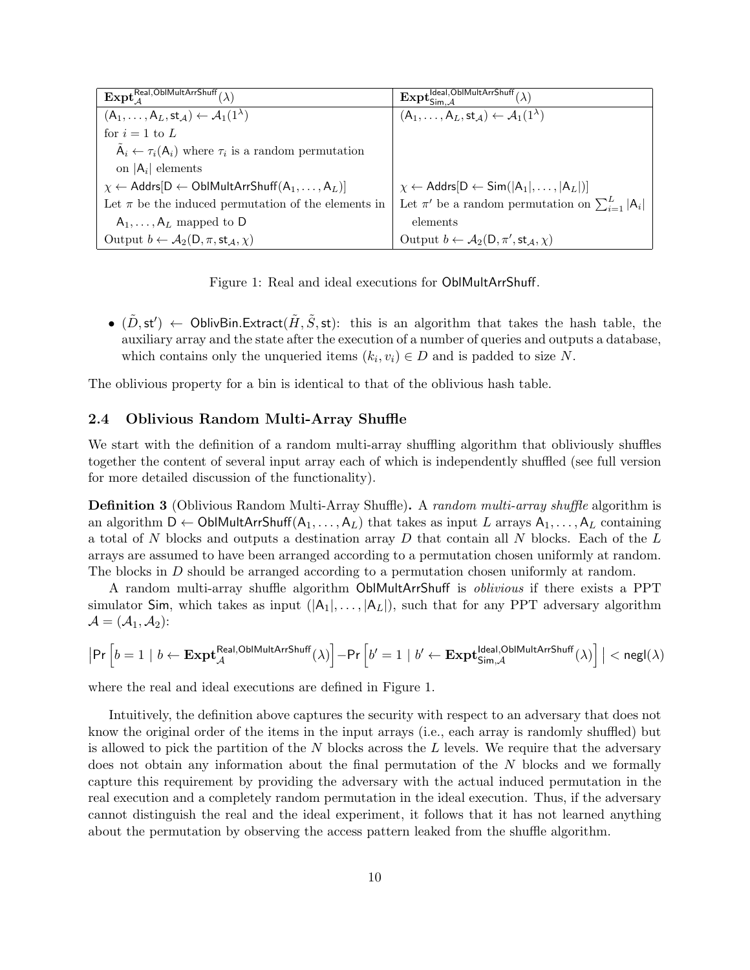| $\mathrm{Expt}_A^{\mathsf{Real},\mathsf{OblMultArrShuff}}(\lambda)$                | $\mathbf{Expl}^{\mathsf{Ideal},\mathsf{OblMultArrShuff}}_{\mathsf{Sim}.\mathcal{A}}(\lambda)$ |
|------------------------------------------------------------------------------------|-----------------------------------------------------------------------------------------------|
| $(A_1,\ldots,A_L,\mathsf{st}_{\mathcal{A}}) \leftarrow \mathcal{A}_1(1^{\lambda})$ | $(A_1,\ldots,A_L,\mathsf{st}_{\mathcal{A}}) \leftarrow \mathcal{A}_1(1^{\lambda})$            |
| for $i=1$ to L                                                                     |                                                                                               |
| $A_i \leftarrow \tau_i(A_i)$ where $\tau_i$ is a random permutation                |                                                                                               |
| on $ A_i $ elements                                                                |                                                                                               |
| $\chi \leftarrow$ Addrs $[D \leftarrow$ OblMultArrShuff $(A_1, \ldots, A_L)]$      | $\chi \leftarrow$ Addrs $[D \leftarrow$ Sim $( A_1 , \ldots,  A_L )]$                         |
| Let $\pi$ be the induced permutation of the elements in                            | Let $\pi'$ be a random permutation on $\sum_{i=1}^{L}  A_i $                                  |
| $A_1, \ldots, A_L$ mapped to D                                                     | elements                                                                                      |
| Output $b \leftarrow A_2(D, \pi, st_A, \chi)$                                      | Output $b \leftarrow \mathcal{A}_2(D, \pi', \mathsf{st}_\mathcal{A}, \chi)$                   |

Figure 1: Real and ideal executions for OblMultArrShuff.

•  $(\tilde{D}, \mathsf{st}') \leftarrow \mathsf{OblivBin}.\mathsf{Extract}(\tilde{H}, \tilde{S}, \mathsf{st}):$  this is an algorithm that takes the hash table, the auxiliary array and the state after the execution of a number of queries and outputs a database, which contains only the unqueried items  $(k_i, v_i) \in D$  and is padded to size N.

The oblivious property for a bin is identical to that of the oblivious hash table.

### 2.4 Oblivious Random Multi-Array Shuffle

We start with the definition of a random multi-array shuffling algorithm that obliviously shuffles together the content of several input array each of which is independently shuffled (see full version for more detailed discussion of the functionality).

**Definition 3** (Oblivious Random Multi-Array Shuffle). A random multi-array shuffle algorithm is an algorithm  $D \leftarrow \text{OblMultArrShuff}(A_1, \ldots, A_L)$  that takes as input L arrays  $A_1, \ldots, A_L$  containing a total of N blocks and outputs a destination array D that contain all N blocks. Each of the  $L$ arrays are assumed to have been arranged according to a permutation chosen uniformly at random. The blocks in D should be arranged according to a permutation chosen uniformly at random.

A random multi-array shuffle algorithm OblMultArrShuff is oblivious if there exists a PPT simulator Sim, which takes as input  $(|A_1|, \ldots, |A_L|)$ , such that for any PPT adversary algorithm  $\mathcal{A} = (\mathcal{A}_1, \mathcal{A}_2)$ :

$$
\big|\Pr\Big[b=1 \mid b \leftarrow \textbf{Expt}_{\mathcal{A}}^{\text{Real,ObIMultArrShuff}}(\lambda)\Big] - \Pr\Big[b' = 1 \mid b' \leftarrow \textbf{Expt}_{\text{Sim},\mathcal{A}}^{\text{Ideal,ObIMultArrShuff}}(\lambda)\Big] \big| < \text{negl}(\lambda)
$$

where the real and ideal executions are defined in Figure 1.

Intuitively, the definition above captures the security with respect to an adversary that does not know the original order of the items in the input arrays (i.e., each array is randomly shuffled) but is allowed to pick the partition of the  $N$  blocks across the  $L$  levels. We require that the adversary does not obtain any information about the final permutation of the N blocks and we formally capture this requirement by providing the adversary with the actual induced permutation in the real execution and a completely random permutation in the ideal execution. Thus, if the adversary cannot distinguish the real and the ideal experiment, it follows that it has not learned anything about the permutation by observing the access pattern leaked from the shuffle algorithm.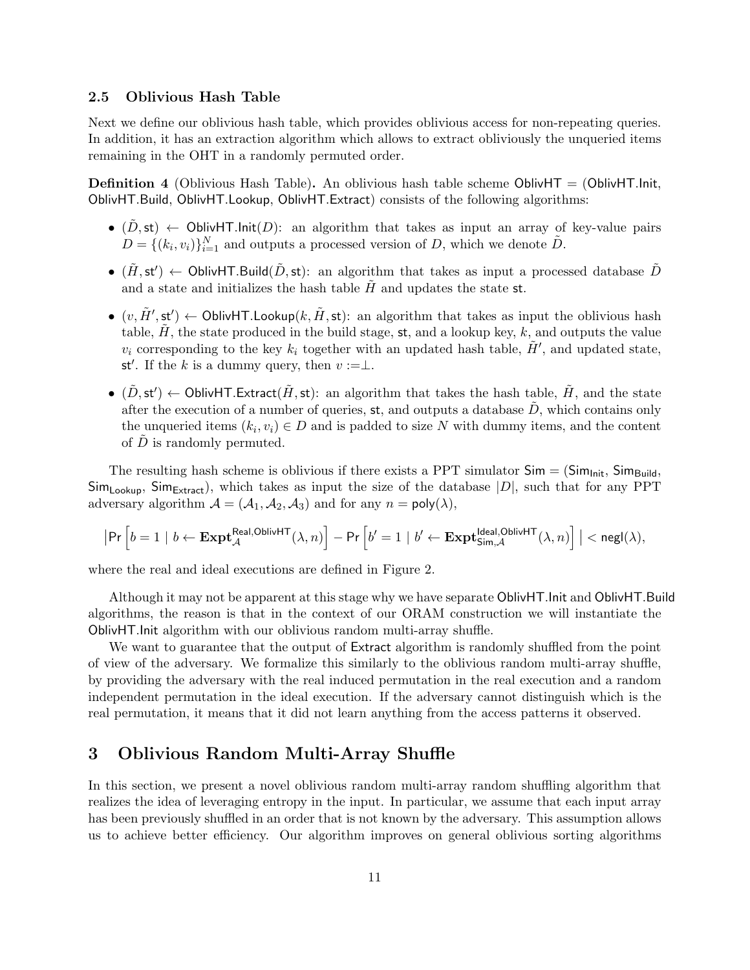#### 2.5 Oblivious Hash Table

Next we define our oblivious hash table, which provides oblivious access for non-repeating queries. In addition, it has an extraction algorithm which allows to extract obliviously the unqueried items remaining in the OHT in a randomly permuted order.

**Definition 4** (Oblivious Hash Table). An oblivious hash table scheme OblivHT = (OblivHT.Init, OblivHT.Build, OblivHT.Lookup, OblivHT.Extract) consists of the following algorithms:

- (D, st)  $\leftarrow$  OblivHT.Init(D): an algorithm that takes as input an array of key-value pairs  $D = \{(k_i, v_i)\}_{i=1}^N$  and outputs a processed version of D, which we denote  $\tilde{D}$ .
- $(\tilde{H}, \mathsf{st}') \leftarrow \mathsf{OblivHT}.\mathsf{Build}(\tilde{D}, \mathsf{st})$ : an algorithm that takes as input a processed database  $\tilde{D}$ and a state and initializes the hash table  $\tilde{H}$  and updates the state st.
- $(v, \tilde{H}', \mathsf{st}') \leftarrow \mathsf{OblivHT.Lookup}(k, \tilde{H}, \mathsf{st})$ : an algorithm that takes as input the oblivious hash table,  $\hat{H}$ , the state produced in the build stage, st, and a lookup key, k, and outputs the value  $v_i$  corresponding to the key  $k_i$  together with an updated hash table,  $\tilde{H}'$ , and updated state, st'. If the k is a dummy query, then  $v := \perp$ .
- $(\tilde{D}, \mathsf{st}') \leftarrow \mathsf{OblivHT}.\mathsf{Extract}(\tilde{H}, \mathsf{st})$ : an algorithm that takes the hash table,  $\tilde{H}$ , and the state after the execution of a number of queries, st, and outputs a database  $\ddot{D}$ , which contains only the unqueried items  $(k_i, v_i) \in D$  and is padded to size N with dummy items, and the content of  $D$  is randomly permuted.

The resulting hash scheme is oblivious if there exists a PPT simulator  $Sim = (Sim_{Init}, Sim_{Build},$  $Sim_{Looking}$ ,  $Sim_{Extract}$ , which takes as input the size of the database  $|D|$ , such that for any PPT adversary algorithm  $A = (A_1, A_2, A_3)$  and for any  $n = \text{poly}(\lambda)$ ,

$$
\big|\Pr\Big[b=1 \mid b \leftarrow \mathbf{Expt}_{\mathcal{A}}^{\mathsf{Real,OblivHT}}(\lambda,n)\Big] - \Pr\Big[b' = 1 \mid b' \leftarrow \mathbf{Expt}_{\mathsf{Sim},\mathcal{A}}^{\mathsf{Ideal,OblivHT}}(\lambda,n)\Big] \big| < \mathsf{negl}(\lambda),
$$

where the real and ideal executions are defined in Figure 2.

Although it may not be apparent at this stage why we have separate OblivHT.Init and OblivHT.Build algorithms, the reason is that in the context of our ORAM construction we will instantiate the OblivHT.Init algorithm with our oblivious random multi-array shuffle.

We want to guarantee that the output of Extract algorithm is randomly shuffled from the point of view of the adversary. We formalize this similarly to the oblivious random multi-array shuffle, by providing the adversary with the real induced permutation in the real execution and a random independent permutation in the ideal execution. If the adversary cannot distinguish which is the real permutation, it means that it did not learn anything from the access patterns it observed.

### 3 Oblivious Random Multi-Array Shuffle

In this section, we present a novel oblivious random multi-array random shuffling algorithm that realizes the idea of leveraging entropy in the input. In particular, we assume that each input array has been previously shuffled in an order that is not known by the adversary. This assumption allows us to achieve better efficiency. Our algorithm improves on general oblivious sorting algorithms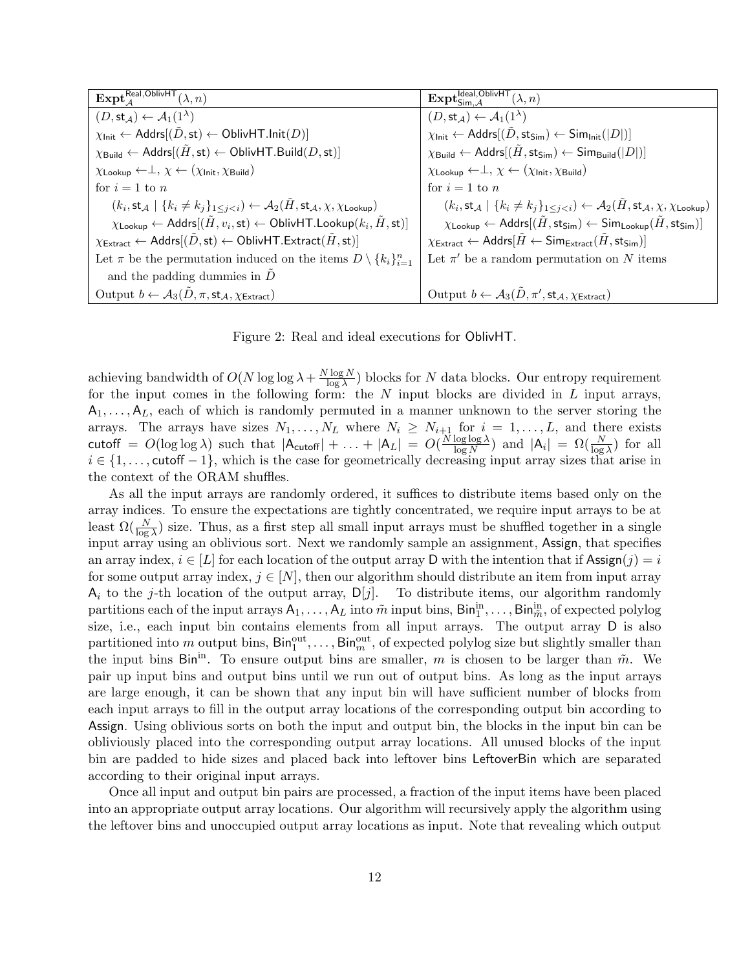| $\mathbf{Expt}_{A}^{\mathsf{Real},\mathsf{OblivHT}}(\lambda,n)$                                                                                           | $\mathbf{Expt}_{\mathsf{Sim}.\mathcal{A}}^{\mathsf{Ideal},\mathsf{OblivHT}}(\lambda,n)$                                                                                         |
|-----------------------------------------------------------------------------------------------------------------------------------------------------------|---------------------------------------------------------------------------------------------------------------------------------------------------------------------------------|
| $(D, \mathsf{st}_{\mathcal{A}}) \leftarrow \mathcal{A}_1(1^{\lambda})$                                                                                    | $(D, \text{st}_{\mathcal{A}}) \leftarrow \mathcal{A}_1(1^{\lambda})$                                                                                                            |
| $\chi_{\text{Init}} \leftarrow$ Addrs $[(\tilde{D}, \text{st}) \leftarrow$ OblivHT.lnit $(D)]$                                                            | $\chi_{\text{Init}} \leftarrow$ Addrs $[(\tilde{D}, \mathsf{sts}_{\text{lim}}) \leftarrow$ Sim <sub>Init</sub> $( D )]$                                                         |
| $\chi_{\text{Build}} \leftarrow$ Addrs $[(\tilde{H}, \text{st}) \leftarrow$ OblivHT.Build $(D, \text{st})]$                                               | $\chi_{\mathsf{Build}} \leftarrow \mathsf{Address}[(H, \mathsf{sts}_{\mathsf{sim}}) \leftarrow \mathsf{Sim}_{\mathsf{Build}}( D )]$                                             |
| $\chi$ Lookup $\leftarrow \perp, \chi \leftarrow (\chi_{\text{Init}}, \chi_{\text{Build}})$                                                               | $\chi$ Lookup $\leftarrow \perp, \chi \leftarrow (\chi_{\text{Init}}, \chi_{\text{Build}})$                                                                                     |
| for $i=1$ to n                                                                                                                                            | for $i=1$ to n                                                                                                                                                                  |
| $(k_i, \text{st}_{\mathcal{A}} \mid \{k_i \neq k_j\}_{1 \leq i \leq i}) \leftarrow \mathcal{A}_2(H, \text{st}_{\mathcal{A}}, \chi, \chi_{\text{Lookup}})$ | $(k_i, \text{st}_{\mathcal{A}} \mid \{k_i \neq k_j\}_{1 \leq j \leq i}) \leftarrow \mathcal{A}_2(H, \text{st}_{\mathcal{A}}, \chi, \chi_{\text{Lookup}})$                       |
| $\chi_{\text{Looking}} \leftarrow$ Addrs $[(\tilde{H}, v_i, st) \leftarrow$ OblivHT. Lookup $(k_i, \tilde{H}, st)]$                                       | $\chi_{\mathsf{Looking}} \leftarrow \mathsf{Address}[(\tilde{H},\mathsf{sts}_{\mathsf{sim}}) \leftarrow \mathsf{Sim}_{\mathsf{Lookup}}(\tilde{H},\mathsf{sts}_{\mathsf{sim}})]$ |
| $\chi_{\mathsf{Extract}} \leftarrow \mathsf{Address}[(\tilde{D}, \mathsf{st}) \leftarrow \mathsf{OblivHT}.\mathsf{Extract}(\tilde{H}, \mathsf{st})]$      | $\chi_{\text{Extract}} \leftarrow \text{Address}[H \leftarrow \text{Sim}_{\text{Extract}}(H, \text{sts}_{\text{im}})]$                                                          |
| Let $\pi$ be the permutation induced on the items $D \setminus \{k_i\}_{i=1}^n$                                                                           | Let $\pi'$ be a random permutation on N items                                                                                                                                   |
| and the padding dummies in $\ddot{D}$                                                                                                                     |                                                                                                                                                                                 |
| Output $b \leftarrow A_3(\tilde{D}, \pi, \mathsf{st}_{\mathcal{A}}, \chi_{\mathsf{Extract}})$                                                             | Output $b \leftarrow A_3(\tilde{D}, \pi', \text{st}_{\mathcal{A}}, \chi_{\text{Extract}})$                                                                                      |

Figure 2: Real and ideal executions for OblivHT.

achieving bandwidth of  $O(N \log \log \lambda + \frac{N \log N}{\log \lambda})$  $\frac{\log N}{\log \lambda}$ ) blocks for N data blocks. Our entropy requirement for the input comes in the following form: the  $N$  input blocks are divided in  $L$  input arrays,  $A_1, \ldots, A_L$ , each of which is randomly permuted in a manner unknown to the server storing the arrays. The arrays have sizes  $N_1, \ldots, N_L$  where  $N_i \geq N_{i+1}$  for  $i = 1, \ldots, L$ , and there exists cutoff =  $O(\log \log \lambda)$  such that  $|A_{\text{cutoff}}| + \ldots + |A_L| = O(\frac{N \log \log \lambda}{\log N})$  $\frac{\log \log \lambda}{\log N}$  and  $|A_i| = \Omega(\frac{N}{\log \lambda})$  for all  $i \in \{1, \ldots, \text{cutoff}-1\}$ , which is the case for geometrically decreasing input array sizes that arise in the context of the ORAM shuffles.

As all the input arrays are randomly ordered, it suffices to distribute items based only on the array indices. To ensure the expectations are tightly concentrated, we require input arrays to be at least  $\Omega(\frac{N}{\log \lambda})$  size. Thus, as a first step all small input arrays must be shuffled together in a single input array using an oblivious sort. Next we randomly sample an assignment, Assign, that specifies an array index,  $i \in [L]$  for each location of the output array D with the intention that if Assign $(j) = i$ for some output array index,  $j \in [N]$ , then our algorithm should distribute an item from input array  $A_i$  to the j-th location of the output array,  $D[j]$ . To distribute items, our algorithm randomly partitions each of the input arrays  $A_1, \ldots, A_L$  into  $\tilde{m}$  input bins,  $\textsf{Bin}_{1}^{\text{in}}, \ldots, \textsf{Bin}_{\tilde{m}}^{\text{in}}$ , of expected polylog size, i.e., each input bin contains elements from all input arrays. The output array D is also partitioned into m output bins,  $\textsf{Bin}_{1}^{\textsf{out}}, \ldots, \textsf{Bin}_{m}^{\textsf{out}},$  of expected polylog size but slightly smaller than the input bins Bin<sup>in</sup>. To ensure output bins are smaller, m is chosen to be larger than  $\tilde{m}$ . We pair up input bins and output bins until we run out of output bins. As long as the input arrays are large enough, it can be shown that any input bin will have sufficient number of blocks from each input arrays to fill in the output array locations of the corresponding output bin according to Assign. Using oblivious sorts on both the input and output bin, the blocks in the input bin can be obliviously placed into the corresponding output array locations. All unused blocks of the input bin are padded to hide sizes and placed back into leftover bins LeftoverBin which are separated according to their original input arrays.

Once all input and output bin pairs are processed, a fraction of the input items have been placed into an appropriate output array locations. Our algorithm will recursively apply the algorithm using the leftover bins and unoccupied output array locations as input. Note that revealing which output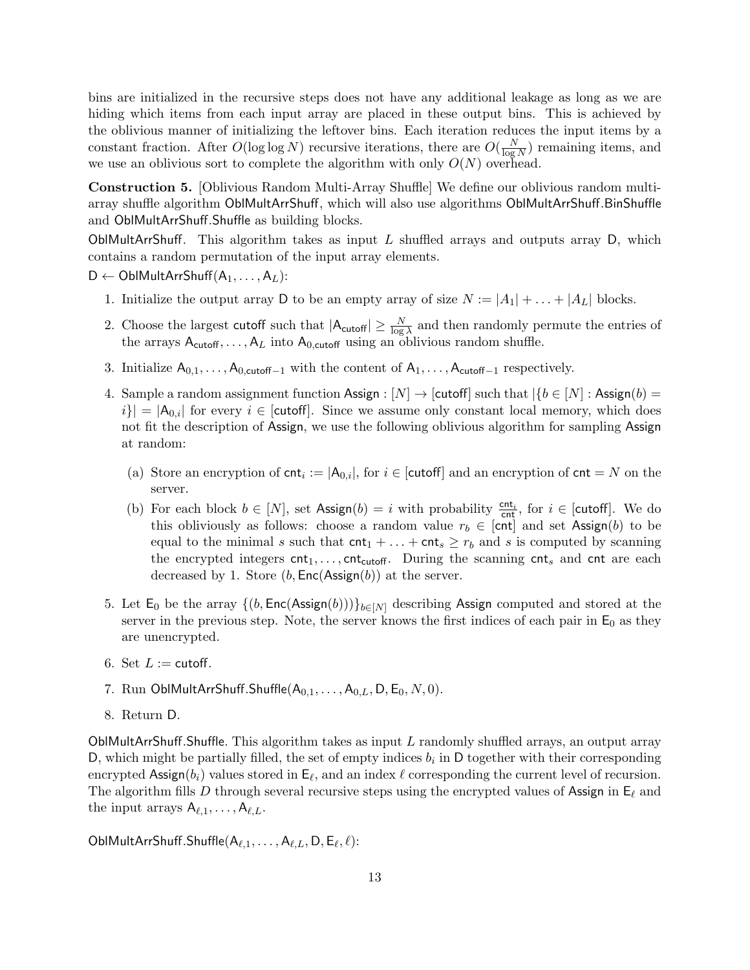bins are initialized in the recursive steps does not have any additional leakage as long as we are hiding which items from each input array are placed in these output bins. This is achieved by the oblivious manner of initializing the leftover bins. Each iteration reduces the input items by a constant fraction. After  $O(\log \log N)$  recursive iterations, there are  $O(\frac{N}{\log N})$  $\frac{N}{\log N}$ ) remaining items, and we use an oblivious sort to complete the algorithm with only  $O(N)$  overhead.

Construction 5. [Oblivious Random Multi-Array Shuffle] We define our oblivious random multiarray shuffle algorithm OblMultArrShuff, which will also use algorithms OblMultArrShuff.BinShuffle and OblMultArrShuff.Shuffle as building blocks.

OblMultArrShuff. This algorithm takes as input  $L$  shuffled arrays and outputs array  $D$ , which contains a random permutation of the input array elements.

 $D \leftarrow \text{OblMultArrShuff}(A_1, \ldots, A_L)$ :

- 1. Initialize the output array D to be an empty array of size  $N := |A_1| + \ldots + |A_L|$  blocks.
- 2. Choose the largest cutoff such that  $|A_{\text{cutoff}}| \geq \frac{N}{\log \lambda}$  and then randomly permute the entries of the arrays  $A_{\text{cutoff}}, \ldots, A_L$  into  $A_{0,\text{cutoff}}$  using an oblivious random shuffle.
- 3. Initialize  $A_{0,1}, \ldots, A_{0,\text{cutoff}-1}$  with the content of  $A_1, \ldots, A_{\text{cutoff}-1}$  respectively.
- 4. Sample a random assignment function Assign :  $[N] \rightarrow$  [cutoff] such that  $\{b \in [N] : \text{Assign}(b) =$  $|i| = |A_{0,i}|$  for every  $i \in$  [cutoff]. Since we assume only constant local memory, which does not fit the description of Assign, we use the following oblivious algorithm for sampling Assign at random:
	- (a) Store an encryption of  $\text{cnt}_i := |A_{0,i}|$ , for  $i \in [\text{cutoff}]$  and an encryption of  $\text{cnt} = N$  on the server.
	- (b) For each block  $b \in [N]$ , set  $\text{Assign}(b) = i$  with probability  $\frac{\text{cnt}_i}{\text{cnt}}$ , for  $i \in [\text{cutoff}]$ . We do this obliviously as follows: choose a random value  $r_b \in [cnt]$  and set Assign(b) to be equal to the minimal s such that  $\text{cnt}_1 + ... + \text{cnt}_s \ge r_b$  and s is computed by scanning the encrypted integers  $\mathsf{cnt}_1, \ldots, \mathsf{cnt}_{\mathsf{cutoff}}$ . During the scanning  $\mathsf{cnt}_s$  and  $\mathsf{cnt}$  are each decreased by 1. Store  $(b, Enc(Assign(b))$  at the server.
- 5. Let  $E_0$  be the array  $\{(b, Enc(Assign(b)))\}_{b \in [N]}$  describing Assign computed and stored at the server in the previous step. Note, the server knows the first indices of each pair in  $E_0$  as they are unencrypted.
- 6. Set  $L :=$  cutoff.
- 7. Run OblMultArrShuff.Shuffle $(A_{0,1},\ldots,A_{0,L},D,E_0,N,0)$ .
- 8. Return D.

OblMultArrShuff.Shuffle. This algorithm takes as input  $L$  randomly shuffled arrays, an output array D, which might be partially filled, the set of empty indices  $b_i$  in D together with their corresponding encrypted Assign $(b_i)$  values stored in  $\mathsf{E}_{\ell}$ , and an index  $\ell$  corresponding the current level of recursion. The algorithm fills D through several recursive steps using the encrypted values of Assign in  $E_\ell$  and the input arrays  $A_{\ell,1}, \ldots, A_{\ell,L}$ .

 ${\sf OblMultArrShuff.Shuffle}({\sf A}_{\ell,1},\ldots,{\sf A}_{\ell,L}, {\sf D},{\sf E}_\ell,\ell)$ :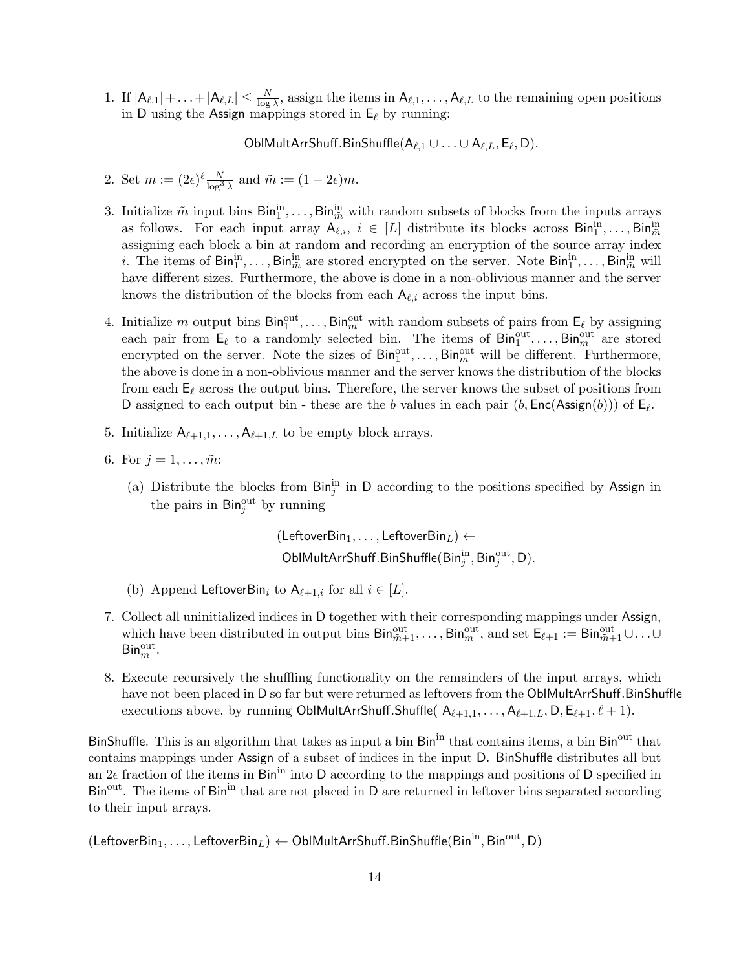1. If  $|A_{\ell,1}| + \ldots + |A_{\ell,L}| \leq \frac{N}{\log \lambda}$ , assign the items in  $A_{\ell,1}, \ldots, A_{\ell,L}$  to the remaining open positions in D using the Assign mappings stored in  $E_\ell$  by running:

OblMultArrShuff.BinShuffle $(A_{\ell,1} \cup \ldots \cup A_{\ell,L}, E_{\ell}, D)$ .

- 2. Set  $m := (2\epsilon)^{\ell} \frac{N}{\log^3 \lambda}$  and  $\tilde{m} := (1 2\epsilon)m$ .
- 3. Initialize  $\tilde{m}$  input bins  $\text{Bin}_{1}^{\text{in}}, \ldots, \text{Bin}_{\tilde{m}}^{\text{in}}$  with random subsets of blocks from the inputs arrays as follows. For each input array  $A_{\ell,i}, i \in [L]$  distribute its blocks across  $\text{Bin}_{1}^{\text{in}}, \ldots, \text{Bin}_{\tilde{m}}^{\text{in}}$ assigning each block a bin at random and recording an encryption of the source array index *i*. The items of  $\text{Bin}_{1}^{\text{in}}, \ldots, \text{Bin}_{\tilde{m}}^{\text{in}}$  are stored encrypted on the server. Note  $\text{Bin}_{1}^{\text{in}}, \ldots, \text{Bin}_{\tilde{m}}^{\text{in}}$  will have different sizes. Furthermore, the above is done in a non-oblivious manner and the server knows the distribution of the blocks from each  $A_{\ell,i}$  across the input bins.
- 4. Initialize m output bins  $\text{Bin}_{1}^{\text{out}}, \ldots, \text{Bin}_{m}^{\text{out}}$  with random subsets of pairs from  $\mathsf{E}_{\ell}$  by assigning each pair from  $\mathsf{E}_{\ell}$  to a randomly selected bin. The items of  $\mathsf{Bin}_{1}^{\text{out}}, \ldots, \mathsf{Bin}_{m}^{\text{out}}$  are stored encrypted on the server. Note the sizes of  $\text{Bin}_{1}^{\text{out}}, \ldots, \text{Bin}_{m}^{\text{out}}$  will be different. Furthermore, the above is done in a non-oblivious manner and the server knows the distribution of the blocks from each  $\mathsf{E}_\ell$  across the output bins. Therefore, the server knows the subset of positions from D assigned to each output bin - these are the b values in each pair  $(b, Enc(Assign(b)))$  of  $E_{\ell}$ .
- 5. Initialize  $A_{\ell+1,1}, \ldots, A_{\ell+1,L}$  to be empty block arrays.
- 6. For  $j = 1, ..., \tilde{m}$ :
	- (a) Distribute the blocks from  $\text{Bin}_{j}^{\text{in}}$  in D according to the positions specified by Assign in the pairs in  $\text{Bin}_{j}^{\text{out}}$  by running

(LeftoverBin<sub>1</sub>, ..., LeftoverBin<sub>L</sub>)  $\leftarrow$  $\mathsf{OblMultArrShuff.BinShuffle}(\mathsf{Bin}^{\text{in}}_{j}, \mathsf{Bin}^{\text{out}}_{j}, \mathsf{D}).$ 

- (b) Append LeftoverBin<sub>i</sub> to  $A_{\ell+1,i}$  for all  $i \in [L]$ .
- 7. Collect all uninitialized indices in D together with their corresponding mappings under Assign, which have been distributed in output bins  $\textsf{Bin}_{\tilde{m}+1}^{\text{out}}, \ldots, \textsf{Bin}_{m}^{\text{out}},$  and set  $\textsf{E}_{\ell+1} := \textsf{Bin}_{\tilde{m}+1}^{\text{out}} \cup \ldots \cup$  $\mathsf{Bin}^{\rm out}_m$ .
- 8. Execute recursively the shuffling functionality on the remainders of the input arrays, which have not been placed in D so far but were returned as leftovers from the OblMultArrShuff.BinShuffle executions above, by running OblMultArrShuff.Shuffle(  $A_{\ell+1,1}, \ldots, A_{\ell+1,L}, D, E_{\ell+1}, \ell+1$ ).

BinShuffle. This is an algorithm that takes as input a bin Bin<sup>in</sup> that contains items, a bin Bin<sup>out</sup> that contains mappings under Assign of a subset of indices in the input D. BinShuffle distributes all but an  $2\epsilon$  fraction of the items in Bin<sup>in</sup> into D according to the mappings and positions of D specified in Bin<sup>out</sup>. The items of Bin<sup>in</sup> that are not placed in D are returned in leftover bins separated according to their input arrays.

 $(\mathsf{LeftoverBin}_1,\ldots,\mathsf{LeftoverBin}_L) \leftarrow \mathsf{OblMultArrShuff}.\mathsf{BinShuffle}(\mathsf{Bin}^{\text{in}},\mathsf{Bin}^{\text{out}},\mathsf{D})$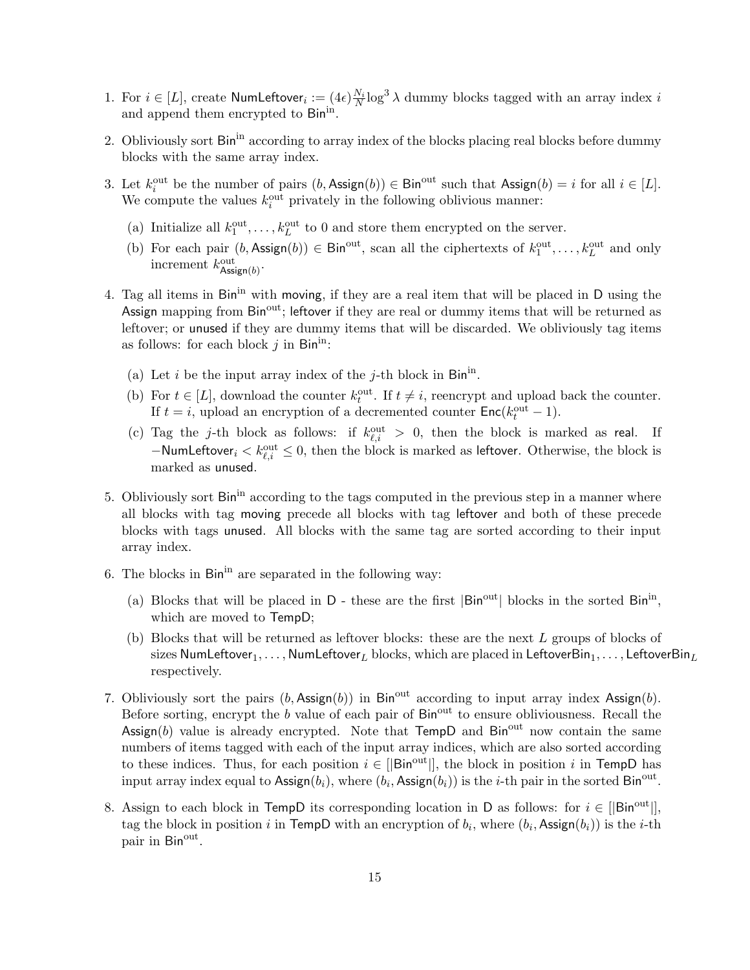- 1. For  $i \in [L]$ , create NumLeftover $i := (4\epsilon) \frac{N_i}{N} \log^3 \lambda$  dummy blocks tagged with an array index i and append them encrypted to Binin.
- 2. Obliviously sort Bin<sup>in</sup> according to array index of the blocks placing real blocks before dummy blocks with the same array index.
- 3. Let  $k_i^{\text{out}}$  be the number of pairs  $(b, \text{Assign}(b)) \in \text{Bin}^{\text{out}}$  such that  $\text{Assign}(b) = i$  for all  $i \in [L]$ . We compute the values  $k_i^{\text{out}}$  privately in the following oblivious manner:
	- (a) Initialize all  $k_1^{\text{out}}, \ldots, k_L^{\text{out}}$  to 0 and store them encrypted on the server.
	- (b) For each pair  $(b, \text{Assign}(b)) \in \text{Bin}^{\text{out}}$ , scan all the ciphertexts of  $k_1^{\text{out}}, \ldots, k_L^{\text{out}}$  and only increment  $k_{\text{Assign}(b)}^{\text{out}}$ .
- 4. Tag all items in Bin<sup>in</sup> with moving, if they are a real item that will be placed in D using the Assign mapping from  $Bin^{out}$ ; leftover if they are real or dummy items that will be returned as leftover; or unused if they are dummy items that will be discarded. We obliviously tag items as follows: for each block  $j$  in Bin<sup>in</sup>:
	- (a) Let i be the input array index of the j-th block in  $\mathsf{Bin}^{\text{in}}$ .
	- (b) For  $t \in [L]$ , download the counter  $k_t^{\text{out}}$ . If  $t \neq i$ , reencrypt and upload back the counter. If  $t = i$ , upload an encryption of a decremented counter  $Enc(k_t^{\text{out}} - 1)$ .
	- (c) Tag the j-th block as follows: if  $k_{\ell,i}^{\text{out}} > 0$ , then the block is marked as real. If  $-\textsf{Number}_i < k_{\ell,i}^{\text{out}} \leq 0$ , then the block is marked as leftover. Otherwise, the block is marked as unused.
- 5. Obliviously sort Bin<sup>in</sup> according to the tags computed in the previous step in a manner where all blocks with tag moving precede all blocks with tag leftover and both of these precede blocks with tags unused. All blocks with the same tag are sorted according to their input array index.
- 6. The blocks in  $\text{Bin}^{\text{in}}$  are separated in the following way:
	- (a) Blocks that will be placed in  $D$  these are the first  $|\text{Bin}^{\text{out}}|$  blocks in the sorted  $\text{Bin}^{\text{in}}$ , which are moved to TempD;
	- (b) Blocks that will be returned as leftover blocks: these are the next L groups of blocks of sizes NumLeftover<sub>1</sub>, ..., NumLeftover<sub>L</sub> blocks, which are placed in LeftoverBin<sub>1</sub>, ..., LeftoverBin<sub>L</sub> respectively.
- 7. Obliviously sort the pairs  $(b, \text{Assign}(b))$  in Bin<sup>out</sup> according to input array index Assign(b). Before sorting, encrypt the  $b$  value of each pair of  $\text{Bin}^{\text{out}}$  to ensure obliviousness. Recall the Assign(b) value is already encrypted. Note that  $TempD$  and  $Bin<sup>out</sup>$  now contain the same numbers of items tagged with each of the input array indices, which are also sorted according to these indices. Thus, for each position  $i \in [|\text{Bin}^{\text{out}}|]$ , the block in position i in TempD has input array index equal to Assign $(b_i)$ , where  $(b_i, \text{Assign}(b_i))$  is the *i*-th pair in the sorted Bin<sup>out</sup>.
- 8. Assign to each block in TempD its corresponding location in D as follows: for  $i \in [|\text{Bin}^{\text{out}}|]$ , tag the block in position i in TempD with an encryption of  $b_i$ , where  $(b_i, \text{Assign}(b_i))$  is the i-th pair in Bin<sup>out</sup>.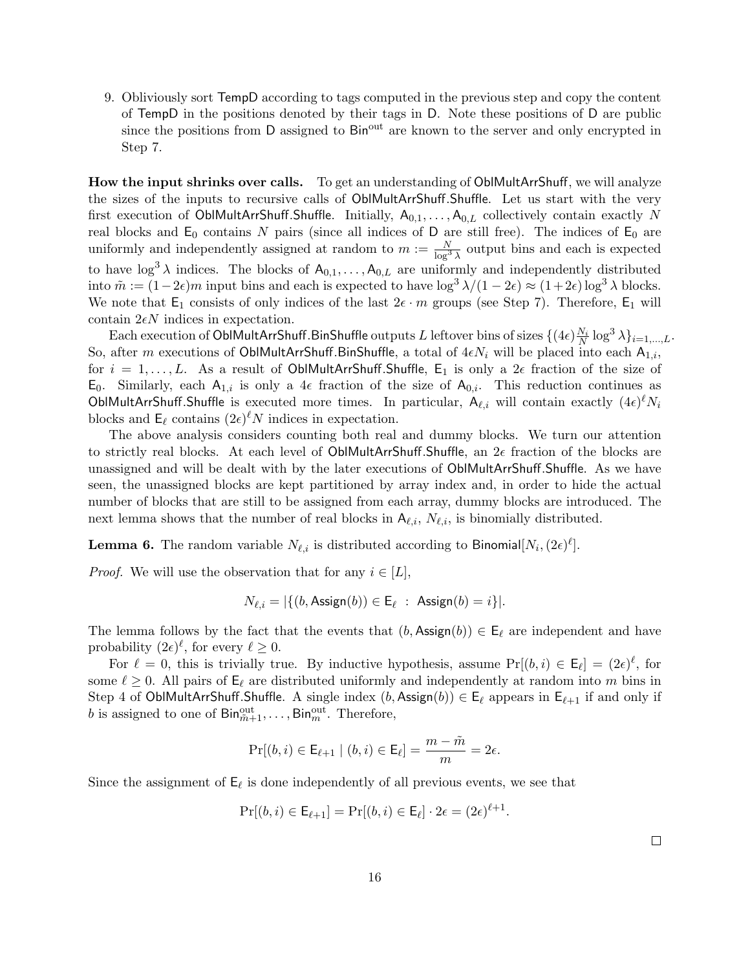9. Obliviously sort TempD according to tags computed in the previous step and copy the content of TempD in the positions denoted by their tags in D. Note these positions of D are public since the positions from D assigned to Bin<sup>out</sup> are known to the server and only encrypted in Step 7.

How the input shrinks over calls. To get an understanding of OblMultArrShuff, we will analyze the sizes of the inputs to recursive calls of OblMultArrShuff.Shuffle. Let us start with the very first execution of OblMultArrShuff.Shuffle. Initially,  $A_{0,1}, \ldots, A_{0,L}$  collectively contain exactly N real blocks and  $E_0$  contains N pairs (since all indices of D are still free). The indices of  $E_0$  are uniformly and independently assigned at random to  $m := \frac{N}{\log^3 \lambda}$  output bins and each is expected to have  $\log^3 \lambda$  indices. The blocks of  $A_{0,1}, \ldots, A_{0,L}$  are uniformly and independently distributed into  $\tilde{m} := (1-2\epsilon)m$  input bins and each is expected to have  $\log^3 \lambda/(1-2\epsilon) \approx (1+2\epsilon)\log^3 \lambda$  blocks. We note that  $E_1$  consists of only indices of the last  $2\epsilon \cdot m$  groups (see Step 7). Therefore,  $E_1$  will contain  $2\epsilon N$  indices in expectation.

Each execution of <code>OblMultArrShuff.BinShuffle</code> outputs  $L$  leftover bins of sizes  $\{(4\epsilon)\frac{N_i}{N}\log^3\lambda\}_{i=1,...,L}.$ So, after m executions of OblMultArrShuff.BinShuffle, a total of  $4\epsilon N_i$  will be placed into each  $A_{1,i}$ , for  $i = 1, \ldots, L$ . As a result of OblMultArrShuff.Shuffle,  $E_1$  is only a  $2\epsilon$  fraction of the size of  $E_0$ . Similarly, each  $A_{1,i}$  is only a 4 $\epsilon$  fraction of the size of  $A_{0,i}$ . This reduction continues as OblMultArrShuff.Shuffle is executed more times. In particular,  $A_{\ell,i}$  will contain exactly  $(4\epsilon)^{\ell}N_i$ blocks and  $\mathsf{E}_{\ell}$  contains  $(2\epsilon)^{\ell}N$  indices in expectation.

The above analysis considers counting both real and dummy blocks. We turn our attention to strictly real blocks. At each level of OblMultArrShuff.Shuffle, an  $2\epsilon$  fraction of the blocks are unassigned and will be dealt with by the later executions of OblMultArrShuff.Shuffle. As we have seen, the unassigned blocks are kept partitioned by array index and, in order to hide the actual number of blocks that are still to be assigned from each array, dummy blocks are introduced. The next lemma shows that the number of real blocks in  $A_{\ell,i}$ ,  $N_{\ell,i}$ , is binomially distributed.

**Lemma 6.** The random variable  $N_{\ell,i}$  is distributed according to Binomial $[N_i,(2\epsilon)^{\ell}].$ 

*Proof.* We will use the observation that for any  $i \in [L]$ ,

$$
N_{\ell,i} = |\{(b, \text{Assign}(b)) \in \mathsf{E}_{\ell} : \text{ Assign}(b) = i\}|.
$$

The lemma follows by the fact that the events that  $(b, \text{Assign}(b)) \in \mathsf{E}_{\ell}$  are independent and have probability  $(2\epsilon)^{\ell}$ , for every  $\ell \geq 0$ .

For  $\ell = 0$ , this is trivially true. By inductive hypothesis, assume  $Pr[(b, i) \in \mathsf{E}_{\ell}] = (2\epsilon)^{\ell}$ , for some  $\ell \geq 0$ . All pairs of  $\mathsf{E}_\ell$  are distributed uniformly and independently at random into m bins in Step 4 of OblMultArrShuff.Shuffle. A single index  $(b, \text{Assign}(b)) \in \mathsf{E}_{\ell}$  appears in  $\mathsf{E}_{\ell+1}$  if and only if b is assigned to one of  $\textsf{Bin}_{\tilde{m}+1}^{\text{out}}, \ldots, \textsf{Bin}_{m}^{\text{out}}$ . Therefore,

$$
\Pr[(b,i) \in \mathsf{E}_{\ell+1} \mid (b,i) \in \mathsf{E}_{\ell}] = \frac{m - \tilde{m}}{m} = 2\epsilon.
$$

Since the assignment of  $\mathsf{E}_{\ell}$  is done independently of all previous events, we see that

$$
\Pr[(b,i) \in \mathsf{E}_{\ell+1}] = \Pr[(b,i) \in \mathsf{E}_{\ell}] \cdot 2\epsilon = (2\epsilon)^{\ell+1}.
$$

 $\Box$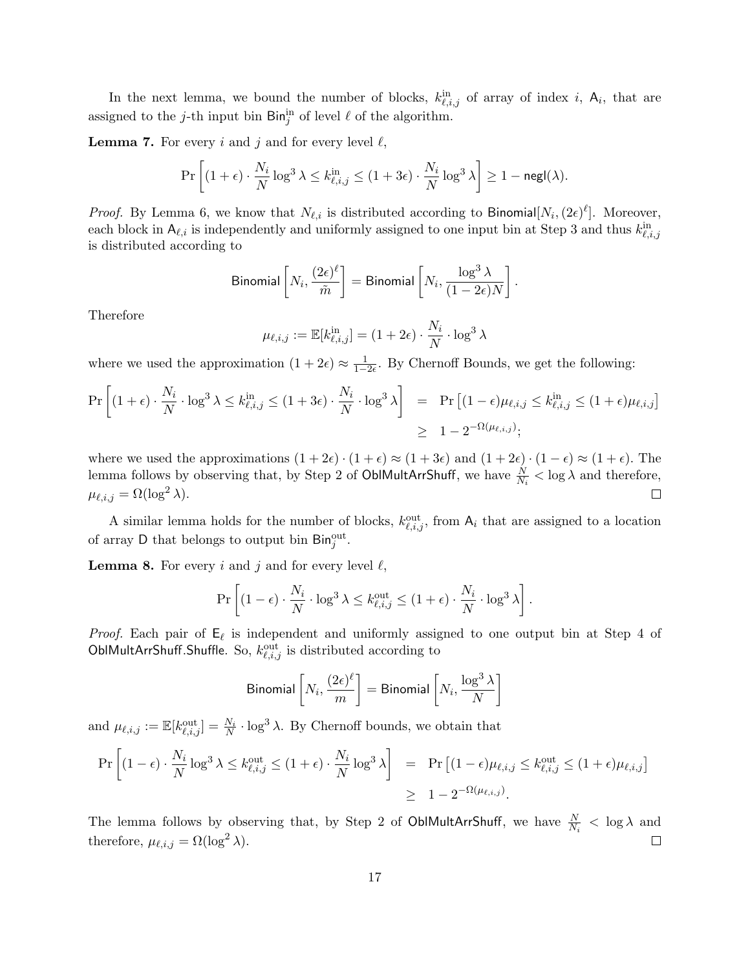In the next lemma, we bound the number of blocks,  $k_{\ell,i,j}^{\text{in}}$  of array of index i,  $A_i$ , that are assigned to the *j*-th input bin  $\text{Bin}_{j}^{\text{in}}$  of level  $\ell$  of the algorithm.

**Lemma 7.** For every i and j and for every level  $\ell$ ,

$$
\Pr\left[ (1+\epsilon)\cdot \frac{N_i}{N}\log^3\lambda \le k^{\text{in}}_{\ell,i,j} \le (1+3\epsilon)\cdot \frac{N_i}{N}\log^3\lambda \right] \ge 1-\mathsf{negl}(\lambda).
$$

*Proof.* By Lemma 6, we know that  $N_{\ell,i}$  is distributed according to Binomial $[N_i,(2\epsilon)^{\ell}]$ . Moreover, each block in  $A_{\ell,i}$  is independently and uniformly assigned to one input bin at Step 3 and thus  $k_{\ell,i,j}^{\text{in}}$ is distributed according to

$$
\text{Binomial}\left[N_i, \frac{(2\epsilon)^{\ell}}{\tilde{m}}\right] = \text{Binomial}\left[N_i, \frac{\log^3\lambda}{(1-2\epsilon)N}\right].
$$

Therefore

$$
\mu_{\ell,i,j} := \mathbb{E}[k_{\ell,i,j}^{\text{in}}] = (1+2\epsilon) \cdot \frac{N_i}{N} \cdot \log^3 \lambda
$$

where we used the approximation  $(1 + 2\epsilon) \approx \frac{1}{1-2\epsilon}$ . By Chernoff Bounds, we get the following:

$$
\Pr\left[(1+\epsilon)\cdot\frac{N_i}{N}\cdot\log^3\lambda\leq k_{\ell,i,j}^{\text{in}}\leq(1+3\epsilon)\cdot\frac{N_i}{N}\cdot\log^3\lambda\right] = \Pr\left[(1-\epsilon)\mu_{\ell,i,j}\leq k_{\ell,i,j}^{\text{in}}\leq(1+\epsilon)\mu_{\ell,i,j}\right] \geq 1-2^{-\Omega(\mu_{\ell,i,j})};
$$

where we used the approximations  $(1 + 2\epsilon) \cdot (1 + \epsilon) \approx (1 + 3\epsilon)$  and  $(1 + 2\epsilon) \cdot (1 - \epsilon) \approx (1 + \epsilon)$ . The lemma follows by observing that, by Step 2 of OblMultArrShuff, we have  $\frac{N}{N_i} < \log \lambda$  and therefore,  $\mu_{\ell,i,j} = \Omega(\log^2 \lambda).$  $\Box$ 

A similar lemma holds for the number of blocks,  $k_{\ell,i,j}^{\text{out}}$ , from  $A_i$  that are assigned to a location of array D that belongs to output bin  $\text{Bin}_{j}^{\text{out}}$ .

**Lemma 8.** For every i and j and for every level  $\ell$ ,

$$
\Pr\left[ (1-\epsilon) \cdot \frac{N_i}{N} \cdot \log^3 \lambda \le k_{\ell,i,j}^{\text{out}} \le (1+\epsilon) \cdot \frac{N_i}{N} \cdot \log^3 \lambda \right].
$$

*Proof.* Each pair of  $E_\ell$  is independent and uniformly assigned to one output bin at Step 4 of OblMultArrShuff.Shuffle. So,  $k_{\ell,i,j}^{\text{out}}$  is distributed according to

$$
\text{Binomial}\left[N_i, \frac{(2\epsilon)^{\ell}}{m}\right] = \text{Binomial}\left[N_i, \frac{\log^3 \lambda}{N}\right]
$$

and  $\mu_{\ell,i,j} := \mathbb{E}[k_{\ell,i,j}^{\text{out}}] = \frac{N_i}{N} \cdot \log^3 \lambda$ . By Chernoff bounds, we obtain that

$$
\Pr\left[(1-\epsilon)\cdot \frac{N_i}{N}\log^3 \lambda \le k_{\ell,i,j}^{\text{out}} \le (1+\epsilon)\cdot \frac{N_i}{N}\log^3 \lambda\right] = \Pr\left[(1-\epsilon)\mu_{\ell,i,j} \le k_{\ell,i,j}^{\text{out}} \le (1+\epsilon)\mu_{\ell,i,j}\right]
$$

$$
\ge 1 - 2^{-\Omega(\mu_{\ell,i,j})}.
$$

The lemma follows by observing that, by Step 2 of OblMultArrShuff, we have  $\frac{N}{N_i} < \log \lambda$  and therefore,  $\mu_{\ell,i,j} = \Omega(\log^2 \lambda)$ .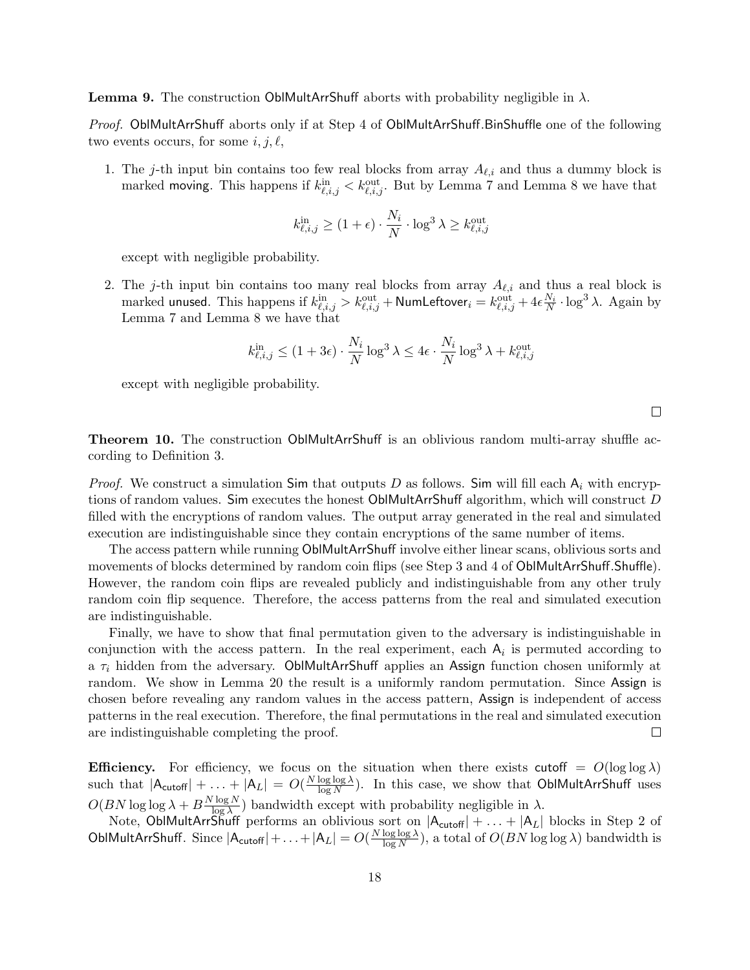**Lemma 9.** The construction OblMultArrShuff aborts with probability negligible in  $\lambda$ .

Proof. OblMultArrShuff aborts only if at Step 4 of OblMultArrShuff.BinShuffle one of the following two events occurs, for some  $i, j, \ell$ ,

1. The j-th input bin contains too few real blocks from array  $A_{\ell,i}$  and thus a dummy block is marked moving. This happens if  $k_{\ell,i,j}^{\text{in}} < k_{\ell,i,j}^{\text{out}}$ . But by Lemma 7 and Lemma 8 we have that

$$
k_{\ell,i,j}^{\text{in}} \ge (1+\epsilon) \cdot \frac{N_i}{N} \cdot \log^3 \lambda \ge k_{\ell,i,j}^{\text{out}}
$$

except with negligible probability.

2. The j-th input bin contains too many real blocks from array  $A_{\ell,i}$  and thus a real block is marked unused. This happens if  $k_{\ell,i,j}^{\text{in}}>k_{\ell,i,j}^{\text{out}}+$  NumLeftover $_i=k_{\ell,i,j}^{\text{out}}+4\epsilon\frac{N_i}{N}\cdot\log^3\lambda$ . Again by Lemma 7 and Lemma 8 we have that

$$
k_{\ell,i,j}^{\text{in}} \le (1+3\epsilon) \cdot \frac{N_i}{N} \log^3 \lambda \le 4\epsilon \cdot \frac{N_i}{N} \log^3 \lambda + k_{\ell,i,j}^{\text{out}}
$$

except with negligible probability.

 $\Box$ 

Theorem 10. The construction OblMultArrShuff is an oblivious random multi-array shuffle according to Definition 3.

*Proof.* We construct a simulation Sim that outputs D as follows. Sim will fill each  $A_i$  with encryptions of random values. Sim executes the honest OblMultArrShuff algorithm, which will construct D filled with the encryptions of random values. The output array generated in the real and simulated execution are indistinguishable since they contain encryptions of the same number of items.

The access pattern while running OblMultArrShuff involve either linear scans, oblivious sorts and movements of blocks determined by random coin flips (see Step 3 and 4 of OblMultArrShuff.Shuffle). However, the random coin flips are revealed publicly and indistinguishable from any other truly random coin flip sequence. Therefore, the access patterns from the real and simulated execution are indistinguishable.

Finally, we have to show that final permutation given to the adversary is indistinguishable in conjunction with the access pattern. In the real experiment, each  $A_i$  is permuted according to a  $\tau_i$  hidden from the adversary. OblMultArrShuff applies an Assign function chosen uniformly at random. We show in Lemma 20 the result is a uniformly random permutation. Since Assign is chosen before revealing any random values in the access pattern, Assign is independent of access patterns in the real execution. Therefore, the final permutations in the real and simulated execution are indistinguishable completing the proof.  $\Box$ 

**Efficiency.** For efficiency, we focus on the situation when there exists cutoff =  $O(\log \log \lambda)$ such that  $|\mathsf{A}_{\mathsf{cutoff}}| + \ldots + |\mathsf{A}_{L}| = O(\frac{N \log \log \lambda}{\log N})$  $\frac{\log \log \lambda}{\log N}$ ). In this case, we show that OblMultArrShuff uses  $O(BN \log \log \lambda + B \frac{N \log N}{\log \lambda})$  $\frac{\log N}{\log \lambda}$ ) bandwidth except with probability negligible in  $\lambda$ .

Note, OblMultArrShuff performs an oblivious sort on  $|A_{\text{cutoff}}| + \ldots + |A_L|$  blocks in Step 2 of OblMultArrShuff. Since  $|A_{\text{cutoff}}| + \ldots + |A_L| = O(\frac{N \log \log \lambda}{\log N})$  $\frac{\log \log \lambda}{\log N}$ , a total of  $O(BN \log \log \lambda)$  bandwidth is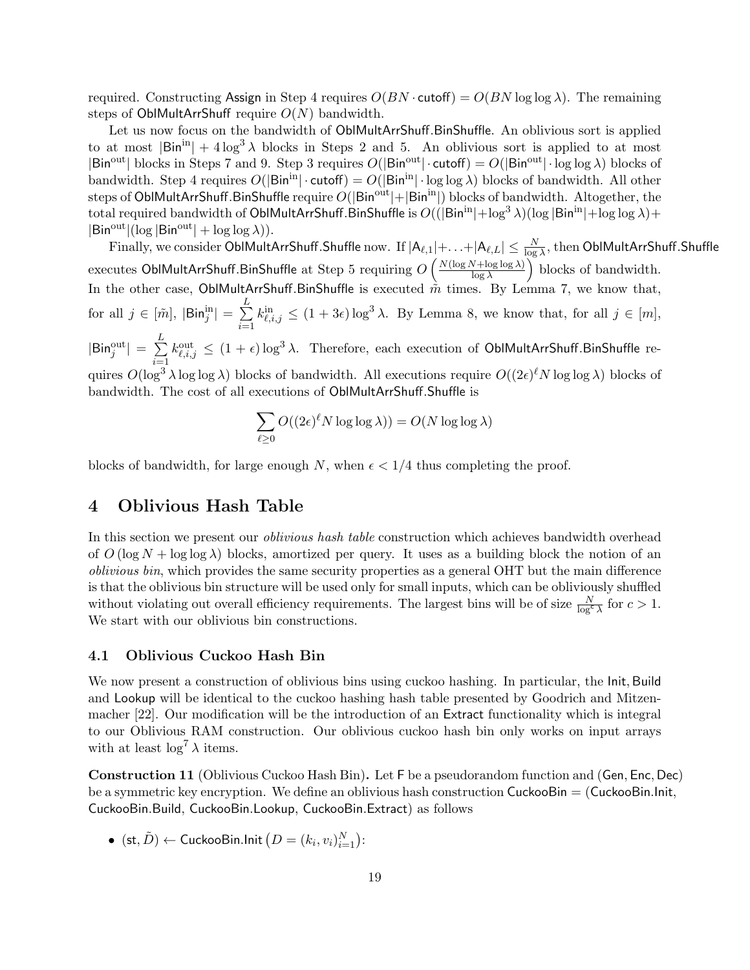required. Constructing Assign in Step 4 requires  $O(BN \cdot \text{cutoff}) = O(BN \log \log \lambda)$ . The remaining steps of OblMultArrShuff require  $O(N)$  bandwidth.

Let us now focus on the bandwidth of OblMultArrShuff.BinShuffle. An oblivious sort is applied to at most  $|\text{Bin}^{\text{in}}| + 4 \log^3 \lambda$  blocks in Steps 2 and 5. An oblivious sort is applied to at most  $|Bin^{out}|$  blocks in Steps 7 and 9. Step 3 requires  $O(|Bin^{out}| \cdot cutoff) = O(|Bin^{out}| \cdot log log \lambda)$  blocks of bandwidth. Step 4 requires  $O(|\text{Bin}^{\text{in}}| \cdot \text{cutoff}) = O(|\text{Bin}^{\text{in}}| \cdot \log \log \lambda)$  blocks of bandwidth. All other steps of OblMultArrShuff.BinShuffle require  $O(|Bin^{out}|+|Bin^{in}|)$  blocks of bandwidth. Altogether, the total required bandwidth of OblMultArrShuff.BinShuffle is  $O((|Bin^{in}| + \log^{3} \lambda)(\log |Bin^{in}| + \log \log \lambda) +$  $|Bin<sup>out</sup>|(log |Bin<sup>out</sup>| + log log \lambda)).$ 

 $\rm Finally,$  we consider  $\rm ObIMultArrShuff. Shuffle$  now. If  $|A_{\ell,1}|+\ldots+|A_{\ell,L}| \leq \frac{N}{\log \lambda},$  then  $\rm ObIMultArrShuff. Shuffle$ executes OblMultArrShuff.BinShuffle at Step 5 requiring  $O\left(\frac{N(\log N+\log\log\lambda)}{\log\lambda}\right)$  $\frac{\text{V} + \log \log \lambda}{\log \lambda}$  blocks of bandwidth. In the other case, OblMultArrShuff.BinShuffle is executed  $\tilde{m}$  times. By Lemma 7, we know that, for all  $j \in [\tilde{m}],~|{\sf Bin}_j^{\rm in}| = \sum^L$  $i=1$  $k_{\ell,i,j}^{\text{in}} \leq (1+3\epsilon)\log^3 \lambda$ . By Lemma 8, we know that, for all  $j \in [m],$  $|\mathsf{Bin}^{\rm out}_j| = \sum\limits_{}^{L}$  $i=1$  $k_{\ell,i,j}^{\text{out}} \leq (1+\epsilon)\log^3\lambda$ . Therefore, each execution of OblMultArrShuff.BinShuffle requires  $O(\log^3 \lambda \log \log \lambda)$  blocks of bandwidth. All executions require  $O((2\epsilon)^{\ell} N \log \log \lambda)$  blocks of bandwidth. The cost of all executions of OblMultArrShuff.Shuffle is

$$
\sum_{\ell \ge 0} O((2\epsilon)^{\ell} N \log \log \lambda)) = O(N \log \log \lambda)
$$

blocks of bandwidth, for large enough N, when  $\epsilon < 1/4$  thus completing the proof.

### 4 Oblivious Hash Table

In this section we present our *oblivious hash table* construction which achieves bandwidth overhead of  $O(\log N + \log \log \lambda)$  blocks, amortized per query. It uses as a building block the notion of an oblivious bin, which provides the same security properties as a general OHT but the main difference is that the oblivious bin structure will be used only for small inputs, which can be obliviously shuffled without violating out overall efficiency requirements. The largest bins will be of size  $\frac{N}{\log^c \lambda}$  for  $c > 1$ . We start with our oblivious bin constructions.

#### 4.1 Oblivious Cuckoo Hash Bin

We now present a construction of oblivious bins using cuckoo hashing. In particular, the Init, Build and Lookup will be identical to the cuckoo hashing hash table presented by Goodrich and Mitzenmacher [22]. Our modification will be the introduction of an Extract functionality which is integral to our Oblivious RAM construction. Our oblivious cuckoo hash bin only works on input arrays with at least  $\log^7 \lambda$  items.

Construction 11 (Oblivious Cuckoo Hash Bin). Let F be a pseudorandom function and (Gen, Enc, Dec) be a symmetric key encryption. We define an oblivious hash construction  $\mathsf{CuckooBin} = (\mathsf{CuckooBin}.\mathsf{Init},\mathsf{CuckooBin})$ CuckooBin.Build, CuckooBin.Lookup, CuckooBin.Extract) as follows

 $\bullet \;\; (\mathrm{st}, \tilde{D}) \leftarrow \mathsf{CuckooBin}.\mathsf{Init}\left(D=(k_i, v_i)_{i=1}^N\right)\mathpunct{:}$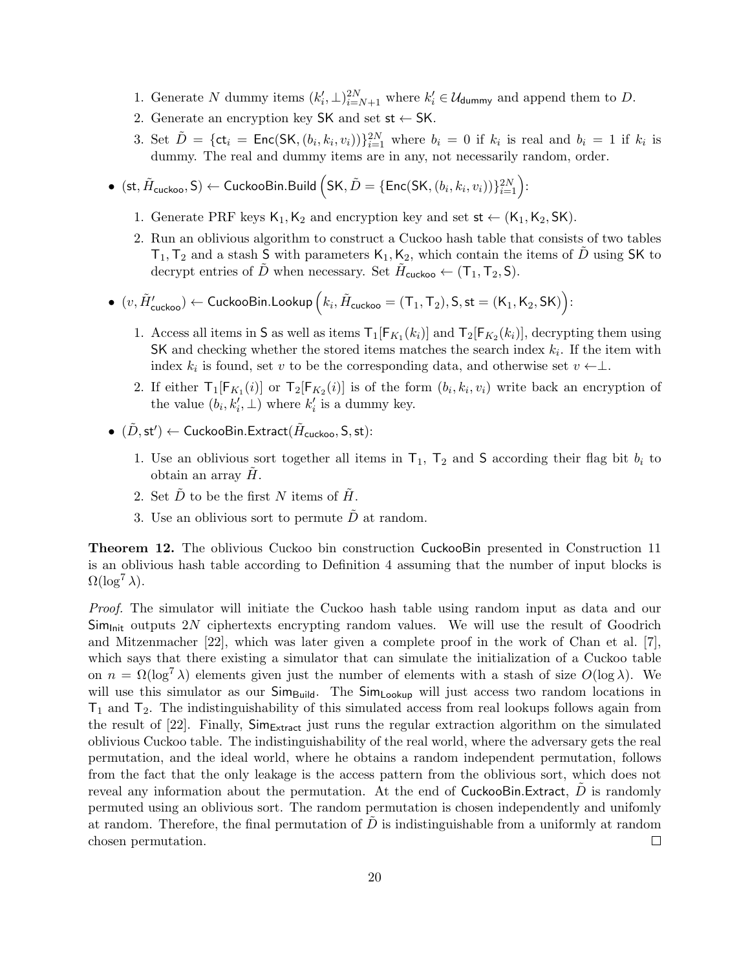- 1. Generate N dummy items  $(k'_i, \perp)_{i=N+1}^{2N}$  where  $k'_i \in \mathcal{U}_{\text{dummy}}$  and append them to D.
- 2. Generate an encryption key SK and set  $st \leftarrow SK$ .
- 3. Set  $\tilde{D} = \{\textsf{ct}_i = \textsf{Enc}(\textsf{SK}, (b_i, k_i, v_i))\}_{i=1}^{2N}$  where  $b_i = 0$  if  $k_i$  is real and  $b_i = 1$  if  $k_i$  is dummy. The real and dummy items are in any, not necessarily random, order.
- $\bullet \;\; (\mathrm{st}, \tilde H_{\mathsf{cuckoo}}, \mathsf{S}) \leftarrow \mathsf{CuckooBin}.\mathsf{Build}\left(\mathsf{SK}, \tilde D = \{\mathsf{Enc}(\mathsf{SK}, (b_i, k_i, v_i))\}_{i=1}^{2N}\right)\hspace{-0.05cm}:\hspace{-0.05cm}$ 
	- 1. Generate PRF keys  $K_1, K_2$  and encryption key and set  $st \leftarrow (K_1, K_2, SK)$ .
	- 2. Run an oblivious algorithm to construct a Cuckoo hash table that consists of two tables  $T_1, T_2$  and a stash S with parameters  $K_1, K_2$ , which contain the items of D using SK to decrypt entries of  $\tilde{D}$  when necessary. Set  $\tilde{H}_{\text{cuckoo}} \leftarrow (\mathsf{T}_1, \mathsf{T}_2, \mathsf{S}).$
- $\bullet \ \ (v,\tilde{H}_{\mathsf{cuckoo}}') \leftarrow \mathsf{CuckooBin}.\mathsf{Lookup}\left(k_i,\tilde{H}_{\mathsf{cuckoo}}=(\mathsf{T}_1,\mathsf{T}_2),\mathsf{S},\mathsf{st}=(\mathsf{K}_1,\mathsf{K}_2,\mathsf{SK})\right)\! :$ 
	- 1. Access all items in S as well as items  $T_1[F_{K_1}(k_i)]$  and  $T_2[F_{K_2}(k_i)]$ , decrypting them using  $SK$  and checking whether the stored items matches the search index  $k_i$ . If the item with index  $k_i$  is found, set v to be the corresponding data, and otherwise set  $v \leftarrow \perp$ .
	- 2. If either  $T_1[F_{K_1}(i)]$  or  $T_2[F_{K_2}(i)]$  is of the form  $(b_i, k_i, v_i)$  write back an encryption of the value  $(b_i, k'_i, \perp)$  where  $k'_i$  is a dummy key.
- $\bullet\,\, (\tilde D,{\rm st'})\leftarrow {\sf CuckooBin.Extract}(\tilde H_{\sf cuckoo},\mathsf{S},{\rm st}) {\rm :}$ 
	- 1. Use an oblivious sort together all items in  $T_1$ ,  $T_2$  and S according their flag bit  $b_i$  to obtain an array  $H$ .
	- 2. Set  $\tilde{D}$  to be the first N items of  $\tilde{H}$ .
	- 3. Use an oblivious sort to permute  $\overline{D}$  at random.

Theorem 12. The oblivious Cuckoo bin construction CuckooBin presented in Construction 11 is an oblivious hash table according to Definition 4 assuming that the number of input blocks is  $\Omega(\log^7 \lambda)$ .

Proof. The simulator will initiate the Cuckoo hash table using random input as data and our  $Sim_{Init}$  outputs 2N ciphertexts encrypting random values. We will use the result of Goodrich and Mitzenmacher [22], which was later given a complete proof in the work of Chan et al. [7], which says that there existing a simulator that can simulate the initialization of a Cuckoo table on  $n = \Omega(\log^7 \lambda)$  elements given just the number of elements with a stash of size  $O(\log \lambda)$ . We will use this simulator as our  $\mathsf{Sim}_{\mathsf{Build}}$ . The  $\mathsf{Sim}_{\mathsf{Lookup}}$  will just access two random locations in  $T_1$  and  $T_2$ . The indistinguishability of this simulated access from real lookups follows again from the result of  $[22]$ . Finally,  $Sim_{Extract}$  just runs the regular extraction algorithm on the simulated oblivious Cuckoo table. The indistinguishability of the real world, where the adversary gets the real permutation, and the ideal world, where he obtains a random independent permutation, follows from the fact that the only leakage is the access pattern from the oblivious sort, which does not reveal any information about the permutation. At the end of  $CuckooBin. Extract, D$  is randomly permuted using an oblivious sort. The random permutation is chosen independently and unifomly at random. Therefore, the final permutation of  $D$  is indistinguishable from a uniformly at random chosen permutation.  $\Box$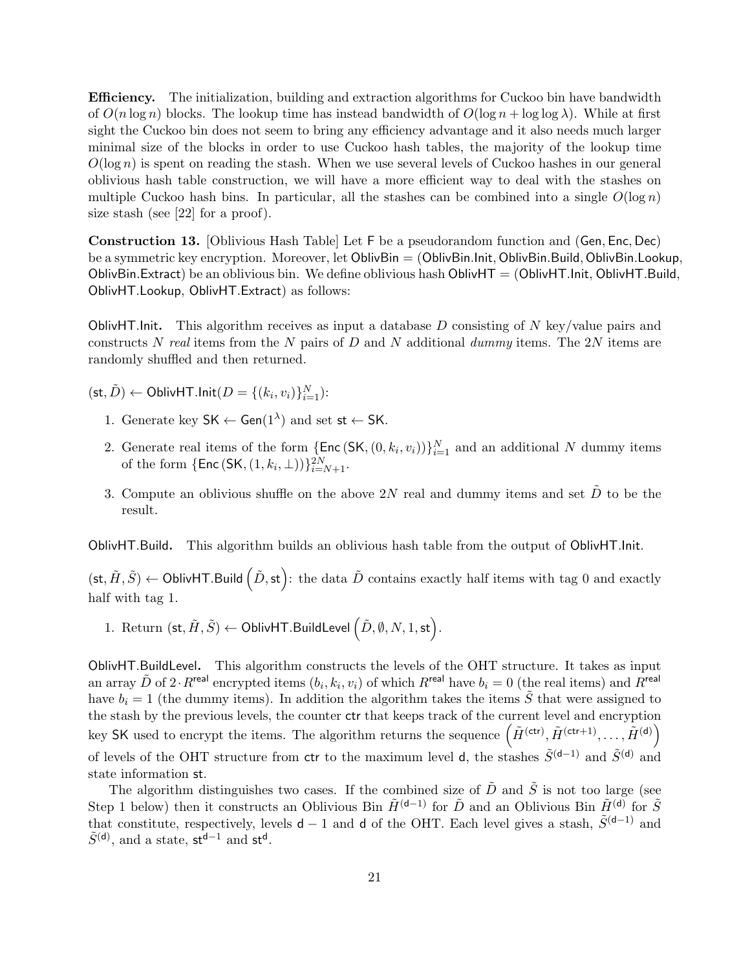Efficiency. The initialization, building and extraction algorithms for Cuckoo bin have bandwidth of  $O(n \log n)$  blocks. The lookup time has instead bandwidth of  $O(\log n + \log \log \lambda)$ . While at first sight the Cuckoo bin does not seem to bring any efficiency advantage and it also needs much larger minimal size of the blocks in order to use Cuckoo hash tables, the majority of the lookup time  $O(\log n)$  is spent on reading the stash. When we use several levels of Cuckoo hashes in our general oblivious hash table construction, we will have a more efficient way to deal with the stashes on multiple Cuckoo hash bins. In particular, all the stashes can be combined into a single  $O(\log n)$ size stash (see [22] for a proof).

Construction 13. [Oblivious Hash Table] Let F be a pseudorandom function and (Gen, Enc, Dec) be a symmetric key encryption. Moreover, let OblivBin = (OblivBin.Init, OblivBin.Build, OblivBin.Lookup, OblivBin.Extract) be an oblivious bin. We define oblivious hash OblivHT  $=$  (OblivHT.Init, OblivHT.Build, OblivHT.Lookup, OblivHT.Extract) as follows:

**OblivHT.** Init. This algorithm receives as input a database D consisting of N key/value pairs and constructs N real items from the N pairs of D and N additional dummy items. The 2N items are randomly shuffled and then returned.

 $(\mathsf{st}, \tilde{D}) \leftarrow \mathsf{OblivHT}.\mathsf{Init}(D = \{(k_i, v_i)\}_{i=1}^N)$ :

- 1. Generate key  $SK \leftarrow Gen(1^{\lambda})$  and set st  $\leftarrow SK$ .
- 2. Generate real items of the form  $\{\textsf{Enc}(SK, (0, k_i, v_i))\}_{i=1}^N$  and an additional N dummy items of the form  $\{Enc(SK, (1, k_i, \bot))\}_{i=N+1}^{2N}$ .
- 3. Compute an oblivious shuffle on the above 2N real and dummy items and set  $\tilde{D}$  to be the result.

OblivHT.Build. This algorithm builds an oblivious hash table from the output of OblivHT.Init.

 $(\textsf{st}, \tilde{H}, \tilde{S}) \leftarrow \textsf{OblivHT}$ . Build  $(\tilde{D}, \textsf{st})$ : the data  $\tilde{D}$  contains exactly half items with tag 0 and exactly half with tag 1.

1. Return  $(\mathsf{st}, \tilde{H}, \tilde{S}) \leftarrow \mathsf{Obliv}$ HT.BuildLevel  $\left(\tilde{D}, \emptyset, N, 1, \mathsf{st}\right)$ .

OblivHT.BuildLevel. This algorithm constructs the levels of the OHT structure. It takes as input an array  $\tilde{D}$  of 2 $\cdot R^{\text{real}}$  encrypted items  $(b_i, k_i, v_i)$  of which  $R^{\text{real}}$  have  $b_i = 0$  (the real items) and  $R^{\text{real}}$ have  $b_i = 1$  (the dummy items). In addition the algorithm takes the items  $\tilde{S}$  that were assigned to the stash by the previous levels, the counter ctr that keeps track of the current level and encryption key SK used to encrypt the items. The algorithm returns the sequence  $(\tilde{H}^{(\text{ctr})}, \tilde{H}^{(\text{ctr}+1)}, \ldots, \tilde{H}^{(\text{d})})$ of levels of the OHT structure from ctr to the maximum level d, the stashes  $\tilde{S}^{(d-1)}$  and  $\tilde{S}^{(d)}$  and state information st.

The algorithm distinguishes two cases. If the combined size of  $\tilde{D}$  and  $\tilde{S}$  is not too large (see Step 1 below) then it constructs an Oblivious Bin  $\tilde{H}^{(d-1)}$  for  $\tilde{D}$  and an Oblivious Bin  $\tilde{H}^{(d)}$  for  $\tilde{S}$ that constitute, respectively, levels  $d-1$  and d of the OHT. Each level gives a stash,  $\tilde{S}^{(d-1)}$  and  $\tilde{S}^{(\mathsf{d})}$ , and a state, st<sup>d-1</sup> and st<sup>d</sup>.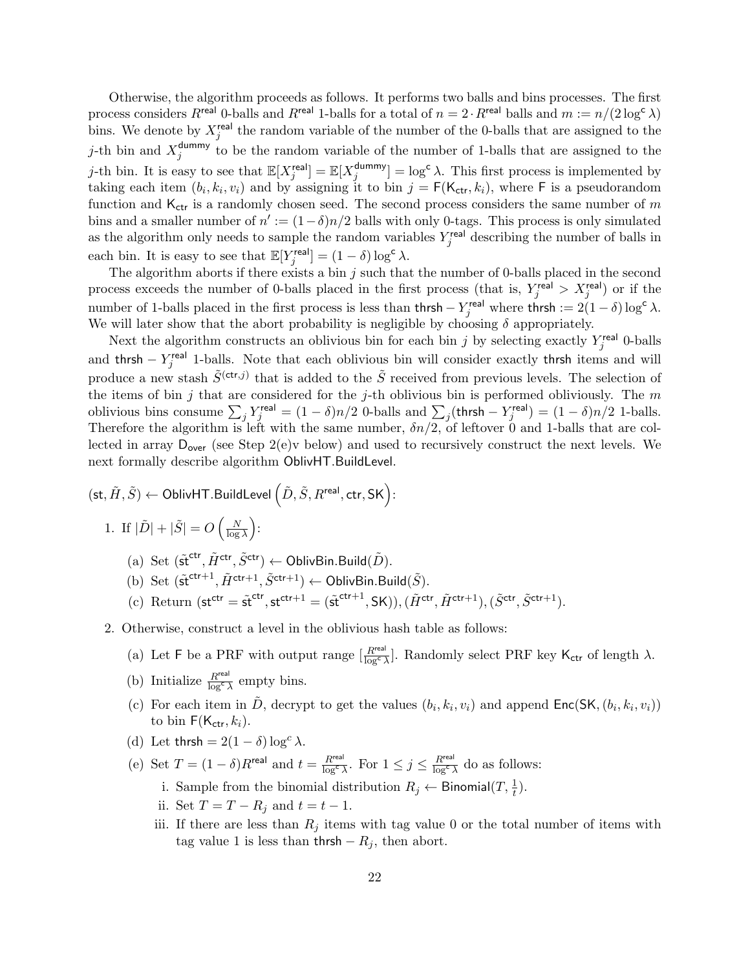Otherwise, the algorithm proceeds as follows. It performs two balls and bins processes. The first process considers  $R^{\mathsf{real}}$  0-balls and  $R^{\mathsf{real}}$  1-balls for a total of  $n = 2 \cdot R^{\mathsf{real}}$  balls and  $m := n/(2 \log^c \lambda)$ bins. We denote by  $X_j^{\text{real}}$  the random variable of the number of the 0-balls that are assigned to the j-th bin and  $X_i^{\text{dummy}}$  $j_j^{\text{dummy}}$  to be the random variable of the number of 1-balls that are assigned to the j-th bin. It is easy to see that  $\mathbb{E}[X_j^{\text{real}}] = \mathbb{E}[X_j^{\text{dummy}}]$  $\int_j^{\text{dummy}}$ ] = log<sup>c</sup>  $\lambda$ . This first process is implemented by taking each item  $(b_i, k_i, v_i)$  and by assigning it to bin  $j = F(K_{ctr}, k_i)$ , where F is a pseudorandom function and  $K_{ctr}$  is a randomly chosen seed. The second process considers the same number of m bins and a smaller number of  $n' := (1 - \delta)n/2$  balls with only 0-tags. This process is only simulated as the algorithm only needs to sample the random variables  $Y_j^{\text{real}}$  describing the number of balls in each bin. It is easy to see that  $\mathbb{E}[Y_j^{\text{real}}] = (1 - \delta) \log^c \lambda$ .

The algorithm aborts if there exists a bin  $j$  such that the number of 0-balls placed in the second process exceeds the number of 0-balls placed in the first process (that is,  $Y_j^{\text{real}} > X_j^{\text{real}}$ ) or if the number of 1-balls placed in the first process is less than  $\text{thrsh} - Y_j^{\text{real}}$  where  $\text{thrsh} := 2(1 - \delta) \log^c \lambda$ . We will later show that the abort probability is negligible by choosing  $\delta$  appropriately.

Next the algorithm constructs an oblivious bin for each bin j by selecting exactly  $Y_j^{\text{real}}$  0-balls and thrsh  $-Y_j^{\text{real}}$  1-balls. Note that each oblivious bin will consider exactly thrsh items and will produce a new stash  $\tilde{S}^{(\text{ctr},j)}$  that is added to the  $\tilde{S}$  received from previous levels. The selection of the items of bin  $j$  that are considered for the  $j$ -th oblivious bin is performed obliviously. The  $m$ oblivious bins consume  $\sum_j Y_j^{\text{real}} = (1 - \delta)n/2$  0-balls and  $\sum_j (\text{thrsh} - Y_j^{\text{real}}) = (1 - \delta)n/2$  1-balls. Therefore the algorithm is left with the same number,  $\delta n/\overline{2}$ , of leftover 0 and 1-balls that are collected in array  $D_{over}$  (see Step 2(e)v below) and used to recursively construct the next levels. We next formally describe algorithm OblivHT.BuildLevel.

 $(\mathsf{st}, \tilde{H}, \tilde{S}) \leftarrow \mathsf{OblivHT}.\mathsf{BuildLevel}\left(\tilde{D}, \tilde{S}, R^{\mathsf{real}}, \mathsf{ctr}, \mathsf{SK}\right)\mathsf{.}$ 

- 1. If  $|\tilde{D}| + |\tilde{S}| = O\left(\frac{N}{\log S}\right)$  $\frac{N}{\log \lambda}$ :
	- (a) Set  $(\tilde{\mathsf{st}}^{\mathsf{ctr}}, \tilde{H}^{\mathsf{ctr}}, \tilde{S}^{\mathsf{ctr}}) \leftarrow \mathsf{OblivBin}.\mathsf{Build}(\tilde{D}).$
	- (b) Set  $(\tilde{\mathsf{st}}^{\mathsf{ctr}+1}, \tilde{H}^{\mathsf{ctr}+1}, \tilde{S}^{\mathsf{ctr}+1}) \leftarrow \mathsf{OblivBin}.\mathsf{Build}(\tilde{S}).$
	- (c) Return  $(\mathsf{st}^{\mathsf{ctr}} = \tilde{\mathsf{st}}^{\mathsf{ctr}}, \mathsf{st}^{\mathsf{ctr}+1} = (\tilde{\mathsf{st}}^{\mathsf{ctr}+1}, \mathsf{SK})), (\tilde{H}^{\mathsf{ctr}}, \tilde{H}^{\mathsf{ctr}+1}), (\tilde{S}^{\mathsf{ctr}}, \tilde{S}^{\mathsf{ctr}+1}).$
- 2. Otherwise, construct a level in the oblivious hash table as follows:
	- (a) Let F be a PRF with output range  $\left[\frac{R^{\text{real}}}{\log^c \lambda}\right]$ . Randomly select PRF key  $\mathsf{K}_{\text{ctr}}$  of length  $\lambda$ .
	- (b) Initialize  $\frac{R^{\text{real}}}{\log^c \lambda}$  empty bins.
	- (c) For each item in  $\tilde{D}$ , decrypt to get the values  $(b_i, k_i, v_i)$  and append  $\text{Enc}(SK, (b_i, k_i, v_i))$ to bin  $F(K_{ctr}, k_i)$ .
	- (d) Let thrsh =  $2(1 \delta) \log^c \lambda$ .

(e) Set  $T = (1 - \delta)R^{\text{real}}$  and  $t = \frac{R^{\text{real}}}{\log^c \lambda}$ . For  $1 \leq j \leq \frac{R^{\text{real}}}{\log^c \lambda}$  do as follows:

- i. Sample from the binomial distribution  $R_j \leftarrow \text{Binomial}(T, \frac{1}{t})$ .
- ii. Set  $T = T R_j$  and  $t = t 1$ .
- iii. If there are less than  $R_j$  items with tag value 0 or the total number of items with tag value 1 is less than thrsh  $-R_j$ , then abort.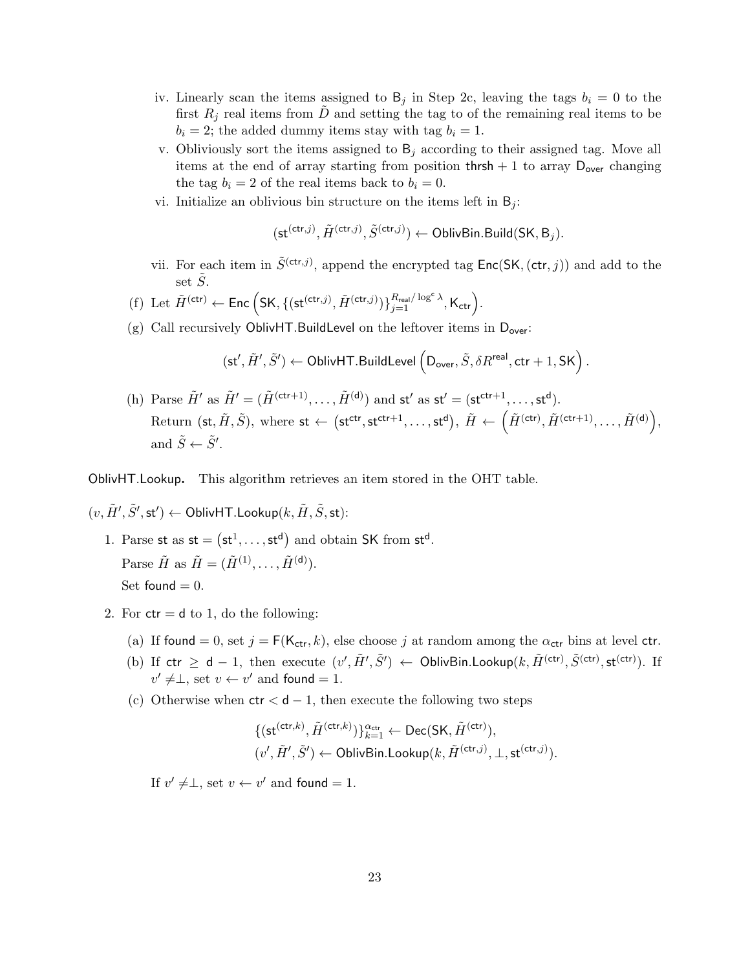- iv. Linearly scan the items assigned to  $B_j$  in Step 2c, leaving the tags  $b_i = 0$  to the first  $R_i$  real items from D and setting the tag to of the remaining real items to be  $b_i = 2$ ; the added dummy items stay with tag  $b_i = 1$ .
- v. Obliviously sort the items assigned to  $B_j$  according to their assigned tag. Move all items at the end of array starting from position thrsh + 1 to array  $D_{over}$  changing the tag  $b_i = 2$  of the real items back to  $b_i = 0$ .
- vi. Initialize an oblivious bin structure on the items left in  $B_i$ :

$$
(\mathsf{st}^{(\mathsf{ctr},j)},\tilde{H}^{(\mathsf{ctr},j)},\tilde{S}^{(\mathsf{ctr},j)}) \gets \mathsf{OblivBin}.\mathsf{Build}(\mathsf{SK},\mathsf{B}_j).
$$

- vii. For each item in  $\tilde{S}^{(\text{ctr},j)}$ , append the encrypted tag  $\mathsf{Enc}(SK,(\text{ctr},j))$  and add to the set  $\tilde{S}$ .
- (f) Let  $\tilde{H}^{(\text{ctr})} \leftarrow \text{Enc} \left( \text{SK}, \{ (\text{st}^{(\text{ctr},j)}, \tilde{H}^{(\text{ctr},j)}) \}_{j=1}^{R_{\text{real}}/\log^c \lambda}, \mathsf{K}_{\text{ctr}} \right)$ .
- (g) Call recursively OblivHT.BuildLevel on the leftover items in  $D_{over}$ :

$$
(\mathsf{st}', \tilde{H}', \tilde{S}') \gets \mathsf{OblivHT}.\mathsf{BuildLevel}\left(\mathsf{D}_{\mathsf{over}}, \tilde{S}, \delta R^{\mathsf{real}}, \mathsf{ctr}+1, \mathsf{SK}\right).
$$

(h) Parse  $\tilde{H}'$  as  $\tilde{H}' = (\tilde{H}^{(\text{ctr}+1)}, \dots, \tilde{H}^{(\text{d})})$  and  $st'$  as  $st' = (st^{ctr+1}, \dots, st^{\text{d}})$ . Return (st,  $\tilde{H}, \tilde{S}$ ), where st  $\leftarrow$  (st<sup>ctr</sup>, st<sup>ctr+1</sup>,..., st<sup>d</sup>),  $\tilde{H} \leftarrow (\tilde{H}^{(ctr)}, \tilde{H}^{(ctr+1)}, \ldots, \tilde{H}^{(d)})$ , and  $\tilde{S} \leftarrow \tilde{S}'$ .

OblivHT.Lookup. This algorithm retrieves an item stored in the OHT table.

 $(v, \tilde{H}', \tilde{S}', \mathsf{st}') \leftarrow \mathsf{OblivHT.Lookup}(k, \tilde{H}, \tilde{S}, \mathsf{st})$ :

- 1. Parse st as  $st = (st^1, \ldots, st^d)$  and obtain SK from  $st^d$ . Parse  $\tilde{H}$  as  $\tilde{H} = (\tilde{H}^{(1)}, \dots, \tilde{H}^{(\mathsf{d})}).$ Set found  $= 0$ .
- 2. For  $ctr = d$  to 1, do the following:
	- (a) If found = 0, set  $j = F(K_{ctr}, k)$ , else choose j at random among the  $\alpha_{ctr}$  bins at level ctr.
	- (b) If  $\text{ctr } \geq d-1$ , then execute  $(v', \tilde{H}', \tilde{S}') \leftarrow \text{OblivBin.Lookup}(k, \tilde{H}^{(\text{ctr})}, \tilde{S}^{(\text{ctr})})$ . If  $v' \neq \perp$ , set  $v \leftarrow v'$  and found = 1.
	- (c) Otherwise when  $\mathsf{ctr} < \mathsf{d} 1$ , then execute the following two steps

$$
\begin{aligned} &\{(\mathsf{st}^{(\mathsf{ctr},k)},\tilde{H}^{(\mathsf{ctr},k)})\}_{k=1}^{\alpha_{\mathsf{ctr}}} \leftarrow \mathsf{Dec}(\mathsf{SK},\tilde{H}^{(\mathsf{ctr})}),\\ & (v',\tilde{H}',\tilde{S}') \leftarrow \mathsf{OblivBin.Lookup}(k,\tilde{H}^{(\mathsf{ctr},j)},\perp,\mathsf{st}^{(\mathsf{ctr},j)}). \end{aligned}
$$

If  $v' \neq \perp$ , set  $v \leftarrow v'$  and found = 1.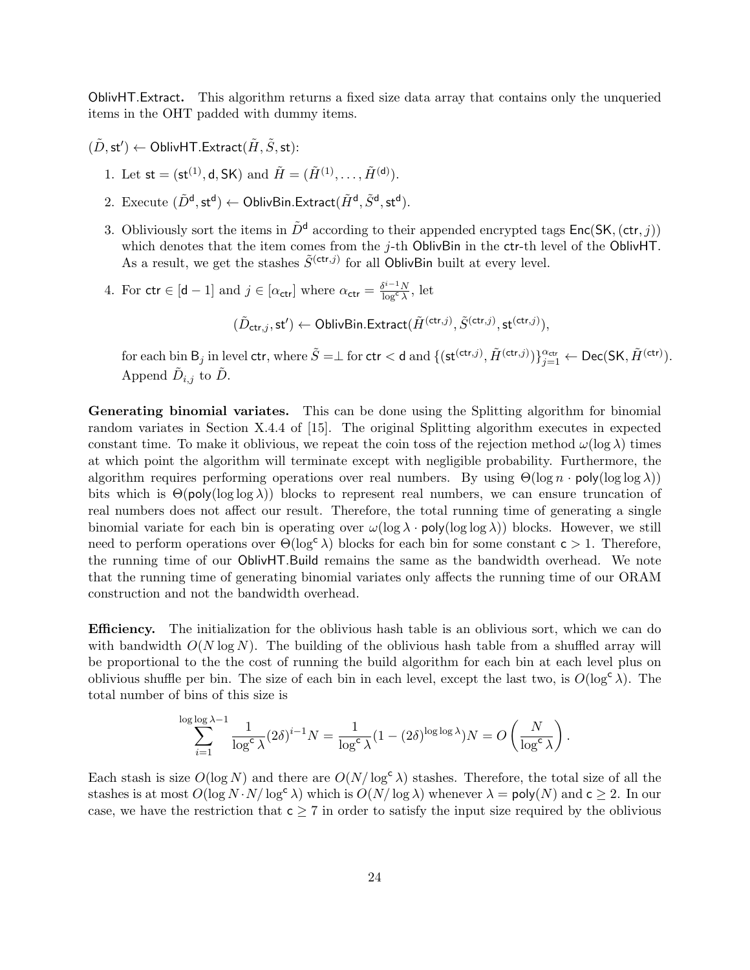OblivHT.Extract. This algorithm returns a fixed size data array that contains only the unqueried items in the OHT padded with dummy items.

 $(\tilde{D},\mathsf{st}') \leftarrow \mathsf{OblivHT}.\mathsf{Extract}(\tilde{H},\tilde{S},\mathsf{st})$ :

- 1. Let  $st = (st^{(1)}, d, SK)$  and  $\tilde{H} = (\tilde{H}^{(1)}, \dots, \tilde{H}^{(d)})$ .
- 2. Execute  $(\tilde{D}^{\mathsf{d}},\mathsf{st}^{\mathsf{d}}) \leftarrow \mathsf{OblivBin}$ .Extract $(\tilde{H}^{\mathsf{d}}, \tilde{S}^{\mathsf{d}},\mathsf{st}^{\mathsf{d}})$ .
- 3. Obliviously sort the items in  $\tilde{D}^d$  according to their appended encrypted tags  $Enc(SK, (ctr, i))$ which denotes that the item comes from the j-th OblivBin in the ctr-th level of the OblivHT. As a result, we get the stashes  $\tilde{S}^{(\text{ctr},j)}$  for all OblivBin built at every level.
- 4. For  $\mathsf{ctr} \in [\mathsf{d}-1]$  and  $j \in [\alpha_{\mathsf{ctr}}]$  where  $\alpha_{\mathsf{ctr}} = \frac{\delta^{i-1}N}{\log^c \lambda}$ , let

 $(\tilde{D}_{\mathsf{ctr},j},\mathsf{st}') \leftarrow \mathsf{OblivBin}.\mathsf{Extract}(\tilde{H}^{(\mathsf{ctr},j)},\tilde{S}^{(\mathsf{ctr},j)},\mathsf{st}^{(\mathsf{ctr},j)}),$ 

for each bin  $\mathsf{B}_j$  in level  $\mathsf{ctr},$  where  $\tilde{S} = \perp$  for  $\mathsf{ctr} < \mathsf{d}$  and  $\{(\mathsf{st}^{(\mathsf{ctr},j)}, \tilde{H}^{(\mathsf{ctr},j)})\}_{j=1}^{\alpha_{\mathsf{ctr}}} \leftarrow \mathsf{Dec}(\mathsf{SK}, \tilde{H}^{(\mathsf{ctr})}).$ Append  $\tilde{D}_{i,j}$  to  $\tilde{D}$ .

Generating binomial variates. This can be done using the Splitting algorithm for binomial random variates in Section X.4.4 of [15]. The original Splitting algorithm executes in expected constant time. To make it oblivious, we repeat the coin toss of the rejection method  $\omega(\log \lambda)$  times at which point the algorithm will terminate except with negligible probability. Furthermore, the algorithm requires performing operations over real numbers. By using  $\Theta(\log n \cdot \text{poly}(\log \log \lambda))$ bits which is  $\Theta(\text{poly}(\log \log \lambda))$  blocks to represent real numbers, we can ensure truncation of real numbers does not affect our result. Therefore, the total running time of generating a single binomial variate for each bin is operating over  $\omega(\log \lambda \cdot \text{poly}(\log \log \lambda))$  blocks. However, we still need to perform operations over  $\Theta(\log^c \lambda)$  blocks for each bin for some constant  $c > 1$ . Therefore, the running time of our OblivHT.Build remains the same as the bandwidth overhead. We note that the running time of generating binomial variates only affects the running time of our ORAM construction and not the bandwidth overhead.

Efficiency. The initialization for the oblivious hash table is an oblivious sort, which we can do with bandwidth  $O(N \log N)$ . The building of the oblivious hash table from a shuffled array will be proportional to the the cost of running the build algorithm for each bin at each level plus on oblivious shuffle per bin. The size of each bin in each level, except the last two, is  $O(\log^c \lambda)$ . The total number of bins of this size is

$$
\sum_{i=1}^{\log \log \lambda - 1} \frac{1}{\log^c \lambda} (2\delta)^{i-1} N = \frac{1}{\log^c \lambda} (1 - (2\delta)^{\log \log \lambda}) N = O\left(\frac{N}{\log^c \lambda}\right).
$$

Each stash is size  $O(\log N)$  and there are  $O(N/\log^c \lambda)$  stashes. Therefore, the total size of all the stashes is at most  $O(\log N \cdot N/\log^c \lambda)$  which is  $O(N/\log \lambda)$  whenever  $\lambda = \text{poly}(N)$  and  $c \geq 2$ . In our case, we have the restriction that  $c \geq 7$  in order to satisfy the input size required by the oblivious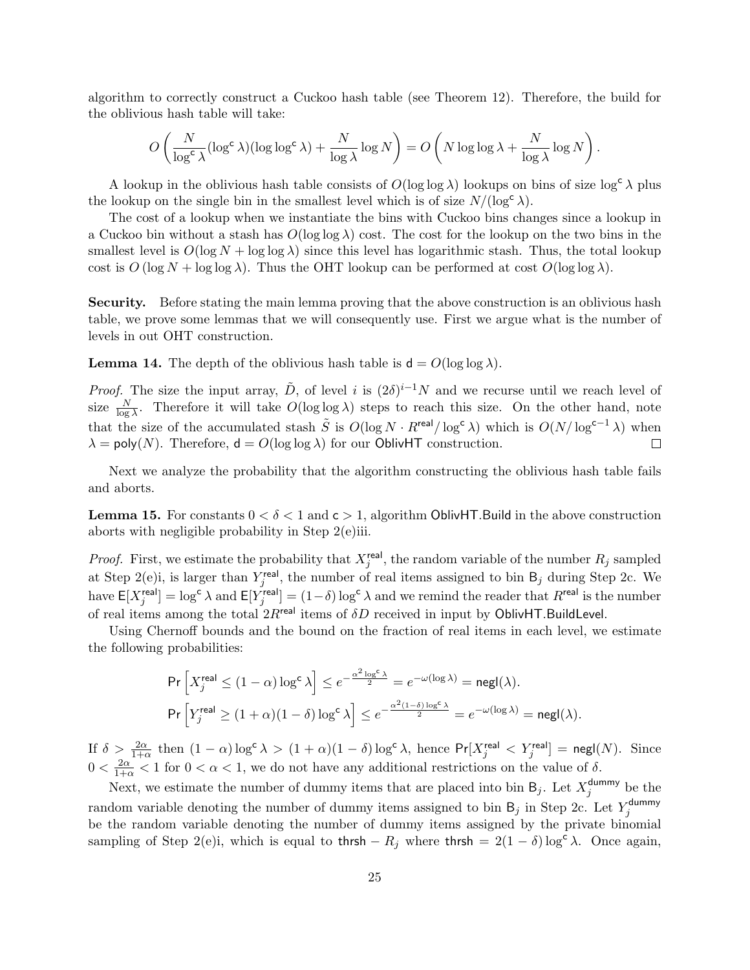algorithm to correctly construct a Cuckoo hash table (see Theorem 12). Therefore, the build for the oblivious hash table will take:

$$
O\left(\frac{N}{\log^c \lambda} (\log^c \lambda)(\log \log^c \lambda) + \frac{N}{\log \lambda} \log N\right) = O\left(N \log \log \lambda + \frac{N}{\log \lambda} \log N\right).
$$

A lookup in the oblivious hash table consists of  $O(\log \log \lambda)$  lookups on bins of size  $\log^c \lambda$  plus the lookup on the single bin in the smallest level which is of size  $N/(\log^c \lambda)$ .

The cost of a lookup when we instantiate the bins with Cuckoo bins changes since a lookup in a Cuckoo bin without a stash has  $O(\log \log \lambda)$  cost. The cost for the lookup on the two bins in the smallest level is  $O(\log N + \log \log \lambda)$  since this level has logarithmic stash. Thus, the total lookup cost is  $O(\log N + \log \log \lambda)$ . Thus the OHT lookup can be performed at cost  $O(\log \log \lambda)$ .

Security. Before stating the main lemma proving that the above construction is an oblivious hash table, we prove some lemmas that we will consequently use. First we argue what is the number of levels in out OHT construction.

**Lemma 14.** The depth of the oblivious hash table is  $d = O(\log \log \lambda)$ .

*Proof.* The size the input array,  $\tilde{D}$ , of level i is  $(2\delta)^{i-1}N$  and we recurse until we reach level of size  $\frac{N}{\log \lambda}$ . Therefore it will take  $O(\log \log \lambda)$  steps to reach this size. On the other hand, note that the size of the accumulated stash  $\tilde{S}$  is  $O(\log N \cdot R^{\text{real}} / \log^{\text{c}} \lambda)$  which is  $O(N / \log^{\text{c}-1} \lambda)$  when  $\lambda = \text{poly}(N)$ . Therefore,  $d = O(\log \log \lambda)$  for our OblivHT construction.  $\Box$ 

Next we analyze the probability that the algorithm constructing the oblivious hash table fails and aborts.

**Lemma 15.** For constants  $0 < \delta < 1$  and  $c > 1$ , algorithm OblivHT. Build in the above construction aborts with negligible probability in Step 2(e)iii.

*Proof.* First, we estimate the probability that  $X_j^{\text{real}}$ , the random variable of the number  $R_j$  sampled at Step 2(e)i, is larger than  $Y_j^{\text{real}}$ , the number of real items assigned to bin  $B_j$  during Step 2c. We have  $E[X_j^{\text{real}}] = \log^c \lambda$  and  $E[Y_j^{\text{real}}] = (1-\delta) \log^c \lambda$  and we remind the reader that  $R^{\text{real}}$  is the number of real items among the total  $2R^{\text{real}}$  items of  $\delta D$  received in input by OblivHT.BuildLevel.

Using Chernoff bounds and the bound on the fraction of real items in each level, we estimate the following probabilities:

$$
\begin{aligned} &\Pr\left[X_j^{\mathsf{real}} \leq (1-\alpha)\log^{\mathsf{c}}\lambda\right] \leq e^{-\frac{\alpha^2\log^{\mathsf{c}}\lambda}{2}} = e^{-\omega(\log\lambda)} = \mathsf{negl}(\lambda).\\ &\Pr\left[Y_j^{\mathsf{real}} \geq (1+\alpha)(1-\delta)\log^{\mathsf{c}}\lambda\right] \leq e^{-\frac{\alpha^2(1-\delta)\log^{\mathsf{c}}\lambda}{2}} = e^{-\omega(\log\lambda)} = \mathsf{negl}(\lambda). \end{aligned}
$$

If  $\delta > \frac{2\alpha}{1+\alpha}$  then  $(1-\alpha)\log^c\lambda > (1+\alpha)(1-\delta)\log^c\lambda$ , hence  $\Pr[X_j^{\text{real}}] < Y_j^{\text{real}}] = \text{negl}(N)$ . Since  $0 < \frac{2\alpha}{1+\alpha} < 1$  for  $0 < \alpha < 1$ , we do not have any additional restrictions on the value of  $\delta$ .

Next, we estimate the number of dummy items that are placed into bin  $B_j$ . Let  $X_j^{\text{dummy}}$  $_j^{\text{dummy}}$  be the random variable denoting the number of dummy items assigned to bin  $B_j$  in Step 2c. Let  $Y_j^{\text{dummy}}$ j be the random variable denoting the number of dummy items assigned by the private binomial sampling of Step 2(e)i, which is equal to thrsh –  $R_j$  where thrsh = 2(1 – δ) log<sup>c</sup>  $\lambda$ . Once again,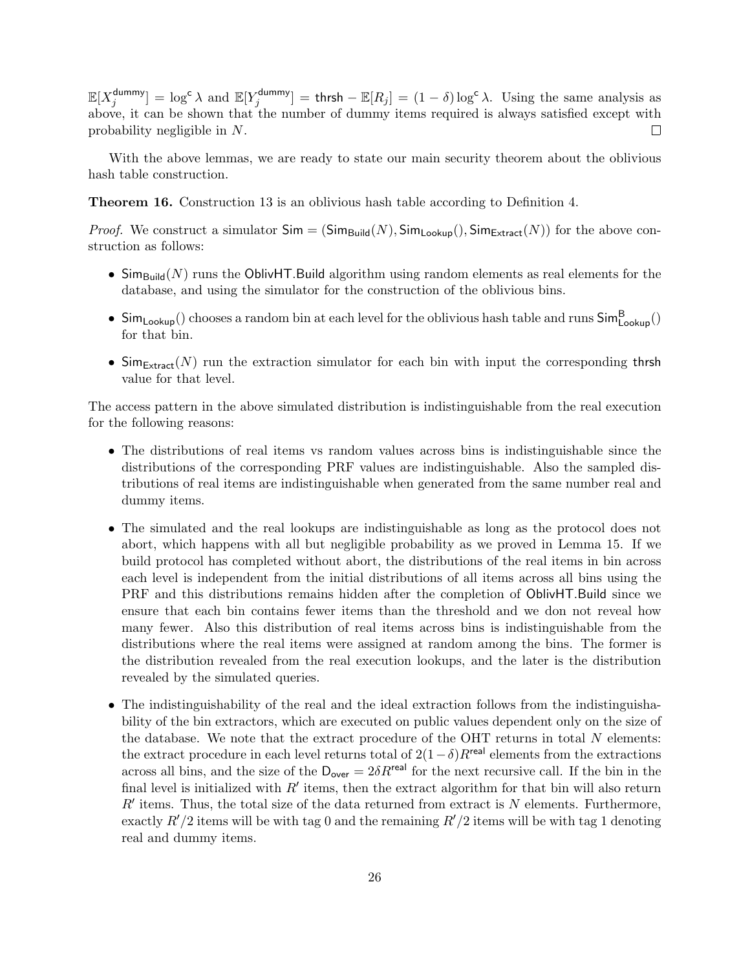$\mathbb{E}[X_i^{\mathsf{dummy}}]$  $\left[\begin{matrix} \text{dummy} \\ \text{if} \end{matrix}\right] = \log^c \lambda$  and  $\mathbb{E}[Y_j^{\text{dummy}}]$  $[\sigma_j^{\text{dummy}}] = \text{thrsh} - \mathbb{E}[R_j] = (1 - \delta) \log^c \lambda.$  Using the same analysis as above, it can be shown that the number of dummy items required is always satisfied except with probability negligible in N.  $\Box$ 

With the above lemmas, we are ready to state our main security theorem about the oblivious hash table construction.

Theorem 16. Construction 13 is an oblivious hash table according to Definition 4.

*Proof.* We construct a simulator  $Sim = (Sim_{Build}(N), Sim_{Looking}(), Sim_{Extract}(N))$  for the above construction as follows:

- Sim<sub>Build</sub>(N) runs the OblivHT.Build algorithm using random elements as real elements for the database, and using the simulator for the construction of the oblivious bins.
- $Sim_{Looking}($ ) chooses a random bin at each level for the oblivious hash table and runs  $Sim_{Looking}^B()$ for that bin.
- $\textsf{Sim}_{\textsf{Extract}}(N)$  run the extraction simulator for each bin with input the corresponding thrsh value for that level.

The access pattern in the above simulated distribution is indistinguishable from the real execution for the following reasons:

- The distributions of real items vs random values across bins is indistinguishable since the distributions of the corresponding PRF values are indistinguishable. Also the sampled distributions of real items are indistinguishable when generated from the same number real and dummy items.
- The simulated and the real lookups are indistinguishable as long as the protocol does not abort, which happens with all but negligible probability as we proved in Lemma 15. If we build protocol has completed without abort, the distributions of the real items in bin across each level is independent from the initial distributions of all items across all bins using the PRF and this distributions remains hidden after the completion of OblivHT.Build since we ensure that each bin contains fewer items than the threshold and we don not reveal how many fewer. Also this distribution of real items across bins is indistinguishable from the distributions where the real items were assigned at random among the bins. The former is the distribution revealed from the real execution lookups, and the later is the distribution revealed by the simulated queries.
- The indistinguishability of the real and the ideal extraction follows from the indistinguishability of the bin extractors, which are executed on public values dependent only on the size of the database. We note that the extract procedure of the OHT returns in total  $N$  elements: the extract procedure in each level returns total of  $2(1-\delta)R^{\text{real}}$  elements from the extractions across all bins, and the size of the  $D_{over} = 2\delta R^{real}$  for the next recursive call. If the bin in the final level is initialized with  $R'$  items, then the extract algorithm for that bin will also return  $R'$  items. Thus, the total size of the data returned from extract is  $N$  elements. Furthermore, exactly  $R'/2$  items will be with tag 0 and the remaining  $R'/2$  items will be with tag 1 denoting real and dummy items.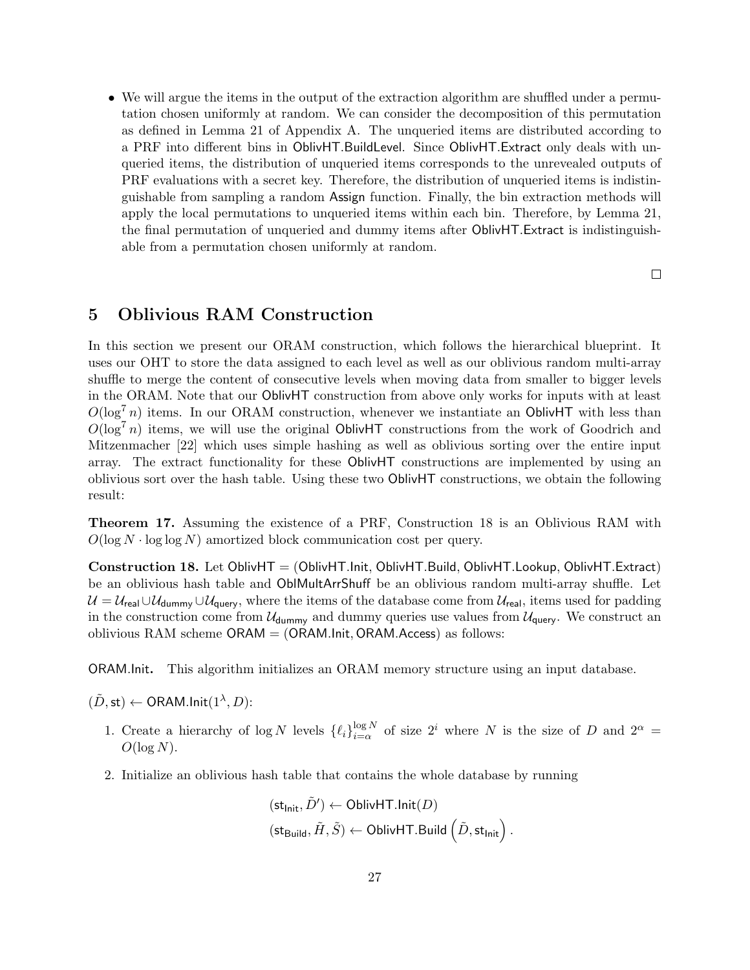• We will argue the items in the output of the extraction algorithm are shuffled under a permutation chosen uniformly at random. We can consider the decomposition of this permutation as defined in Lemma 21 of Appendix A. The unqueried items are distributed according to a PRF into different bins in OblivHT.BuildLevel. Since OblivHT.Extract only deals with unqueried items, the distribution of unqueried items corresponds to the unrevealed outputs of PRF evaluations with a secret key. Therefore, the distribution of unqueried items is indistinguishable from sampling a random Assign function. Finally, the bin extraction methods will apply the local permutations to unqueried items within each bin. Therefore, by Lemma 21, the final permutation of unqueried and dummy items after OblivHT.Extract is indistinguishable from a permutation chosen uniformly at random.

 $\Box$ 

# 5 Oblivious RAM Construction

In this section we present our ORAM construction, which follows the hierarchical blueprint. It uses our OHT to store the data assigned to each level as well as our oblivious random multi-array shuffle to merge the content of consecutive levels when moving data from smaller to bigger levels in the ORAM. Note that our OblivHT construction from above only works for inputs with at least  $O(\log^7 n)$  items. In our ORAM construction, whenever we instantiate an OblivHT with less than  $O(\log^7 n)$  items, we will use the original OblivHT constructions from the work of Goodrich and Mitzenmacher [22] which uses simple hashing as well as oblivious sorting over the entire input array. The extract functionality for these OblivHT constructions are implemented by using an oblivious sort over the hash table. Using these two OblivHT constructions, we obtain the following result:

Theorem 17. Assuming the existence of a PRF, Construction 18 is an Oblivious RAM with  $O(\log N \cdot \log \log N)$  amortized block communication cost per query.

Construction 18. Let OblivHT = (OblivHT.Init, OblivHT.Build, OblivHT.Lookup, OblivHT.Extract) be an oblivious hash table and OblMultArrShuff be an oblivious random multi-array shuffle. Let  $U = U_{\text{real}} \cup U_{\text{dummy}} \cup U_{\text{query}}$ , where the items of the database come from  $U_{\text{real}}$ , items used for padding in the construction come from  $U_{\text{dummy}}$  and dummy queries use values from  $U_{\text{query}}$ . We construct an oblivious RAM scheme  $ORAM = (ORAMInit, ORAM.Access)$  as follows:

ORAM.Init. This algorithm initializes an ORAM memory structure using an input database.

 $(\tilde{D}, \mathsf{st}) \leftarrow \mathsf{ORAM}.\mathsf{Init}(1^\lambda, D)$ :

- 1. Create a hierarchy of log N levels  $\{\ell_i\}_{i=\alpha}^{\log N}$  $\frac{\log N}{i=\alpha}$  of size  $2^i$  where N is the size of D and  $2^{\alpha}$  =  $O(\log N)$ .
- 2. Initialize an oblivious hash table that contains the whole database by running

$$
\begin{aligned} & (\mathsf{st}_{\mathsf{Init}}, \tilde{D}') \leftarrow \mathsf{OblivHT}.\mathsf{Init}(D) \\ & (\mathsf{st}_{\mathsf{Build}}, \tilde{H}, \tilde{S}) \leftarrow \mathsf{OblivHT}.\mathsf{Build}\left(\tilde{D}, \mathsf{st}_{\mathsf{Init}}\right). \end{aligned}
$$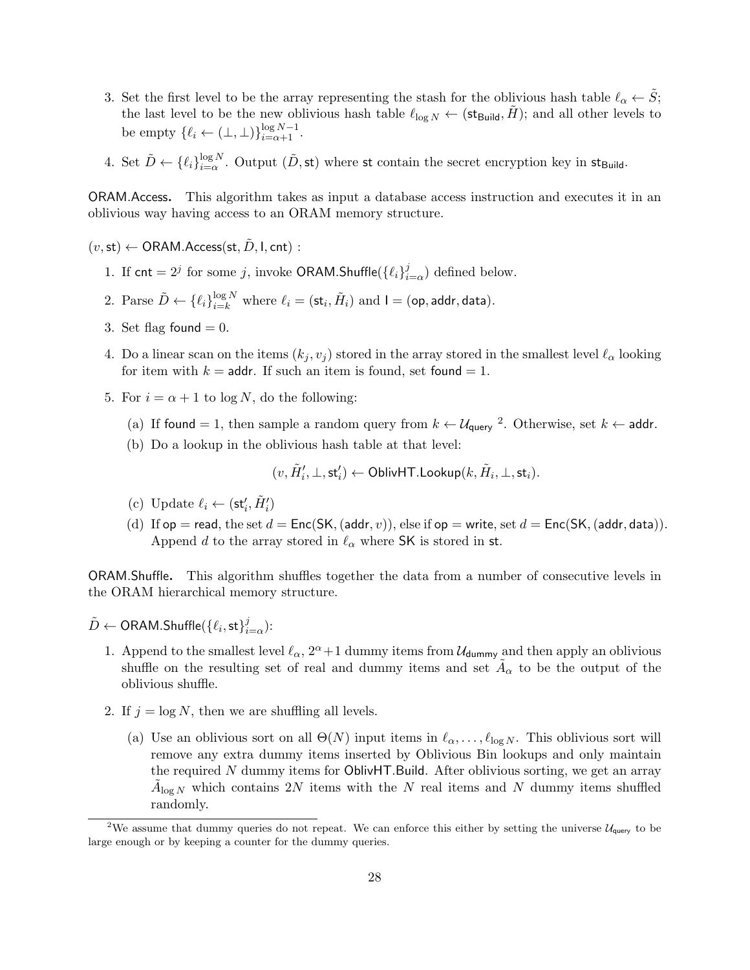- 3. Set the first level to be the array representing the stash for the oblivious hash table  $\ell_{\alpha} \leftarrow S$ ; the last level to be the new oblivious hash table  $\ell_{\log N} \leftarrow (\text{st}_{\text{Build}}, \tilde{H})$ ; and all other levels to be empty  $\{\ell_i \leftarrow (\perp, \perp)\}_{i=\alpha+1}^{\log N-1}$ .
- 4. Set  $\tilde{D} \leftarrow {\{\ell_i\}}_{i=\alpha}^{\log N}$  $\frac{\log N}{i=\alpha}$ . Output  $(\tilde{D}, \textsf{st})$  where st contain the secret encryption key in st<sub>Build</sub>.

ORAM.Access. This algorithm takes as input a database access instruction and executes it in an oblivious way having access to an ORAM memory structure.

 $(v, st) \leftarrow \text{ORAM}$ . Access(st, D, I, cnt) :

- 1. If cnt =  $2^j$  for some j, invoke ORAM.Shuffle $({\ell_i})_i^j$  $l_{i=\alpha}^{j}$  defined below.
- 2. Parse  $\tilde{D} \leftarrow \{\ell_i\}_{i=k}^{\log N}$  where  $\ell_i = (\mathsf{st}_i, \tilde{H}_i)$  and  $\mathsf{I} = (\mathsf{op}, \mathsf{addr}, \mathsf{data}).$
- 3. Set flag found  $= 0$ .
- 4. Do a linear scan on the items  $(k_j, v_j)$  stored in the array stored in the smallest level  $\ell_\alpha$  looking for item with  $k =$  addr. If such an item is found, set found  $= 1$ .
- 5. For  $i = \alpha + 1$  to log N, do the following:
	- (a) If found = 1, then sample a random query from  $k \leftarrow \mathcal{U}_{query}$ <sup>2</sup>. Otherwise, set  $k \leftarrow$  addr.
	- (b) Do a lookup in the oblivious hash table at that level:

$$
(v,\tilde{H}_i',\bot,\mathsf{st}_i')\gets \mathsf{OblivHT.Lookup}(k,\tilde{H}_i,\bot,\mathsf{st}_i).
$$

- (c) Update  $\ell_i \leftarrow (\mathsf{st}_i', \tilde{H}_i')$
- (d) If  $op =$  read, the set  $d = Enc(SK, (addr, v))$ , else if  $op =$  write, set  $d = Enc(SK, (addr, data))$ . Append d to the array stored in  $\ell_{\alpha}$  where SK is stored in st.

ORAM.Shuffle. This algorithm shuffles together the data from a number of consecutive levels in the ORAM hierarchical memory structure.

- $\tilde{D} \leftarrow \mathsf{ORAM}.\mathsf{Shuffle}(\{\ell_i, \mathsf{st}\}_i^j$  $_{i=\alpha}^{j})$ :
	- 1. Append to the smallest level  $\ell_{\alpha}$ ,  $2^{\alpha}+1$  dummy items from  $\mathcal{U}_{\text{dummy}}$  and then apply an oblivious shuffle on the resulting set of real and dummy items and set  $\tilde{A}_{\alpha}$  to be the output of the oblivious shuffle.
	- 2. If  $j = \log N$ , then we are shuffling all levels.
		- (a) Use an oblivious sort on all  $\Theta(N)$  input items in  $\ell_{\alpha}, \ldots, \ell_{\log N}$ . This oblivious sort will remove any extra dummy items inserted by Oblivious Bin lookups and only maintain the required N dummy items for OblivHT.Build. After oblivious sorting, we get an array  $\tilde{A}_{\log N}$  which contains 2N items with the N real items and N dummy items shuffled randomly.

<sup>&</sup>lt;sup>2</sup>We assume that dummy queries do not repeat. We can enforce this either by setting the universe  $\mathcal{U}_{query}$  to be large enough or by keeping a counter for the dummy queries.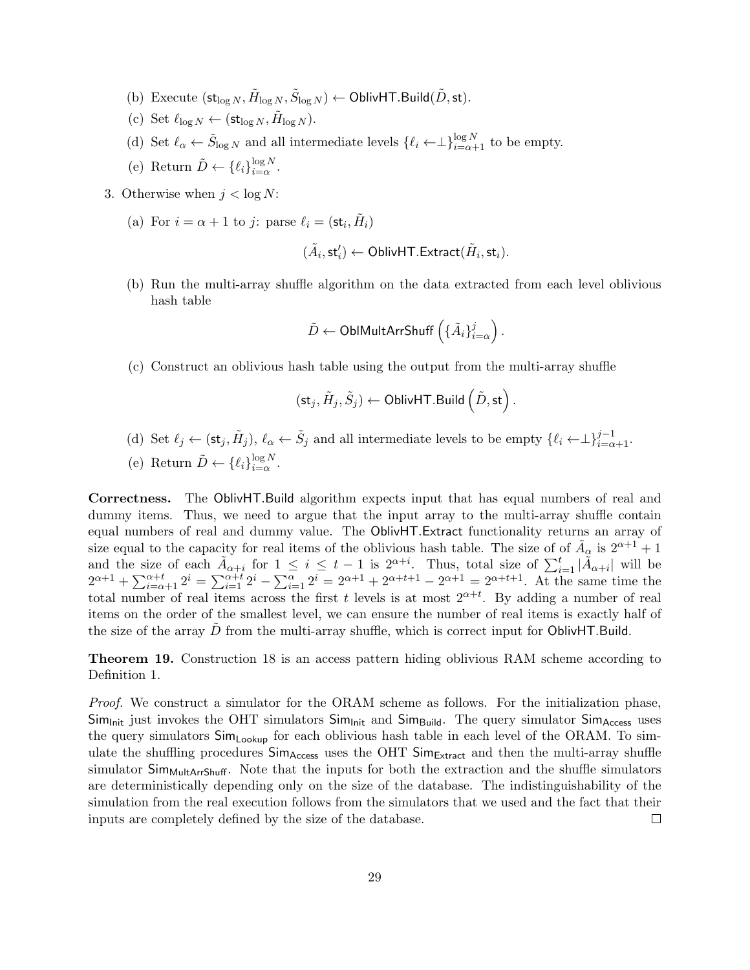- (b) Execute  $(\mathsf{st}_{\log N}, \tilde{H}_{\log N}, \tilde{S}_{\log N}) \leftarrow \mathsf{OblivHT}.\mathsf{Build}(\tilde{D}, \mathsf{st}).$
- (c) Set  $\ell_{\log N} \leftarrow (\text{st}_{\log N}, \tilde{H}_{\log N}).$
- (d) Set  $\ell_{\alpha} \leftarrow \tilde{S}_{\log N}$  and all intermediate levels  $\{\ell_i \leftarrow \perp\}_{i=\alpha+1}^{\log N}$  to be empty.
- (e) Return  $\tilde{D} \leftarrow {\{\ell_i\}}_{i=\alpha}^{\log N}$  $\lim_{i=\alpha}^{i}$ .
- 3. Otherwise when  $j < \log N$ :
	- (a) For  $i = \alpha + 1$  to j: parse  $\ell_i = (\mathsf{st}_i, \tilde{H}_i)$

$$
(\tilde{A}_i,\mathsf{st}'_i) \gets \mathsf{OblivHT}.\mathsf{Extract}(\tilde{H}_i,\mathsf{st}_i).
$$

(b) Run the multi-array shuffle algorithm on the data extracted from each level oblivious hash table

$$
\tilde{D} \leftarrow \text{OblMultArrShuff}\left(\{\tilde{A}_i\}_{i=\alpha}^j\right).
$$

(c) Construct an oblivious hash table using the output from the multi-array shuffle

$$
(\mathsf{st}_j,\tilde{H}_j,\tilde{S}_j) \leftarrow \mathsf{OblivHT}.\mathsf{Build}\left(\tilde{D},\mathsf{st}\right)
$$

.

- (d) Set  $\ell_j \leftarrow (\mathsf{st}_j, \tilde{H}_j)$ ,  $\ell_\alpha \leftarrow \tilde{S}_j$  and all intermediate levels to be empty  $\{\ell_i \leftarrow \perp\}_{i=\alpha+1}^{j-1}$ . (e) Return  $\tilde{D} \leftarrow {\{\ell_i\}}_{i=\alpha}^{\log N}$ ιοg *i* v<br> $i = \alpha$ .
- Correctness. The OblivHT.Build algorithm expects input that has equal numbers of real and dummy items. Thus, we need to argue that the input array to the multi-array shuffle contain equal numbers of real and dummy value. The OblivHT.Extract functionality returns an array of size equal to the capacity for real items of the oblivious hash table. The size of of  $\tilde{A}_{\alpha}$  is  $2^{\alpha+1}+1$ and the size of each  $\tilde{A}_{\alpha+i}$  for  $1 \leq i \leq t-1$  is  $2^{\alpha+i}$ . Thus, total size of  $\sum_{i=1}^{t} |\tilde{A}_{\alpha+i}|$  will be  $2^{\alpha+1} + \sum_{i=\alpha+1}^{\alpha+t} 2^i = \sum_{i=1}^{\alpha+t} 2^i - \sum_{i=1}^{\alpha} 2^i = 2^{\alpha+1} + 2^{\alpha+t+1} - 2^{\alpha+1} = 2^{\alpha+t+1}$ . At the same time the total number of real items across the first t levels is at most  $2^{\alpha+t}$ . By adding a number of real items on the order of the smallest level, we can ensure the number of real items is exactly half of the size of the array  $D$  from the multi-array shuffle, which is correct input for OblivHT.Build.

Theorem 19. Construction 18 is an access pattern hiding oblivious RAM scheme according to Definition 1.

Proof. We construct a simulator for the ORAM scheme as follows. For the initialization phase,  $Sim_{Init}$  just invokes the OHT simulators  $Sim_{Init}$  and  $Sim_{Build}$ . The query simulator  $Sim_{Access}$  uses the query simulators  $Sim_{Looking}$  for each oblivious hash table in each level of the ORAM. To simulate the shuffling procedures  $Sim_{Access}$  uses the OHT  $Sim_{Extract}$  and then the multi-array shuffle simulator  $Sim_{MultATShuff}$ . Note that the inputs for both the extraction and the shuffle simulators are deterministically depending only on the size of the database. The indistinguishability of the simulation from the real execution follows from the simulators that we used and the fact that their inputs are completely defined by the size of the database.  $\Box$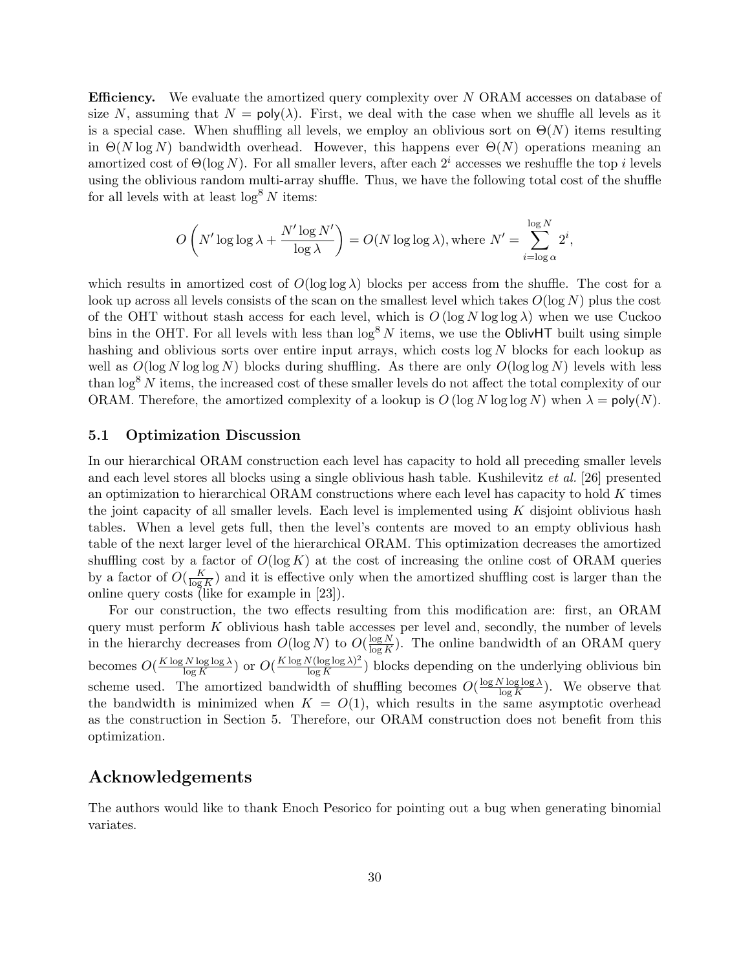**Efficiency.** We evaluate the amortized query complexity over N ORAM accesses on database of size N, assuming that  $N = \text{poly}(\lambda)$ . First, we deal with the case when we shuffle all levels as it is a special case. When shuffling all levels, we employ an oblivious sort on  $\Theta(N)$  items resulting in  $\Theta(N \log N)$  bandwidth overhead. However, this happens ever  $\Theta(N)$  operations meaning an amortized cost of  $\Theta(\log N)$ . For all smaller levers, after each  $2^i$  accesses we reshuffle the top i levels using the oblivious random multi-array shuffle. Thus, we have the following total cost of the shuffle for all levels with at least  $\log^8 N$  items:

$$
O\left(N'\log\log\lambda + \frac{N'\log N'}{\log\lambda}\right) = O(N\log\log\lambda), \text{where } N' = \sum_{i=\log\alpha}^{\log N} 2^i,
$$

which results in amortized cost of  $O(\log \log \lambda)$  blocks per access from the shuffle. The cost for a look up across all levels consists of the scan on the smallest level which takes  $O(\log N)$  plus the cost of the OHT without stash access for each level, which is  $O(\log N \log \log \lambda)$  when we use Cuckoo bins in the OHT. For all levels with less than  $\log^8 N$  items, we use the OblivHT built using simple hashing and oblivious sorts over entire input arrays, which costs  $log N$  blocks for each lookup as well as  $O(\log N \log \log N)$  blocks during shuffling. As there are only  $O(\log \log N)$  levels with less than  $\log^8 N$  items, the increased cost of these smaller levels do not affect the total complexity of our ORAM. Therefore, the amortized complexity of a lookup is  $O(\log N \log \log N)$  when  $\lambda = \text{poly}(N)$ .

#### 5.1 Optimization Discussion

In our hierarchical ORAM construction each level has capacity to hold all preceding smaller levels and each level stores all blocks using a single oblivious hash table. Kushilevitz et al. [26] presented an optimization to hierarchical ORAM constructions where each level has capacity to hold  $K$  times the joint capacity of all smaller levels. Each level is implemented using  $K$  disjoint oblivious hash tables. When a level gets full, then the level's contents are moved to an empty oblivious hash table of the next larger level of the hierarchical ORAM. This optimization decreases the amortized shuffling cost by a factor of  $O(\log K)$  at the cost of increasing the online cost of ORAM queries by a factor of  $O(\frac{K}{\log n})$  $\frac{K}{\log K}$  and it is effective only when the amortized shuffling cost is larger than the online query costs (like for example in [23]).

For our construction, the two effects resulting from this modification are: first, an ORAM query must perform  $K$  oblivious hash table accesses per level and, secondly, the number of levels in the hierarchy decreases from  $O(\log N)$  to  $O(\frac{\log N}{\log K})$  $\frac{\log N}{\log K}$ ). The online bandwidth of an ORAM query becomes  $O(\frac{K \log N \log \log \lambda}{\log K})$  $\frac{N \log \log \lambda}{\log K}$  or  $O(\frac{K \log N (\log \log \lambda)^2}{\log K})$  $\frac{\log \log \lambda}{\log K}$ ) blocks depending on the underlying oblivious bin scheme used. The amortized bandwidth of shuffling becomes  $O(\frac{\log N \log \log \lambda}{\log K})$  $\frac{\sqrt{\log \log \lambda}}{\log K}$ . We observe that the bandwidth is minimized when  $K = O(1)$ , which results in the same asymptotic overhead as the construction in Section 5. Therefore, our ORAM construction does not benefit from this optimization.

### Acknowledgements

The authors would like to thank Enoch Pesorico for pointing out a bug when generating binomial variates.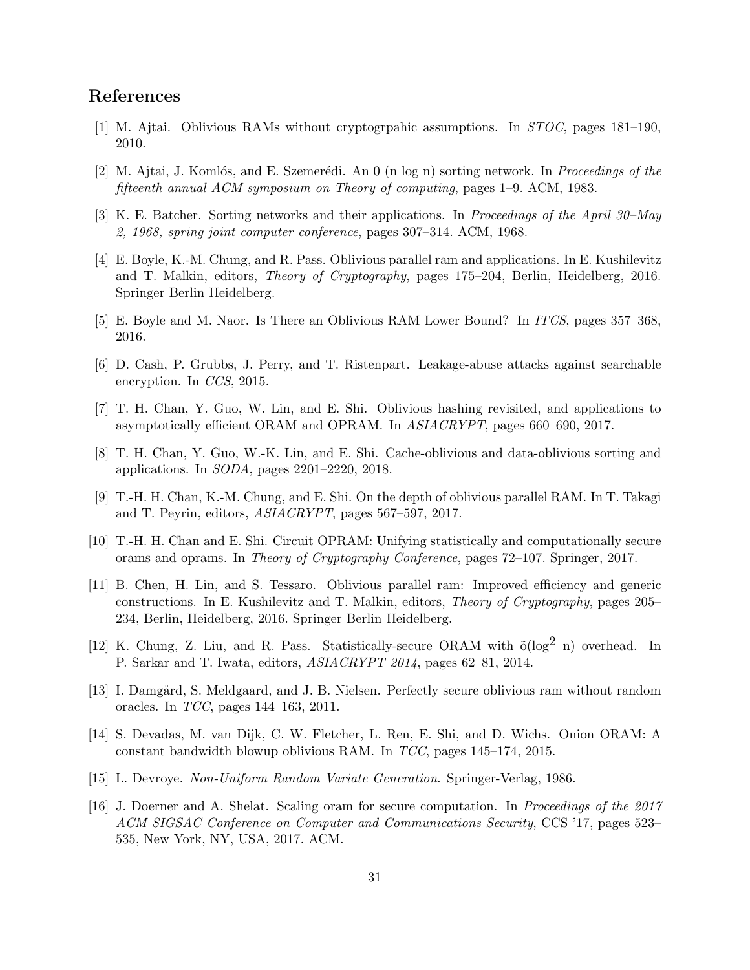# References

- [1] M. Ajtai. Oblivious RAMs without cryptogrpahic assumptions. In STOC, pages 181–190, 2010.
- [2] M. Ajtai, J. Komlós, and E. Szemerédi. An 0 (n log n) sorting network. In *Proceedings of the* fifteenth annual ACM symposium on Theory of computing, pages 1–9. ACM, 1983.
- [3] K. E. Batcher. Sorting networks and their applications. In Proceedings of the April 30–May 2, 1968, spring joint computer conference, pages 307–314. ACM, 1968.
- [4] E. Boyle, K.-M. Chung, and R. Pass. Oblivious parallel ram and applications. In E. Kushilevitz and T. Malkin, editors, Theory of Cryptography, pages 175–204, Berlin, Heidelberg, 2016. Springer Berlin Heidelberg.
- [5] E. Boyle and M. Naor. Is There an Oblivious RAM Lower Bound? In ITCS, pages 357–368, 2016.
- [6] D. Cash, P. Grubbs, J. Perry, and T. Ristenpart. Leakage-abuse attacks against searchable encryption. In CCS, 2015.
- [7] T. H. Chan, Y. Guo, W. Lin, and E. Shi. Oblivious hashing revisited, and applications to asymptotically efficient ORAM and OPRAM. In ASIACRYPT, pages 660–690, 2017.
- [8] T. H. Chan, Y. Guo, W.-K. Lin, and E. Shi. Cache-oblivious and data-oblivious sorting and applications. In SODA, pages 2201–2220, 2018.
- [9] T.-H. H. Chan, K.-M. Chung, and E. Shi. On the depth of oblivious parallel RAM. In T. Takagi and T. Peyrin, editors, ASIACRYPT, pages 567–597, 2017.
- [10] T.-H. H. Chan and E. Shi. Circuit OPRAM: Unifying statistically and computationally secure orams and oprams. In Theory of Cryptography Conference, pages 72–107. Springer, 2017.
- [11] B. Chen, H. Lin, and S. Tessaro. Oblivious parallel ram: Improved efficiency and generic constructions. In E. Kushilevitz and T. Malkin, editors, Theory of Cryptography, pages 205– 234, Berlin, Heidelberg, 2016. Springer Berlin Heidelberg.
- [12] K. Chung, Z. Liu, and R. Pass. Statistically-secure ORAM with  $\tilde{o}(\log^2 n)$  overhead. In P. Sarkar and T. Iwata, editors, ASIACRYPT 2014, pages 62–81, 2014.
- [13] I. Damgård, S. Meldgaard, and J. B. Nielsen. Perfectly secure oblivious ram without random oracles. In TCC, pages 144–163, 2011.
- [14] S. Devadas, M. van Dijk, C. W. Fletcher, L. Ren, E. Shi, and D. Wichs. Onion ORAM: A constant bandwidth blowup oblivious RAM. In TCC, pages 145–174, 2015.
- [15] L. Devroye. Non-Uniform Random Variate Generation. Springer-Verlag, 1986.
- [16] J. Doerner and A. Shelat. Scaling oram for secure computation. In Proceedings of the 2017 ACM SIGSAC Conference on Computer and Communications Security, CCS '17, pages 523– 535, New York, NY, USA, 2017. ACM.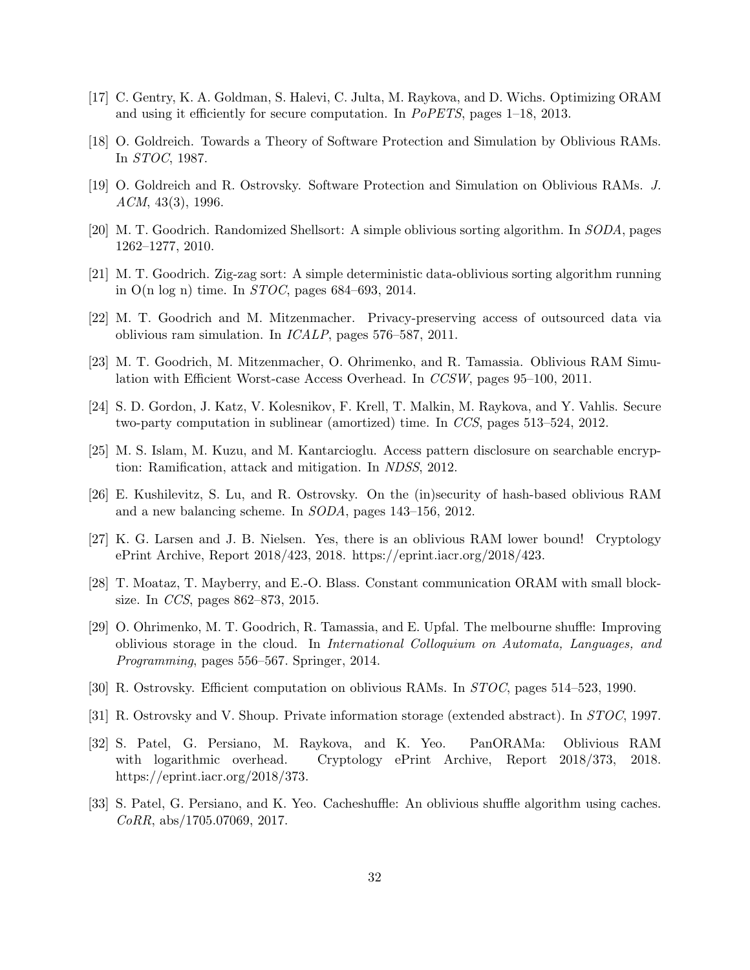- [17] C. Gentry, K. A. Goldman, S. Halevi, C. Julta, M. Raykova, and D. Wichs. Optimizing ORAM and using it efficiently for secure computation. In PoPETS, pages 1–18, 2013.
- [18] O. Goldreich. Towards a Theory of Software Protection and Simulation by Oblivious RAMs. In STOC, 1987.
- [19] O. Goldreich and R. Ostrovsky. Software Protection and Simulation on Oblivious RAMs. J.  $ACM$ , 43(3), 1996.
- [20] M. T. Goodrich. Randomized Shellsort: A simple oblivious sorting algorithm. In SODA, pages 1262–1277, 2010.
- [21] M. T. Goodrich. Zig-zag sort: A simple deterministic data-oblivious sorting algorithm running in O(n log n) time. In *STOC*, pages 684–693, 2014.
- [22] M. T. Goodrich and M. Mitzenmacher. Privacy-preserving access of outsourced data via oblivious ram simulation. In ICALP, pages 576–587, 2011.
- [23] M. T. Goodrich, M. Mitzenmacher, O. Ohrimenko, and R. Tamassia. Oblivious RAM Simulation with Efficient Worst-case Access Overhead. In CCSW, pages 95–100, 2011.
- [24] S. D. Gordon, J. Katz, V. Kolesnikov, F. Krell, T. Malkin, M. Raykova, and Y. Vahlis. Secure two-party computation in sublinear (amortized) time. In CCS, pages 513–524, 2012.
- [25] M. S. Islam, M. Kuzu, and M. Kantarcioglu. Access pattern disclosure on searchable encryption: Ramification, attack and mitigation. In NDSS, 2012.
- [26] E. Kushilevitz, S. Lu, and R. Ostrovsky. On the (in)security of hash-based oblivious RAM and a new balancing scheme. In SODA, pages 143–156, 2012.
- [27] K. G. Larsen and J. B. Nielsen. Yes, there is an oblivious RAM lower bound! Cryptology ePrint Archive, Report 2018/423, 2018. https://eprint.iacr.org/2018/423.
- [28] T. Moataz, T. Mayberry, and E.-O. Blass. Constant communication ORAM with small blocksize. In CCS, pages 862–873, 2015.
- [29] O. Ohrimenko, M. T. Goodrich, R. Tamassia, and E. Upfal. The melbourne shuffle: Improving oblivious storage in the cloud. In International Colloquium on Automata, Languages, and Programming, pages 556–567. Springer, 2014.
- [30] R. Ostrovsky. Efficient computation on oblivious RAMs. In STOC, pages 514–523, 1990.
- [31] R. Ostrovsky and V. Shoup. Private information storage (extended abstract). In STOC, 1997.
- [32] S. Patel, G. Persiano, M. Raykova, and K. Yeo. PanORAMa: Oblivious RAM with logarithmic overhead. Cryptology ePrint Archive, Report 2018/373, 2018. https://eprint.iacr.org/2018/373.
- [33] S. Patel, G. Persiano, and K. Yeo. Cacheshuffle: An oblivious shuffle algorithm using caches.  $CoRR$ , abs/1705.07069, 2017.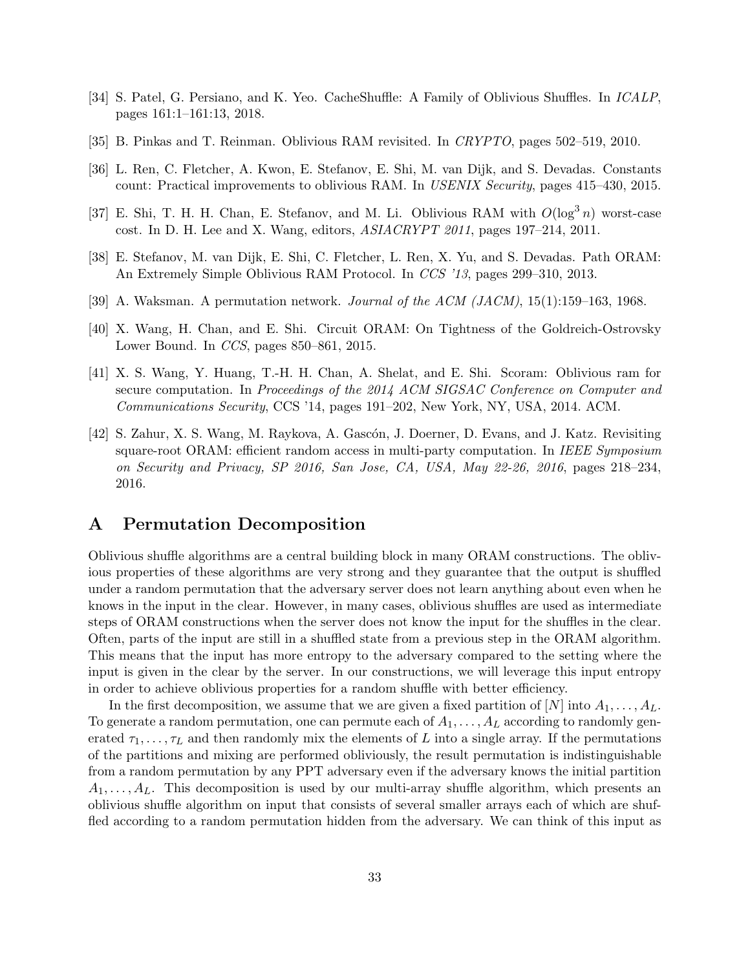- [34] S. Patel, G. Persiano, and K. Yeo. CacheShuffle: A Family of Oblivious Shuffles. In ICALP, pages 161:1–161:13, 2018.
- [35] B. Pinkas and T. Reinman. Oblivious RAM revisited. In CRYPTO, pages 502–519, 2010.
- [36] L. Ren, C. Fletcher, A. Kwon, E. Stefanov, E. Shi, M. van Dijk, and S. Devadas. Constants count: Practical improvements to oblivious RAM. In USENIX Security, pages 415–430, 2015.
- [37] E. Shi, T. H. H. Chan, E. Stefanov, and M. Li. Oblivious RAM with  $O(\log^3 n)$  worst-case cost. In D. H. Lee and X. Wang, editors, ASIACRYPT 2011, pages 197–214, 2011.
- [38] E. Stefanov, M. van Dijk, E. Shi, C. Fletcher, L. Ren, X. Yu, and S. Devadas. Path ORAM: An Extremely Simple Oblivious RAM Protocol. In CCS '13, pages 299–310, 2013.
- [39] A. Waksman. A permutation network. Journal of the ACM (JACM), 15(1):159–163, 1968.
- [40] X. Wang, H. Chan, and E. Shi. Circuit ORAM: On Tightness of the Goldreich-Ostrovsky Lower Bound. In CCS, pages 850–861, 2015.
- [41] X. S. Wang, Y. Huang, T.-H. H. Chan, A. Shelat, and E. Shi. Scoram: Oblivious ram for secure computation. In Proceedings of the 2014 ACM SIGSAC Conference on Computer and Communications Security, CCS '14, pages 191–202, New York, NY, USA, 2014. ACM.
- [42] S. Zahur, X. S. Wang, M. Raykova, A. Gascón, J. Doerner, D. Evans, and J. Katz. Revisiting square-root ORAM: efficient random access in multi-party computation. In IEEE Symposium on Security and Privacy, SP 2016, San Jose, CA, USA, May 22-26, 2016, pages 218–234, 2016.

### A Permutation Decomposition

Oblivious shuffle algorithms are a central building block in many ORAM constructions. The oblivious properties of these algorithms are very strong and they guarantee that the output is shuffled under a random permutation that the adversary server does not learn anything about even when he knows in the input in the clear. However, in many cases, oblivious shuffles are used as intermediate steps of ORAM constructions when the server does not know the input for the shuffles in the clear. Often, parts of the input are still in a shuffled state from a previous step in the ORAM algorithm. This means that the input has more entropy to the adversary compared to the setting where the input is given in the clear by the server. In our constructions, we will leverage this input entropy in order to achieve oblivious properties for a random shuffle with better efficiency.

In the first decomposition, we assume that we are given a fixed partition of  $[N]$  into  $A_1, \ldots, A_L$ . To generate a random permutation, one can permute each of  $A_1, \ldots, A_L$  according to randomly generated  $\tau_1, \ldots, \tau_L$  and then randomly mix the elements of L into a single array. If the permutations of the partitions and mixing are performed obliviously, the result permutation is indistinguishable from a random permutation by any PPT adversary even if the adversary knows the initial partition  $A_1, \ldots, A_L$ . This decomposition is used by our multi-array shuffle algorithm, which presents an oblivious shuffle algorithm on input that consists of several smaller arrays each of which are shuffled according to a random permutation hidden from the adversary. We can think of this input as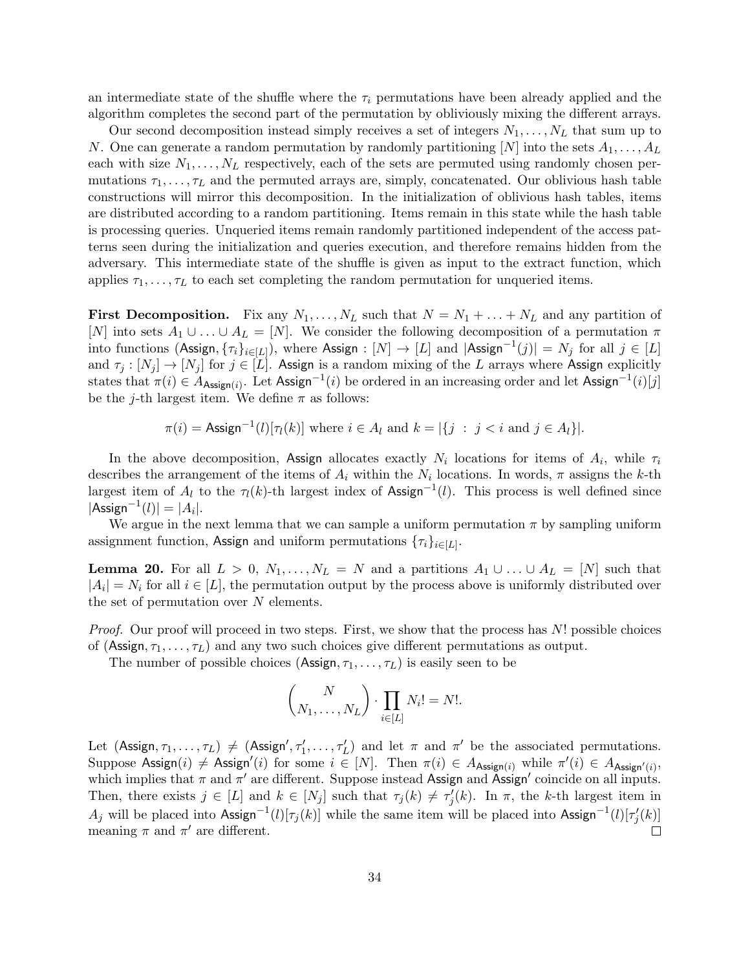an intermediate state of the shuffle where the  $\tau_i$  permutations have been already applied and the algorithm completes the second part of the permutation by obliviously mixing the different arrays.

Our second decomposition instead simply receives a set of integers  $N_1, \ldots, N_L$  that sum up to N. One can generate a random permutation by randomly partitioning  $[N]$  into the sets  $A_1, \ldots, A_L$ each with size  $N_1, \ldots, N_L$  respectively, each of the sets are permuted using randomly chosen permutations  $\tau_1, \ldots, \tau_L$  and the permuted arrays are, simply, concatenated. Our oblivious hash table constructions will mirror this decomposition. In the initialization of oblivious hash tables, items are distributed according to a random partitioning. Items remain in this state while the hash table is processing queries. Unqueried items remain randomly partitioned independent of the access patterns seen during the initialization and queries execution, and therefore remains hidden from the adversary. This intermediate state of the shuffle is given as input to the extract function, which applies  $\tau_1, \ldots, \tau_L$  to each set completing the random permutation for unqueried items.

**First Decomposition.** Fix any  $N_1, \ldots, N_L$  such that  $N = N_1 + \ldots + N_L$  and any partition of [N] into sets  $A_1 \cup \ldots \cup A_L = [N]$ . We consider the following decomposition of a permutation  $\pi$ into functions (Assign,  $\{\tau_i\}_{i\in[L]})$ , where Assign :  $[N]\to[L]$  and  $|\mathsf{Assign}^{-1}(j)|=N_j$  for all  $j\in[L]$ and  $\tau_j : [N_j] \to [N_j]$  for  $j \in [L]$ . Assign is a random mixing of the L arrays where Assign explicitly states that  $\pi(i) \in A_{\text{Assign}(i)}$ . Let Assign<sup>-1</sup>(i) be ordered in an increasing order and let Assign<sup>-1</sup>(i)[j] be the j-th largest item. We define  $\pi$  as follows:

$$
\pi(i) = \text{Assign}^{-1}(l)[\pi(k)] \text{ where } i \in A_l \text{ and } k = |\{j \ : \ j < i \text{ and } j \in A_l\}|.
$$

In the above decomposition, Assign allocates exactly  $N_i$  locations for items of  $A_i$ , while  $\tau_i$ describes the arrangement of the items of  $A_i$  within the  $N_i$  locations. In words,  $\pi$  assigns the k-th largest item of  $A_l$  to the  $\tau_l(k)$ -th largest index of Assign<sup>-1</sup>(l). This process is well defined since  $|{\sf Assign}^{-1}(l)| = |A_i|.$ 

We argue in the next lemma that we can sample a uniform permutation  $\pi$  by sampling uniform assignment function, Assign and uniform permutations  $\{\tau_i\}_{i\in[L]}$ .

**Lemma 20.** For all  $L > 0$ ,  $N_1, \ldots, N_L = N$  and a partitions  $A_1 \cup \ldots \cup A_L = [N]$  such that  $|A_i| = N_i$  for all  $i \in [L]$ , the permutation output by the process above is uniformly distributed over the set of permutation over  $N$  elements.

Proof. Our proof will proceed in two steps. First, we show that the process has N! possible choices of (Assign,  $\tau_1, \ldots, \tau_L$ ) and any two such choices give different permutations as output.

The number of possible choices (Assign,  $\tau_1, \ldots, \tau_L$ ) is easily seen to be

$$
\binom{N}{N_1,\ldots,N_L} \cdot \prod_{i \in [L]} N_i! = N!.
$$

Let  $(Assign, \tau_1, \ldots, \tau_L) \neq (Assign', \tau'_1, \ldots, \tau'_L)$  and let  $\pi$  and  $\pi'$  be the associated permutations. Suppose Assign(i)  $\neq$  Assign'(i) for some  $i \in [N]$ . Then  $\pi(i) \in A_{\text{Assign}(i)}$  while  $\pi'(i) \in A_{\text{Assign}'(i)}$ , which implies that  $\pi$  and  $\pi'$  are different. Suppose instead Assign and Assign' coincide on all inputs. Then, there exists  $j \in [L]$  and  $k \in [N_j]$  such that  $\tau_j(k) \neq \tau'_j(k)$ . In  $\pi$ , the k-th largest item in  $A_j$  will be placed into Assign<sup>-1</sup>(l)[ $\tau_j(k)$ ] while the same item will be placed into Assign<sup>-1</sup>(l)[ $\tau'_j(k)$ ] meaning  $\pi$  and  $\pi'$  are different.  $\Box$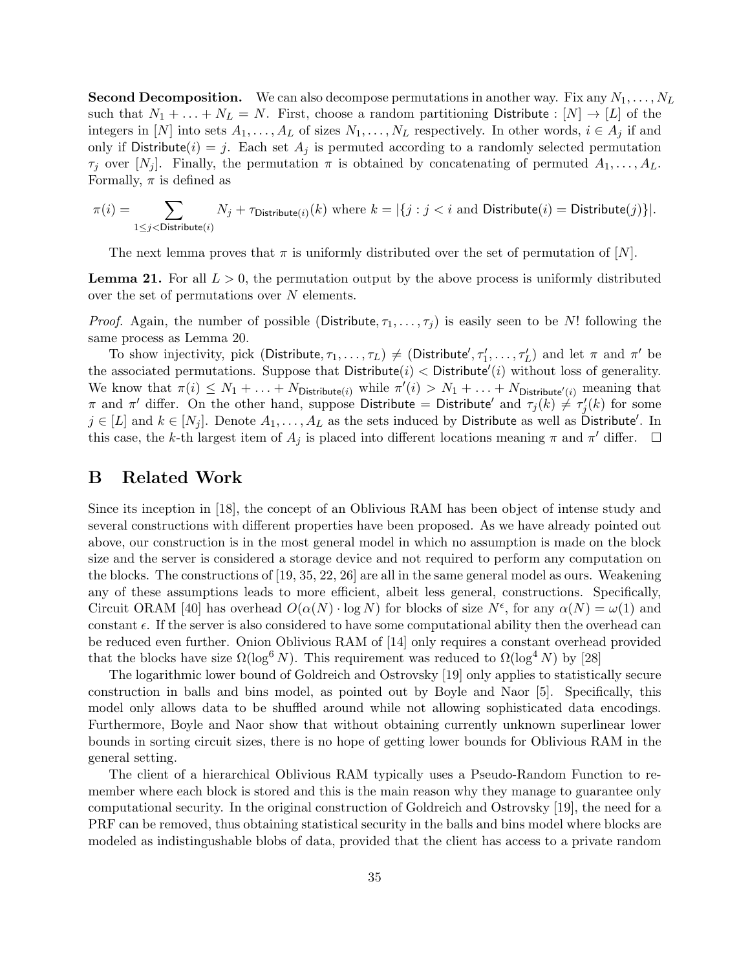**Second Decomposition.** We can also decompose permutations in another way. Fix any  $N_1, \ldots, N_L$ such that  $N_1 + \ldots + N_L = N$ . First, choose a random partitioning Distribute :  $[N] \rightarrow [L]$  of the integers in [N] into sets  $A_1, \ldots, A_L$  of sizes  $N_1, \ldots, N_L$  respectively. In other words,  $i \in A_j$  if and only if Distribute(i) = j. Each set  $A_i$  is permuted according to a randomly selected permutation  $\tau_j$  over  $[N_j]$ . Finally, the permutation  $\pi$  is obtained by concatenating of permuted  $A_1, \ldots, A_L$ . Formally,  $\pi$  is defined as

$$
\pi(i) = \sum_{1 \leq j < \text{Distribute}(i)} N_j + \tau_{\text{Distribute}(i)}(k) \text{ where } k = |\{j : j < i \text{ and Distribute}(i) = \text{Distribute}(j)\}|.
$$

The next lemma proves that  $\pi$  is uniformly distributed over the set of permutation of [N].

**Lemma 21.** For all  $L > 0$ , the permutation output by the above process is uniformly distributed over the set of permutations over  $N$  elements.

*Proof.* Again, the number of possible (Distribute,  $\tau_1, \ldots, \tau_j$ ) is easily seen to be N! following the same process as Lemma 20.

To show injectivity, pick (Distribute,  $\tau_1,\ldots,\tau_L$ )  $\neq$  (Distribute',  $\tau'_1,\ldots,\tau'_L$ ) and let  $\pi$  and  $\pi'$  be the associated permutations. Suppose that  $D$ istribute $(i)$  <  $D$ istribute $'(i)$  without loss of generality. We know that  $\pi(i) \leq N_1 + \ldots + N_{\text{Distribute}(i)}$  while  $\pi'(i) > N_1 + \ldots + N_{\text{Distribute}'(i)}$  meaning that π and π' differ. On the other hand, suppose Distribute = Distribute' and  $\tau_j(k) \neq \tau'_j(k)$  for some  $j \in [L]$  and  $k \in [N_j]$ . Denote  $A_1, \ldots, A_L$  as the sets induced by Distribute as well as Distribute'. In this case, the k-th largest item of  $A_j$  is placed into different locations meaning  $\pi$  and  $\pi'$  differ.

### B Related Work

Since its inception in [18], the concept of an Oblivious RAM has been object of intense study and several constructions with different properties have been proposed. As we have already pointed out above, our construction is in the most general model in which no assumption is made on the block size and the server is considered a storage device and not required to perform any computation on the blocks. The constructions of [19, 35, 22, 26] are all in the same general model as ours. Weakening any of these assumptions leads to more efficient, albeit less general, constructions. Specifically, Circuit ORAM [40] has overhead  $O(\alpha(N) \cdot \log N)$  for blocks of size  $N^{\epsilon}$ , for any  $\alpha(N) = \omega(1)$  and constant  $\epsilon$ . If the server is also considered to have some computational ability then the overhead can be reduced even further. Onion Oblivious RAM of [14] only requires a constant overhead provided that the blocks have size  $\Omega(\log^6 N)$ . This requirement was reduced to  $\Omega(\log^4 N)$  by [28]

The logarithmic lower bound of Goldreich and Ostrovsky [19] only applies to statistically secure construction in balls and bins model, as pointed out by Boyle and Naor [5]. Specifically, this model only allows data to be shuffled around while not allowing sophisticated data encodings. Furthermore, Boyle and Naor show that without obtaining currently unknown superlinear lower bounds in sorting circuit sizes, there is no hope of getting lower bounds for Oblivious RAM in the general setting.

The client of a hierarchical Oblivious RAM typically uses a Pseudo-Random Function to remember where each block is stored and this is the main reason why they manage to guarantee only computational security. In the original construction of Goldreich and Ostrovsky [19], the need for a PRF can be removed, thus obtaining statistical security in the balls and bins model where blocks are modeled as indistingushable blobs of data, provided that the client has access to a private random